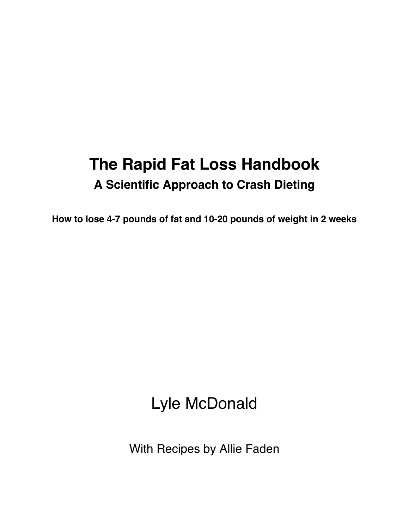# **The Rapid Fat Loss Handbook A Scientific Approach to Crash Dieting**

**How to lose 4-7 pounds of fat and 10-20 pounds of weight in 2 weeks**

# Lyle McDonald

With Recipes by Allie Faden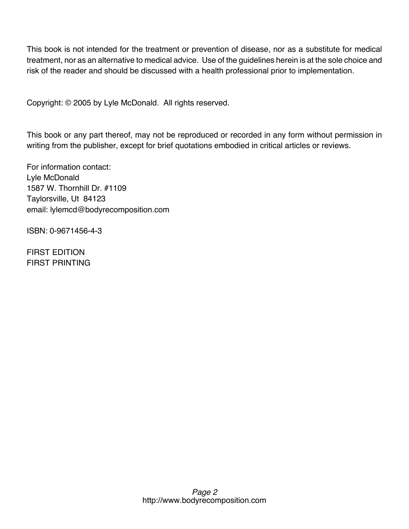This book is not intended for the treatment or prevention of disease, nor as a substitute for medical treatment, nor as an alternative to medical advice. Use of the guidelines herein is at the sole choice and risk of the reader and should be discussed with a health professional prior to implementation.

Copyright: © 2005 by Lyle McDonald. All rights reserved.

This book or any part thereof, may not be reproduced or recorded in any form without permission in writing from the publisher, except for brief quotations embodied in critical articles or reviews.

For information contact: Lyle McDonald 1587 W. Thornhill Dr. #1109 Taylorsville, Ut 84123 email: lylemcd@bodyrecomposition.com

ISBN: 0-9671456-4-3

FIRST EDITION FIRST PRINTING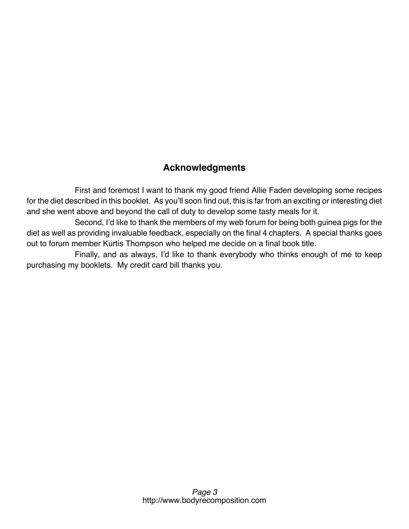# **Acknowledgments**

First and foremost I want to thank my good friend Allie Faden developing some recipes for the diet described in this booklet. As you'll soon find out, this is far from an exciting or interesting diet and she went above and beyond the call of duty to develop some tasty meals for it.

Second, I'd like to thank the members of my web forum for being both guinea pigs for the diet as well as providing invaluable feedback, especially on the final 4 chapters. A special thanks goes out to forum member Kurtis Thompson who helped me decide on a final book title.

Finally, and as always, I'd like to thank everybody who thinks enough of me to keep purchasing my booklets. My credit card bill thanks you.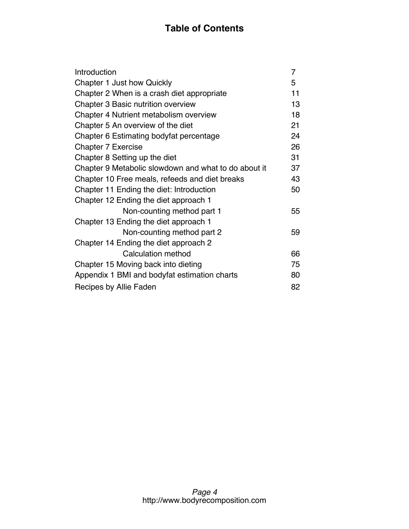# **Table of Contents**

| Introduction                                         | 7  |  |  |  |
|------------------------------------------------------|----|--|--|--|
| <b>Chapter 1 Just how Quickly</b>                    |    |  |  |  |
| Chapter 2 When is a crash diet appropriate           |    |  |  |  |
| Chapter 3 Basic nutrition overview                   | 13 |  |  |  |
| Chapter 4 Nutrient metabolism overview               |    |  |  |  |
| Chapter 5 An overview of the diet                    | 21 |  |  |  |
| Chapter 6 Estimating bodyfat percentage              | 24 |  |  |  |
| <b>Chapter 7 Exercise</b>                            | 26 |  |  |  |
| Chapter 8 Setting up the diet                        | 31 |  |  |  |
| Chapter 9 Metabolic slowdown and what to do about it | 37 |  |  |  |
| Chapter 10 Free meals, refeeds and diet breaks       |    |  |  |  |
| Chapter 11 Ending the diet: Introduction             | 50 |  |  |  |
| Chapter 12 Ending the diet approach 1                |    |  |  |  |
| Non-counting method part 1                           | 55 |  |  |  |
| Chapter 13 Ending the diet approach 1                |    |  |  |  |
| Non-counting method part 2                           | 59 |  |  |  |
| Chapter 14 Ending the diet approach 2                |    |  |  |  |
| Calculation method                                   | 66 |  |  |  |
| Chapter 15 Moving back into dieting                  | 75 |  |  |  |
| Appendix 1 BMI and bodyfat estimation charts         |    |  |  |  |
| Recipes by Allie Faden                               | 82 |  |  |  |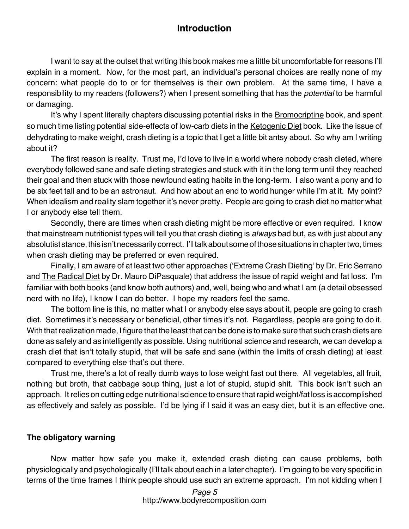# **Introduction**

I want to say at the outset that writing this book makes me a little bit uncomfortable for reasons I'll explain in a moment. Now, for the most part, an individual's personal choices are really none of my concern: what people do to or for themselves is their own problem. At the same time, I have a responsibility to my readers (followers?) when I present something that has the potential to be harmful or damaging.

It's why I spent literally chapters discussing potential risks in the Bromocriptine book, and spent so much time listing potential side-effects of low-carb diets in the Ketogenic Diet book. Like the issue of dehydrating to make weight, crash dieting is a topic that I get a little bit antsy about. So why am I writing about it?

The first reason is reality. Trust me, I'd love to live in a world where nobody crash dieted, where everybody followed sane and safe dieting strategies and stuck with it in the long term until they reached their goal and then stuck with those newfound eating habits in the long-term. I also want a pony and to be six feet tall and to be an astronaut. And how about an end to world hunger while I'm at it. My point? When idealism and reality slam together it's never pretty. People are going to crash diet no matter what I or anybody else tell them.

Secondly, there are times when crash dieting might be more effective or even required. I know that mainstream nutritionist types will tell you that crash dieting is *always* bad but, as with just about any absolutist stance, this isn't necessarily correct. I'll talk about some of those situations in chapter two, times when crash dieting may be preferred or even required.

Finally, I am aware of at least two other approaches ('Extreme Crash Dieting' by Dr. Eric Serrano and The Radical Diet by Dr. Mauro DiPasquale) that address the issue of rapid weight and fat loss. I'm familiar with both books (and know both authors) and, well, being who and what I am (a detail obsessed nerd with no life), I know I can do better. I hope my readers feel the same.

The bottom line is this, no matter what I or anybody else says about it, people are going to crash diet. Sometimes it's necessary or beneficial, other times it's not. Regardless, people are going to do it. With that realization made, I figure that the least that can be done is to make sure that such crash diets are done as safely and as intelligently as possible. Using nutritional science and research, we can develop a crash diet that isn't totally stupid, that will be safe and sane (within the limits of crash dieting) at least compared to everything else that's out there.

Trust me, there's a lot of really dumb ways to lose weight fast out there. All vegetables, all fruit, nothing but broth, that cabbage soup thing, just a lot of stupid, stupid shit. This book isn't such an approach. It relies on cutting edge nutritional science to ensure that rapid weight/fat loss is accomplished as effectively and safely as possible. I'd be lying if I said it was an easy diet, but it is an effective one.

#### **The obligatory warning**

Now matter how safe you make it, extended crash dieting can cause problems, both physiologically and psychologically (I'll talk about each in a later chapter). I'm going to be very specific in terms of the time frames I think people should use such an extreme approach. I'm not kidding when I

> Page 5 http://www.bodyrecomposition.com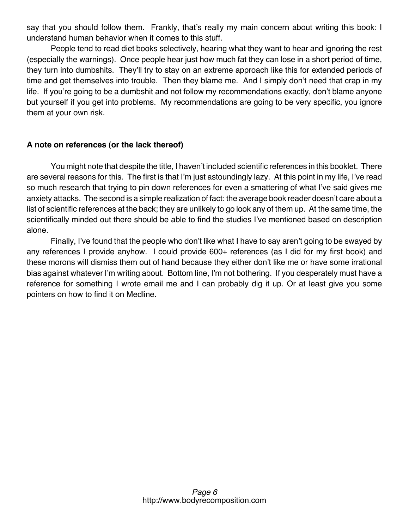say that you should follow them. Frankly, that's really my main concern about writing this book: I understand human behavior when it comes to this stuff.

People tend to read diet books selectively, hearing what they want to hear and ignoring the rest (especially the warnings). Once people hear just how much fat they can lose in a short period of time, they turn into dumbshits. They'll try to stay on an extreme approach like this for extended periods of time and get themselves into trouble. Then they blame me. And I simply don't need that crap in my life. If you're going to be a dumbshit and not follow my recommendations exactly, don't blame anyone but yourself if you get into problems. My recommendations are going to be very specific, you ignore them at your own risk.

## **A note on references (or the lack thereof)**

You might note that despite the title, I haven't included scientific references in this booklet. There are several reasons for this. The first is that I'm just astoundingly lazy. At this point in my life, I've read so much research that trying to pin down references for even a smattering of what I've said gives me anxiety attacks. The second is a simple realization of fact: the average book reader doesn't care about a list of scientific references at the back; they are unlikely to go look any of them up. At the same time, the scientifically minded out there should be able to find the studies I've mentioned based on description alone.

Finally, I've found that the people who don't like what I have to say aren't going to be swayed by any references I provide anyhow. I could provide 600+ references (as I did for my first book) and these morons will dismiss them out of hand because they either don't like me or have some irrational bias against whatever I'm writing about. Bottom line, I'm not bothering. If you desperately must have a reference for something I wrote email me and I can probably dig it up. Or at least give you some pointers on how to find it on Medline.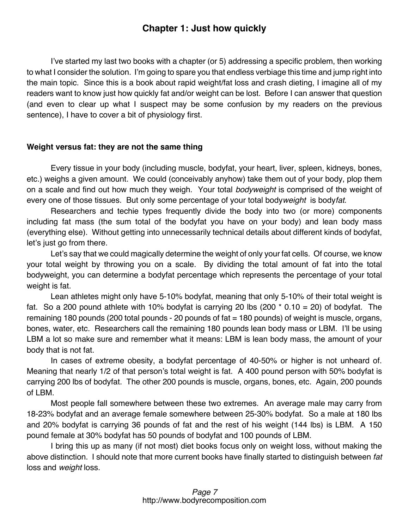# **Chapter 1: Just how quickly**

I've started my last two books with a chapter (or 5) addressing a specific problem, then working to what I consider the solution. I'm going to spare you that endless verbiage this time and jump right into the main topic. Since this is a book about rapid weight/fat loss and crash dieting, I imagine all of my readers want to know just how quickly fat and/or weight can be lost. Before I can answer that question (and even to clear up what I suspect may be some confusion by my readers on the previous sentence), I have to cover a bit of physiology first.

## **Weight versus fat: they are not the same thing**

Every tissue in your body (including muscle, bodyfat, your heart, liver, spleen, kidneys, bones, etc.) weighs a given amount. We could (conceivably anyhow) take them out of your body, plop them on a scale and find out how much they weigh. Your total bodyweight is comprised of the weight of every one of those tissues. But only some percentage of your total body *weight* is body fat.

Researchers and techie types frequently divide the body into two (or more) components including fat mass (the sum total of the bodyfat you have on your body) and lean body mass (everything else). Without getting into unnecessarily technical details about different kinds of bodyfat, let's just go from there.

Let's say that we could magically determine the weight of only your fat cells. Of course, we know your total weight by throwing you on a scale. By dividing the total amount of fat into the total bodyweight, you can determine a bodyfat percentage which represents the percentage of your total weight is fat.

Lean athletes might only have 5-10% bodyfat, meaning that only 5-10% of their total weight is fat. So a 200 pound athlete with 10% bodyfat is carrying 20 lbs (200  $*$  0.10 = 20) of bodyfat. The remaining 180 pounds (200 total pounds - 20 pounds of fat = 180 pounds) of weight is muscle, organs, bones, water, etc. Researchers call the remaining 180 pounds lean body mass or LBM. I'll be using LBM a lot so make sure and remember what it means: LBM is lean body mass, the amount of your body that is not fat.

In cases of extreme obesity, a bodyfat percentage of 40-50% or higher is not unheard of. Meaning that nearly 1/2 of that person's total weight is fat. A 400 pound person with 50% bodyfat is carrying 200 lbs of bodyfat. The other 200 pounds is muscle, organs, bones, etc. Again, 200 pounds of LBM.

Most people fall somewhere between these two extremes. An average male may carry from 18-23% bodyfat and an average female somewhere between 25-30% bodyfat. So a male at 180 lbs and 20% bodyfat is carrying 36 pounds of fat and the rest of his weight (144 lbs) is LBM. A 150 pound female at 30% bodyfat has 50 pounds of bodyfat and 100 pounds of LBM.

I bring this up as many (if not most) diet books focus only on weight loss, without making the above distinction. I should note that more current books have finally started to distinguish between fat loss and weight loss.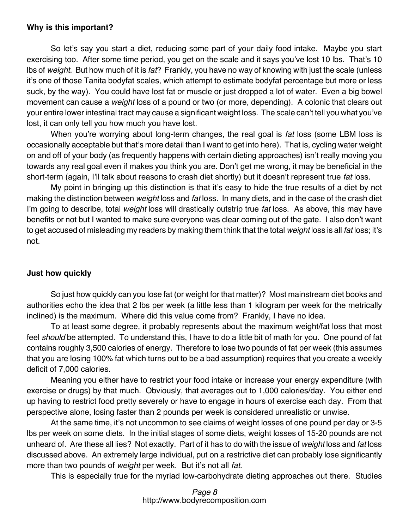#### **Why is this important?**

So let's say you start a diet, reducing some part of your daily food intake. Maybe you start exercising too. After some time period, you get on the scale and it says you've lost 10 lbs. That's 10 lbs of weight. But how much of it is fat? Frankly, you have no way of knowing with just the scale (unless it's one of those Tanita bodyfat scales, which attempt to estimate bodyfat percentage but more or less suck, by the way). You could have lost fat or muscle or just dropped a lot of water. Even a big bowel movement can cause a weight loss of a pound or two (or more, depending). A colonic that clears out your entire lower intestinal tract may cause a significant weight loss. The scale can't tell you what you've lost, it can only tell you how much you have lost.

When you're worrying about long-term changes, the real goal is fat loss (some LBM loss is occasionally acceptable but that's more detail than I want to get into here). That is, cycling water weight on and off of your body (as frequently happens with certain dieting approaches) isn't really moving you towards any real goal even if makes you think you are. Don't get me wrong, it may be beneficial in the short-term (again, I'll talk about reasons to crash diet shortly) but it doesn't represent true fat loss.

My point in bringing up this distinction is that it's easy to hide the true results of a diet by not making the distinction between weight loss and fat loss. In many diets, and in the case of the crash diet I'm going to describe, total weight loss will drastically outstrip true fat loss. As above, this may have benefits or not but I wanted to make sure everyone was clear coming out of the gate. I also don't want to get accused of misleading my readers by making them think that the total weight loss is all fat loss; it's not.

#### **Just how quickly**

So just how quickly can you lose fat (or weight for that matter)? Most mainstream diet books and authorities echo the idea that 2 lbs per week (a little less than 1 kilogram per week for the metrically inclined) is the maximum. Where did this value come from? Frankly, I have no idea.

To at least some degree, it probably represents about the maximum weight/fat loss that most feel should be attempted. To understand this, I have to do a little bit of math for you. One pound of fat contains roughly 3,500 calories of energy. Therefore to lose two pounds of fat per week (this assumes that you are losing 100% fat which turns out to be a bad assumption) requires that you create a weekly deficit of 7,000 calories.

Meaning you either have to restrict your food intake or increase your energy expenditure (with exercise or drugs) by that much. Obviously, that averages out to 1,000 calories/day. You either end up having to restrict food pretty severely or have to engage in hours of exercise each day. From that perspective alone, losing faster than 2 pounds per week is considered unrealistic or unwise.

At the same time, it's not uncommon to see claims of weight losses of one pound per day or 3-5 lbs per week on some diets. In the initial stages of some diets, weight losses of 15-20 pounds are not unheard of. Are these all lies? Not exactly. Part of it has to do with the issue of weight loss and fat loss discussed above. An extremely large individual, put on a restrictive diet can probably lose significantly more than two pounds of *weight* per week. But it's not all fat.

This is especially true for the myriad low-carbohydrate dieting approaches out there. Studies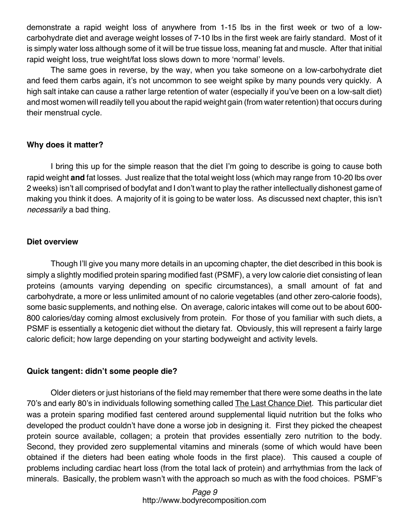demonstrate a rapid weight loss of anywhere from 1-15 lbs in the first week or two of a lowcarbohydrate diet and average weight losses of 7-10 lbs in the first week are fairly standard. Most of it is simply water loss although some of it will be true tissue loss, meaning fat and muscle. After that initial rapid weight loss, true weight/fat loss slows down to more 'normal' levels.

The same goes in reverse, by the way, when you take someone on a low-carbohydrate diet and feed them carbs again, it's not uncommon to see weight spike by many pounds very quickly. A high salt intake can cause a rather large retention of water (especially if you've been on a low-salt diet) and most women will readily tell you about the rapid weight gain (from water retention) that occurs during their menstrual cycle.

#### **Why does it matter?**

I bring this up for the simple reason that the diet I'm going to describe is going to cause both rapid weight **and** fat losses. Just realize that the total weight loss (which may range from 10-20 lbs over 2 weeks) isn't all comprised of bodyfat and I don't want to play the rather intellectually dishonest game of making you think it does. A majority of it is going to be water loss. As discussed next chapter, this isn't necessarily a bad thing.

#### **Diet overview**

Though I'll give you many more details in an upcoming chapter, the diet described in this book is simply a slightly modified protein sparing modified fast (PSMF), a very low calorie diet consisting of lean proteins (amounts varying depending on specific circumstances), a small amount of fat and carbohydrate, a more or less unlimited amount of no calorie vegetables (and other zero-calorie foods), some basic supplements, and nothing else. On average, caloric intakes will come out to be about 600- 800 calories/day coming almost exclusively from protein. For those of you familiar with such diets, a PSMF is essentially a ketogenic diet without the dietary fat. Obviously, this will represent a fairly large caloric deficit; how large depending on your starting bodyweight and activity levels.

## **Quick tangent: didn't some people die?**

Older dieters or just historians of the field may remember that there were some deaths in the late 70's and early 80's in individuals following something called The Last Chance Diet. This particular diet was a protein sparing modified fast centered around supplemental liquid nutrition but the folks who developed the product couldn't have done a worse job in designing it. First they picked the cheapest protein source available, collagen; a protein that provides essentially zero nutrition to the body. Second, they provided zero supplemental vitamins and minerals (some of which would have been obtained if the dieters had been eating whole foods in the first place). This caused a couple of problems including cardiac heart loss (from the total lack of protein) and arrhythmias from the lack of minerals. Basically, the problem wasn't with the approach so much as with the food choices. PSMF's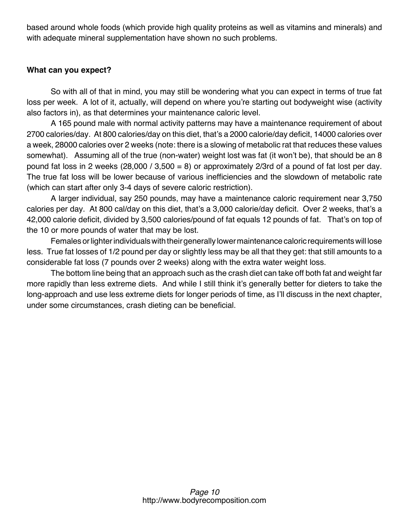based around whole foods (which provide high quality proteins as well as vitamins and minerals) and with adequate mineral supplementation have shown no such problems.

#### **What can you expect?**

So with all of that in mind, you may still be wondering what you can expect in terms of true fat loss per week. A lot of it, actually, will depend on where you're starting out bodyweight wise (activity also factors in), as that determines your maintenance caloric level.

A 165 pound male with normal activity patterns may have a maintenance requirement of about 2700 calories/day. At 800 calories/day on this diet, that's a 2000 calorie/day deficit, 14000 calories over a week, 28000 calories over 2 weeks (note: there is a slowing of metabolic rat that reduces these values somewhat). Assuming all of the true (non-water) weight lost was fat (it won't be), that should be an 8 pound fat loss in 2 weeks (28,000 / 3,500 = 8) or approximately 2/3rd of a pound of fat lost per day. The true fat loss will be lower because of various inefficiencies and the slowdown of metabolic rate (which can start after only 3-4 days of severe caloric restriction).

A larger individual, say 250 pounds, may have a maintenance caloric requirement near 3,750 calories per day. At 800 cal/day on this diet, that's a 3,000 calorie/day deficit. Over 2 weeks, that's a 42,000 calorie deficit, divided by 3,500 calories/pound of fat equals 12 pounds of fat. That's on top of the 10 or more pounds of water that may be lost.

Females or lighter individuals with their generally lower maintenance caloric requirements will lose less. True fat losses of 1/2 pound per day or slightly less may be all that they get: that still amounts to a considerable fat loss (7 pounds over 2 weeks) along with the extra water weight loss.

The bottom line being that an approach such as the crash diet can take off both fat and weight far more rapidly than less extreme diets. And while I still think it's generally better for dieters to take the long-approach and use less extreme diets for longer periods of time, as I'll discuss in the next chapter, under some circumstances, crash dieting can be beneficial.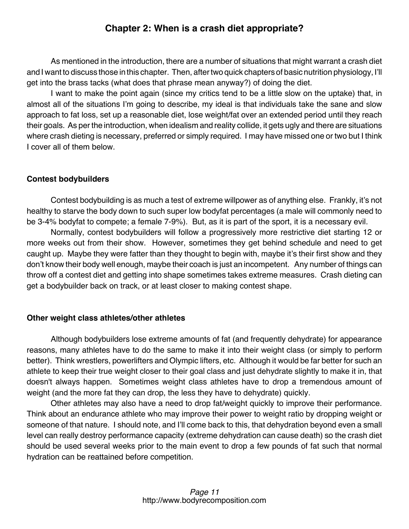# **Chapter 2: When is a crash diet appropriate?**

As mentioned in the introduction, there are a number of situations that might warrant a crash diet and I want to discuss those in this chapter. Then, after two quick chapters of basic nutrition physiology, I'll get into the brass tacks (what does that phrase mean anyway?) of doing the diet.

I want to make the point again (since my critics tend to be a little slow on the uptake) that, in almost all of the situations I'm going to describe, my ideal is that individuals take the sane and slow approach to fat loss, set up a reasonable diet, lose weight/fat over an extended period until they reach their goals. As per the introduction, when idealism and reality collide, it gets ugly and there are situations where crash dieting is necessary, preferred or simply required. I may have missed one or two but I think I cover all of them below.

# **Contest bodybuilders**

Contest bodybuilding is as much a test of extreme willpower as of anything else. Frankly, it's not healthy to starve the body down to such super low bodyfat percentages (a male will commonly need to be 3-4% bodyfat to compete; a female 7-9%). But, as it is part of the sport, it is a necessary evil.

Normally, contest bodybuilders will follow a progressively more restrictive diet starting 12 or more weeks out from their show. However, sometimes they get behind schedule and need to get caught up. Maybe they were fatter than they thought to begin with, maybe it's their first show and they don't know their body well enough, maybe their coach is just an incompetent. Any number of things can throw off a contest diet and getting into shape sometimes takes extreme measures. Crash dieting can get a bodybuilder back on track, or at least closer to making contest shape.

## **Other weight class athletes/other athletes**

Although bodybuilders lose extreme amounts of fat (and frequently dehydrate) for appearance reasons, many athletes have to do the same to make it into their weight class (or simply to perform better). Think wrestlers, powerlifters and Olympic lifters, etc. Although it would be far better for such an athlete to keep their true weight closer to their goal class and just dehydrate slightly to make it in, that doesn't always happen. Sometimes weight class athletes have to drop a tremendous amount of weight (and the more fat they can drop, the less they have to dehydrate) quickly.

Other athletes may also have a need to drop fat/weight quickly to improve their performance. Think about an endurance athlete who may improve their power to weight ratio by dropping weight or someone of that nature. I should note, and I'll come back to this, that dehydration beyond even a small level can really destroy performance capacity (extreme dehydration can cause death) so the crash diet should be used several weeks prior to the main event to drop a few pounds of fat such that normal hydration can be reattained before competition.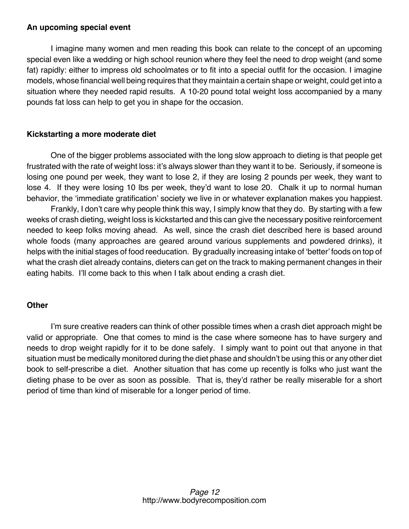#### **An upcoming special event**

I imagine many women and men reading this book can relate to the concept of an upcoming special even like a wedding or high school reunion where they feel the need to drop weight (and some fat) rapidly: either to impress old schoolmates or to fit into a special outfit for the occasion. I imagine models, whose financial well being requires that they maintain a certain shape or weight, could get into a situation where they needed rapid results. A 10-20 pound total weight loss accompanied by a many pounds fat loss can help to get you in shape for the occasion.

## **Kickstarting a more moderate diet**

One of the bigger problems associated with the long slow approach to dieting is that people get frustrated with the rate of weight loss: it's always slower than they want it to be. Seriously, if someone is losing one pound per week, they want to lose 2, if they are losing 2 pounds per week, they want to lose 4. If they were losing 10 lbs per week, they'd want to lose 20. Chalk it up to normal human behavior, the 'immediate gratification' society we live in or whatever explanation makes you happiest. Frankly, I don't care why people think this way, I simply know that they do. By starting with a few weeks of crash dieting, weight loss is kickstarted and this can give the necessary positive reinforcement needed to keep folks moving ahead. As well, since the crash diet described here is based around whole foods (many approaches are geared around various supplements and powdered drinks), it helps with the initial stages of food reeducation. By gradually increasing intake of 'better' foods on top of what the crash diet already contains, dieters can get on the track to making permanent changes in their eating habits. I'll come back to this when I talk about ending a crash diet.

## **Other**

I'm sure creative readers can think of other possible times when a crash diet approach might be valid or appropriate. One that comes to mind is the case where someone has to have surgery and needs to drop weight rapidly for it to be done safely. I simply want to point out that anyone in that situation must be medically monitored during the diet phase and shouldn't be using this or any other diet book to self-prescribe a diet. Another situation that has come up recently is folks who just want the dieting phase to be over as soon as possible. That is, they'd rather be really miserable for a short period of time than kind of miserable for a longer period of time.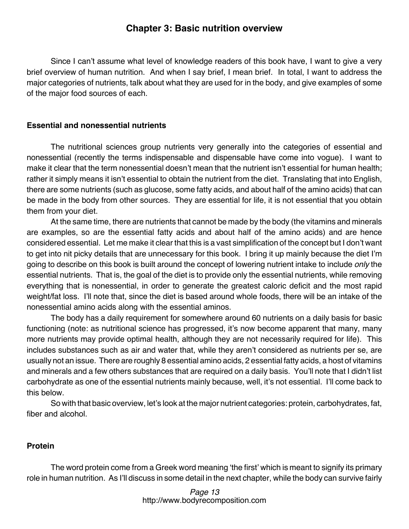# **Chapter 3: Basic nutrition overview**

Since I can't assume what level of knowledge readers of this book have, I want to give a very brief overview of human nutrition. And when I say brief, I mean brief. In total, I want to address the major categories of nutrients, talk about what they are used for in the body, and give examples of some of the major food sources of each.

#### **Essential and nonessential nutrients**

The nutritional sciences group nutrients very generally into the categories of essential and nonessential (recently the terms indispensable and dispensable have come into vogue). I want to make it clear that the term nonessential doesn't mean that the nutrient isn't essential for human health; rather it simply means it isn't essential to obtain the nutrient from the diet. Translating that into English, there are some nutrients (such as glucose, some fatty acids, and about half of the amino acids) that can be made in the body from other sources. They are essential for life, it is not essential that you obtain them from your diet.

At the same time, there are nutrients that cannot be made by the body (the vitamins and minerals are examples, so are the essential fatty acids and about half of the amino acids) and are hence considered essential. Let me make it clear that this is a vast simplification of the concept but I don't want to get into nit picky details that are unnecessary for this book. I bring it up mainly because the diet I'm going to describe on this book is built around the concept of lowering nutrient intake to include only the essential nutrients. That is, the goal of the diet is to provide only the essential nutrients, while removing everything that is nonessential, in order to generate the greatest caloric deficit and the most rapid weight/fat loss. I'll note that, since the diet is based around whole foods, there will be an intake of the nonessential amino acids along with the essential aminos.

The body has a daily requirement for somewhere around 60 nutrients on a daily basis for basic functioning (note: as nutritional science has progressed, it's now become apparent that many, many more nutrients may provide optimal health, although they are not necessarily required for life). This includes substances such as air and water that, while they aren't considered as nutrients per se, are usually not an issue. There are roughly 8 essential amino acids, 2 essential fatty acids, a host of vitamins and minerals and a few others substances that are required on a daily basis. You'll note that I didn't list carbohydrate as one of the essential nutrients mainly because, well, it's not essential. I'll come back to this below.

So with that basic overview, let's look at the major nutrient categories: protein, carbohydrates, fat, fiber and alcohol.

## **Protein**

The word protein come from a Greek word meaning 'the first' which is meant to signify its primary role in human nutrition. As I'll discuss in some detail in the next chapter, while the body can survive fairly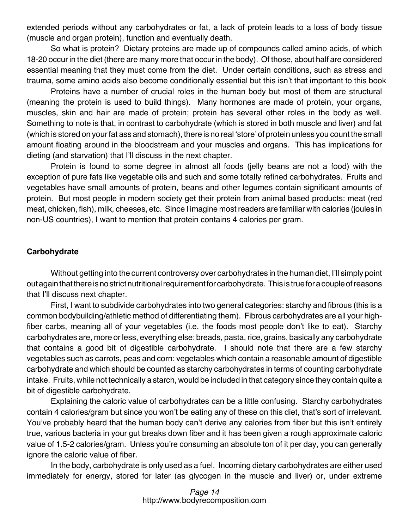extended periods without any carbohydrates or fat, a lack of protein leads to a loss of body tissue (muscle and organ protein), function and eventually death.

So what is protein? Dietary proteins are made up of compounds called amino acids, of which 18-20 occur in the diet (there are many more that occur in the body). Of those, about half are considered essential meaning that they must come from the diet. Under certain conditions, such as stress and trauma, some amino acids also become conditionally essential but this isn't that important to this book.

Proteins have a number of crucial roles in the human body but most of them are structural (meaning the protein is used to build things). Many hormones are made of protein, your organs, muscles, skin and hair are made of protein; protein has several other roles in the body as well. Something to note is that, in contrast to carbohydrate (which is stored in both muscle and liver) and fat (which is stored on your fat ass and stomach), there is no real 'store' of protein unless you count the small amount floating around in the bloodstream and your muscles and organs. This has implications for dieting (and starvation) that I'll discuss in the next chapter.

Protein is found to some degree in almost all foods (jelly beans are not a food) with the exception of pure fats like vegetable oils and such and some totally refined carbohydrates. Fruits and vegetables have small amounts of protein, beans and other legumes contain significant amounts of protein. But most people in modern society get their protein from animal based products: meat (red meat, chicken, fish), milk, cheeses, etc. Since I imagine most readers are familiar with calories (joules in non-US countries), I want to mention that protein contains 4 calories per gram.

#### **Carbohydrate**

Without getting into the current controversy over carbohydrates in the human diet, I'll simply point out again that there is no strict nutritional requirement for carbohydrate. This is true for a couple of reasons that I'll discuss next chapter.

First, I want to subdivide carbohydrates into two general categories: starchy and fibrous (this is a common bodybuilding/athletic method of differentiating them). Fibrous carbohydrates are all your highfiber carbs, meaning all of your vegetables (i.e. the foods most people don't like to eat). Starchy carbohydrates are, more or less, everything else: breads, pasta, rice, grains, basically any carbohydrate that contains a good bit of digestible carbohydrate. I should note that there are a few starchy vegetables such as carrots, peas and corn: vegetables which contain a reasonable amount of digestible carbohydrate and which should be counted as starchy carbohydrates in terms of counting carbohydrate intake. Fruits, while not technically a starch, would be included in that category since they contain quite a bit of digestible carbohydrate.

Explaining the caloric value of carbohydrates can be a little confusing. Starchy carbohydrates contain 4 calories/gram but since you won't be eating any of these on this diet, that's sort of irrelevant. You've probably heard that the human body can't derive any calories from fiber but this isn't entirely true, various bacteria in your gut breaks down fiber and it has been given a rough approximate caloric value of 1.5-2 calories/gram. Unless you're consuming an absolute ton of it per day, you can generally ignore the caloric value of fiber.

In the body, carbohydrate is only used as a fuel. Incoming dietary carbohydrates are either used immediately for energy, stored for later (as glycogen in the muscle and liver) or, under extreme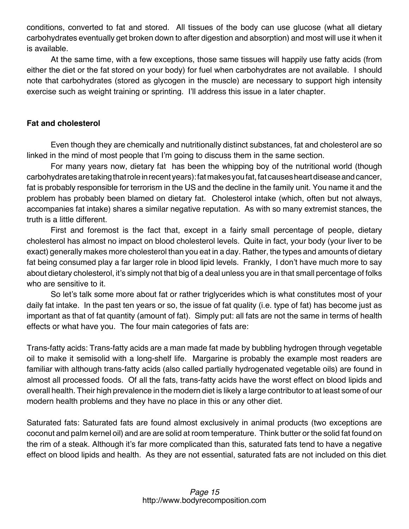conditions, converted to fat and stored. All tissues of the body can use glucose (what all dietary carbohydrates eventually get broken down to after digestion and absorption) and most will use it when it is available.

At the same time, with a few exceptions, those same tissues will happily use fatty acids (from either the diet or the fat stored on your body) for fuel when carbohydrates are not available. I should note that carbohydrates (stored as glycogen in the muscle) are necessary to support high intensity exercise such as weight training or sprinting. I'll address this issue in a later chapter.

## **Fat and cholesterol**

Even though they are chemically and nutritionally distinct substances, fat and cholesterol are so linked in the mind of most people that I'm going to discuss them in the same section.

For many years now, dietary fat has been the whipping boy of the nutritional world (though carbohydrates are taking that role in recent years): fat makes you fat, fat causes heart disease and cancer, fat is probably responsible for terrorism in the US and the decline in the family unit. You name it and the problem has probably been blamed on dietary fat. Cholesterol intake (which, often but not always, accompanies fat intake) shares a similar negative reputation. As with so many extremist stances, the truth is a little different.

First and foremost is the fact that, except in a fairly small percentage of people, dietary cholesterol has almost no impact on blood cholesterol levels. Quite in fact, your body (your liver to be exact) generally makes more cholesterol than you eat in a day. Rather, the types and amounts of dietary fat being consumed play a far larger role in blood lipid levels. Frankly, I don't have much more to say about dietary cholesterol, it's simply not that big of a deal unless you are in that small percentage of folks who are sensitive to it.

So let's talk some more about fat or rather triglycerides which is what constitutes most of your daily fat intake. In the past ten years or so, the issue of fat quality (i.e. type of fat) has become just as important as that of fat quantity (amount of fat). Simply put: all fats are not the same in terms of health effects or what have you. The four main categories of fats are:

Trans-fatty acids: Trans-fatty acids are a man made fat made by bubbling hydrogen through vegetable oil to make it semisolid with a long-shelf life. Margarine is probably the example most readers are familiar with although trans-fatty acids (also called partially hydrogenated vegetable oils) are found in almost all processed foods. Of all the fats, trans-fatty acids have the worst effect on blood lipids and overall health. Their high prevalence in the modern diet is likely a large contributor to at least some of our modern health problems and they have no place in this or any other diet.

Saturated fats: Saturated fats are found almost exclusively in animal products (two exceptions are coconut and palm kernel oil) and are are solid at room temperature. Think butter or the solid fat found on the rim of a steak. Although it's far more complicated than this, saturated fats tend to have a negative effect on blood lipids and health. As they are not essential, saturated fats are not included on this diet.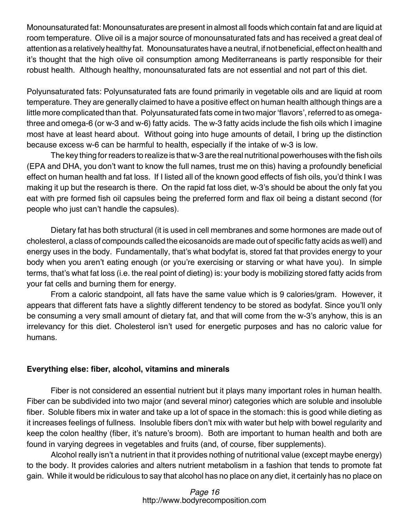Monounsaturated fat: Monounsaturates are present in almost all foods which contain fat and are liquid at room temperature. Olive oil is a major source of monounsaturated fats and has received a great deal of attention as a relatively healthy fat. Monounsaturates have a neutral, if not beneficial, effect on health and it's thought that the high olive oil consumption among Mediterraneans is partly responsible for their robust health. Although healthy, monounsaturated fats are not essential and not part of this diet.

Polyunsaturated fats: Polyunsaturated fats are found primarily in vegetable oils and are liquid at room temperature. They are generally claimed to have a positive effect on human health although things are a little more complicated than that. Polyunsaturated fats come in two major 'flavors', referred to as omegathree and omega-6 (or w-3 and w-6) fatty acids. The w-3 fatty acids include the fish oils which I imagine most have at least heard about. Without going into huge amounts of detail, I bring up the distinction because excess w-6 can be harmful to health, especially if the intake of w-3 is low.

The key thing for readers to realize is that w-3 are the real nutritional powerhouses with the fish oils (EPA and DHA, you don't want to know the full names, trust me on this) having a profoundly beneficial effect on human health and fat loss. If I listed all of the known good effects of fish oils, you'd think I was making it up but the research is there. On the rapid fat loss diet, w-3's should be about the only fat you eat with pre formed fish oil capsules being the preferred form and flax oil being a distant second (for people who just can't handle the capsules).

Dietary fat has both structural (it is used in cell membranes and some hormones are made out of cholesterol, a class of compounds called the eicosanoids are made out of specific fatty acids as well) and energy uses in the body. Fundamentally, that's what bodyfat is, stored fat that provides energy to your body when you aren't eating enough (or you're exercising or starving or what have you). In simple terms, that's what fat loss (i.e. the real point of dieting) is: your body is mobilizing stored fatty acids from your fat cells and burning them for energy.

From a caloric standpoint, all fats have the same value which is 9 calories/gram. However, it appears that different fats have a slightly different tendency to be stored as bodyfat. Since you'll only be consuming a very small amount of dietary fat, and that will come from the w-3's anyhow, this is an irrelevancy for this diet. Cholesterol isn't used for energetic purposes and has no caloric value for humans.

## **Everything else: fiber, alcohol, vitamins and minerals**

Fiber is not considered an essential nutrient but it plays many important roles in human health. Fiber can be subdivided into two major (and several minor) categories which are soluble and insoluble fiber. Soluble fibers mix in water and take up a lot of space in the stomach: this is good while dieting as it increases feelings of fullness. Insoluble fibers don't mix with water but help with bowel regularity and keep the colon healthy (fiber, it's nature's broom). Both are important to human health and both are found in varying degrees in vegetables and fruits (and, of course, fiber supplements).

Alcohol really isn't a nutrient in that it provides nothing of nutritional value (except maybe energy) to the body. It provides calories and alters nutrient metabolism in a fashion that tends to promote fat gain. While it would be ridiculous to say that alcohol has no place on any diet, it certainly has no place on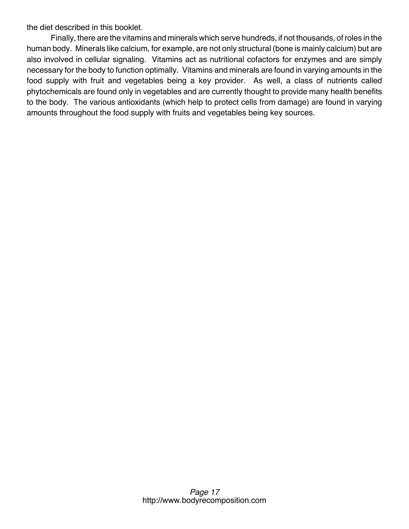the diet described in this booklet.

Finally, there are the vitamins and minerals which serve hundreds, if not thousands, of roles in the human body. Minerals like calcium, for example, are not only structural (bone is mainly calcium) but are also involved in cellular signaling. Vitamins act as nutritional cofactors for enzymes and are simply necessary for the body to function optimally. Vitamins and minerals are found in varying amounts in the food supply with fruit and vegetables being a key provider. As well, a class of nutrients called phytochemicals are found only in vegetables and are currently thought to provide many health benefits to the body. The various antioxidants (which help to protect cells from damage) are found in varying amounts throughout the food supply with fruits and vegetables being key sources.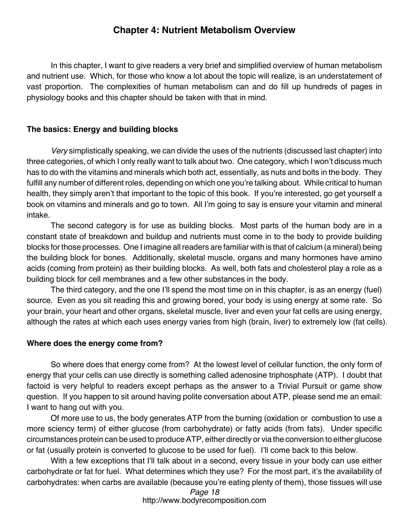# **Chapter 4: Nutrient Metabolism Overview**

In this chapter, I want to give readers a very brief and simplified overview of human metabolism and nutrient use. Which, for those who know a lot about the topic will realize, is an understatement of vast proportion. The complexities of human metabolism can and do fill up hundreds of pages in physiology books and this chapter should be taken with that in mind.

## **The basics: Energy and building blocks**

Very simplistically speaking, we can divide the uses of the nutrients (discussed last chapter) into three categories, of which I only really want to talk about two. One category, which I won't discuss much has to do with the vitamins and minerals which both act, essentially, as nuts and bolts in the body. They fulfill any number of different roles, depending on which one you're talking about. While critical to human health, they simply aren't that important to the topic of this book. If you're interested, go get yourself a book on vitamins and minerals and go to town. All I'm going to say is ensure your vitamin and mineral intake.

The second category is for use as building blocks. Most parts of the human body are in a constant state of breakdown and buildup and nutrients must come in to the body to provide building blocks for those processes. One I imagine all readers are familiar with is that of calcium (a mineral) being the building block for bones. Additionally, skeletal muscle, organs and many hormones have amino acids (coming from protein) as their building blocks. As well, both fats and cholesterol play a role as a building block for cell membranes and a few other substances in the body.

The third category, and the one I'll spend the most time on in this chapter, is as an energy (fuel) source. Even as you sit reading this and growing bored, your body is using energy at some rate. So your brain, your heart and other organs, skeletal muscle, liver and even your fat cells are using energy, although the rates at which each uses energy varies from high (brain, liver) to extremely low (fat cells).

## **Where does the energy come from?**

So where does that energy come from? At the lowest level of cellular function, the only form of energy that your cells can use directly is something called adenosine triphosphate (ATP). I doubt that factoid is very helpful to readers except perhaps as the answer to a Trivial Pursuit or game show question. If you happen to sit around having polite conversation about ATP, please send me an email: I want to hang out with you.

Of more use to us, the body generates ATP from the burning (oxidation or combustion to use a more sciency term) of either glucose (from carbohydrate) or fatty acids (from fats). Under specific circumstances protein can be used to produce ATP, either directly or via the conversion to either glucose or fat (usually protein is converted to glucose to be used for fuel). I'll come back to this below.

With a few exceptions that I'll talk about in a second, every tissue in your body can use either carbohydrate or fat for fuel. What determines which they use? For the most part, it's the availability of carbohydrates: when carbs are available (because you're eating plenty of them), those tissues will use

> Page 18 http://www.bodyrecomposition.com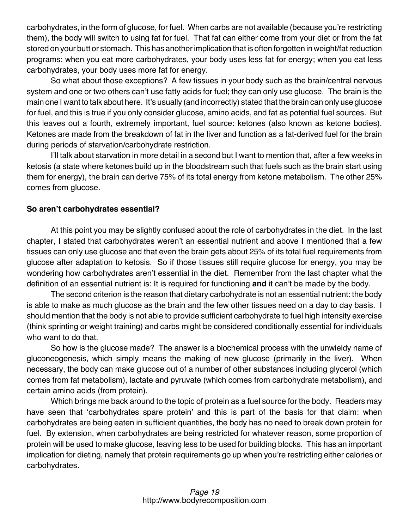carbohydrates, in the form of glucose, for fuel. When carbs are not available (because you're restricting them), the body will switch to using fat for fuel. That fat can either come from your diet or from the fat stored on your butt or stomach. This has another implication that is often forgotten in weight/fat reduction programs: when you eat more carbohydrates, your body uses less fat for energy; when you eat less carbohydrates, your body uses more fat for energy.

So what about those exceptions? A few tissues in your body such as the brain/central nervous system and one or two others can't use fatty acids for fuel; they can only use glucose. The brain is the main one I want to talk about here. It's usually (and incorrectly) stated that the brain can only use glucose for fuel, and this is true if you only consider glucose, amino acids, and fat as potential fuel sources. But this leaves out a fourth, extremely important, fuel source: ketones (also known as ketone bodies). Ketones are made from the breakdown of fat in the liver and function as a fat-derived fuel for the brain during periods of starvation/carbohydrate restriction.

I'll talk about starvation in more detail in a second but I want to mention that, after a few weeks in ketosis (a state where ketones build up in the bloodstream such that fuels such as the brain start using them for energy), the brain can derive 75% of its total energy from ketone metabolism. The other 25% comes from glucose.

# **So aren't carbohydrates essential?**

At this point you may be slightly confused about the role of carbohydrates in the diet. In the last chapter, I stated that carbohydrates weren't an essential nutrient and above I mentioned that a few tissues can only use glucose and that even the brain gets about 25% of its total fuel requirements from glucose after adaptation to ketosis. So if those tissues still require glucose for energy, you may be wondering how carbohydrates aren't essential in the diet. Remember from the last chapter what the definition of an essential nutrient is: It is required for functioning **and** it can't be made by the body.

The second criterion is the reason that dietary carbohydrate is not an essential nutrient: the body is able to make as much glucose as the brain and the few other tissues need on a day to day basis. I should mention that the body is not able to provide sufficient carbohydrate to fuel high intensity exercise (think sprinting or weight training) and carbs might be considered conditionally essential for individuals who want to do that.

So how is the glucose made? The answer is a biochemical process with the unwieldy name of gluconeogenesis, which simply means the making of new glucose (primarily in the liver). When necessary, the body can make glucose out of a number of other substances including glycerol (which comes from fat metabolism), lactate and pyruvate (which comes from carbohydrate metabolism), and certain amino acids (from protein).

Which brings me back around to the topic of protein as a fuel source for the body. Readers may have seen that 'carbohydrates spare protein' and this is part of the basis for that claim: when carbohydrates are being eaten in sufficient quantities, the body has no need to break down protein for fuel. By extension, when carbohydrates are being restricted for whatever reason, some proportion of protein will be used to make glucose, leaving less to be used for building blocks. This has an important implication for dieting, namely that protein requirements go up when you're restricting either calories or carbohydrates.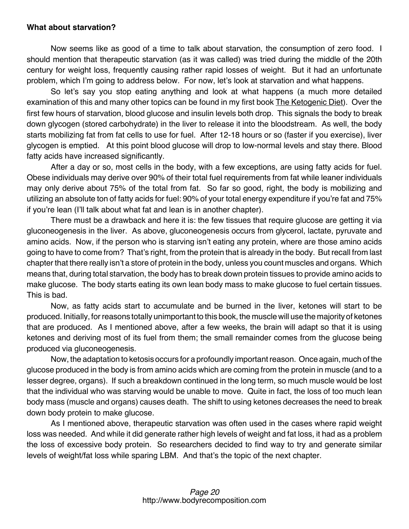#### **What about starvation?**

Now seems like as good of a time to talk about starvation, the consumption of zero food. I should mention that therapeutic starvation (as it was called) was tried during the middle of the 20th century for weight loss, frequently causing rather rapid losses of weight. But it had an unfortunate problem, which I'm going to address below. For now, let's look at starvation and what happens.

So let's say you stop eating anything and look at what happens (a much more detailed examination of this and many other topics can be found in my first book The Ketogenic Diet). Over the first few hours of starvation, blood glucose and insulin levels both drop. This signals the body to break down glycogen (stored carbohydrate) in the liver to release it into the bloodstream. As well, the body starts mobilizing fat from fat cells to use for fuel. After 12-18 hours or so (faster if you exercise), liver glycogen is emptied. At this point blood glucose will drop to low-normal levels and stay there. Blood fatty acids have increased significantly.

After a day or so, most cells in the body, with a few exceptions, are using fatty acids for fuel. Obese individuals may derive over 90% of their total fuel requirements from fat while leaner individuals may only derive about 75% of the total from fat. So far so good, right, the body is mobilizing and utilizing an absolute ton of fatty acids for fuel: 90% of your total energy expenditure if you're fat and 75% if you're lean (I'll talk about what fat and lean is in another chapter).

There must be a drawback and here it is: the few tissues that require glucose are getting it via gluconeogenesis in the liver. As above, gluconeogenesis occurs from glycerol, lactate, pyruvate and amino acids. Now, if the person who is starving isn't eating any protein, where are those amino acids going to have to come from? That's right, from the protein that is already in the body. But recall from last chapter that there really isn't a store of protein in the body, unless you count muscles and organs. Which means that, during total starvation, the body has to break down protein tissues to provide amino acids to make glucose. The body starts eating its own lean body mass to make glucose to fuel certain tissues. This is bad.

Now, as fatty acids start to accumulate and be burned in the liver, ketones will start to be produced. Initially, for reasons totally unimportant to this book, the muscle will use the majority of ketones that are produced. As I mentioned above, after a few weeks, the brain will adapt so that it is using ketones and deriving most of its fuel from them; the small remainder comes from the glucose being produced via gluconeogenesis.

Now, the adaptation to ketosis occurs for a profoundly important reason. Once again, much of the glucose produced in the body is from amino acids which are coming from the protein in muscle (and to a lesser degree, organs). If such a breakdown continued in the long term, so much muscle would be lost that the individual who was starving would be unable to move. Quite in fact, the loss of too much lean body mass (muscle and organs) causes death. The shift to using ketones decreases the need to break down body protein to make glucose.

As I mentioned above, therapeutic starvation was often used in the cases where rapid weight loss was needed. And while it did generate rather high levels of weight and fat loss, it had as a problem the loss of excessive body protein. So researchers decided to find way to try and generate similar levels of weight/fat loss while sparing LBM. And that's the topic of the next chapter.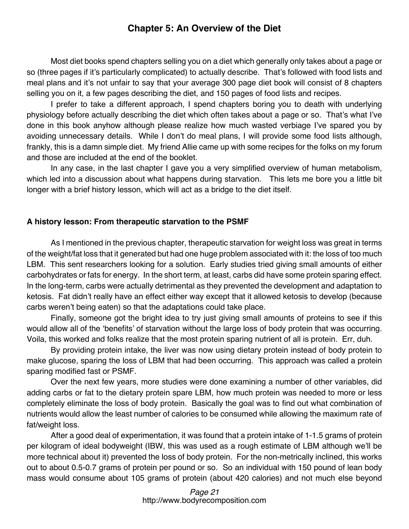# **Chapter 5: An Overview of the Diet**

Most diet books spend chapters selling you on a diet which generally only takes about a page or so (three pages if it's particularly complicated) to actually describe. That's followed with food lists and meal plans and it's not unfair to say that your average 300 page diet book will consist of 8 chapters selling you on it, a few pages describing the diet, and 150 pages of food lists and recipes.

I prefer to take a different approach, I spend chapters boring you to death with underlying physiology before actually describing the diet which often takes about a page or so. That's what I've done in this book anyhow although please realize how much wasted verbiage I've spared you by avoiding unnecessary details. While I don't do meal plans, I will provide some food lists although, frankly, this is a damn simple diet. My friend Allie came up with some recipes for the folks on my forum and those are included at the end of the booklet.

In any case, in the last chapter I gave you a very simplified overview of human metabolism, which led into a discussion about what happens during starvation. This lets me bore you a little bit longer with a brief history lesson, which will act as a bridge to the diet itself.

#### **A history lesson: From therapeutic starvation to the PSMF**

As I mentioned in the previous chapter, therapeutic starvation for weight loss was great in terms of the weight/fat loss that it generated but had one huge problem associated with it: the loss of too much LBM. This sent researchers looking for a solution. Early studies tried giving small amounts of either carbohydrates or fats for energy. In the short term, at least, carbs did have some protein sparing effect. In the long-term, carbs were actually detrimental as they prevented the development and adaptation to ketosis. Fat didn't really have an effect either way except that it allowed ketosis to develop (because carbs weren't being eaten) so that the adaptations could take place.

Finally, someone got the bright idea to try just giving small amounts of proteins to see if this would allow all of the 'benefits' of starvation without the large loss of body protein that was occurring. Voila, this worked and folks realize that the most protein sparing nutrient of all is protein. Err, duh.

By providing protein intake, the liver was now using dietary protein instead of body protein to make glucose, sparing the loss of LBM that had been occurring. This approach was called a protein sparing modified fast or PSMF.

Over the next few years, more studies were done examining a number of other variables, did adding carbs or fat to the dietary protein spare LBM, how much protein was needed to more or less completely eliminate the loss of body protein. Basically the goal was to find out what combination of nutrients would allow the least number of calories to be consumed while allowing the maximum rate of fat/weight loss.

After a good deal of experimentation, it was found that a protein intake of 1-1.5 grams of protein per kilogram of ideal bodyweight (IBW, this was used as a rough estimate of LBM although we'll be more technical about it) prevented the loss of body protein. For the non-metrically inclined, this works out to about 0.5-0.7 grams of protein per pound or so. So an individual with 150 pound of lean body mass would consume about 105 grams of protein (about 420 calories) and not much else beyond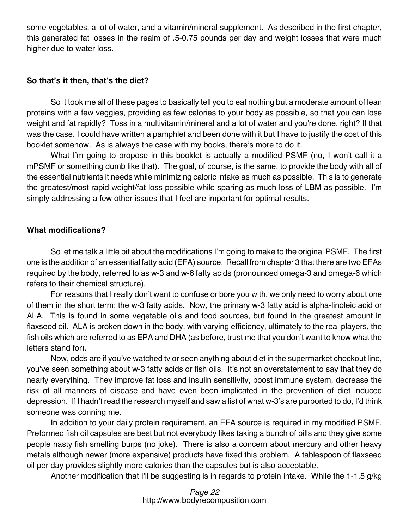some vegetables, a lot of water, and a vitamin/mineral supplement. As described in the first chapter, this generated fat losses in the realm of .5-0.75 pounds per day and weight losses that were much higher due to water loss.

#### **So that's it then, that's the diet?**

So it took me all of these pages to basically tell you to eat nothing but a moderate amount of lean proteins with a few veggies, providing as few calories to your body as possible, so that you can lose weight and fat rapidly? Toss in a multivitamin/mineral and a lot of water and you're done, right? If that was the case, I could have written a pamphlet and been done with it but I have to justify the cost of this booklet somehow. As is always the case with my books, there's more to do it.

What I'm going to propose in this booklet is actually a modified PSMF (no, I won't call it a mPSMF or something dumb like that). The goal, of course, is the same, to provide the body with all of the essential nutrients it needs while minimizing caloric intake as much as possible. This is to generate the greatest/most rapid weight/fat loss possible while sparing as much loss of LBM as possible. I'm simply addressing a few other issues that I feel are important for optimal results.

## **What modifications?**

So let me talk a little bit about the modifications I'm going to make to the original PSMF. The first one is the addition of an essential fatty acid (EFA) source. Recall from chapter 3 that there are two EFAs required by the body, referred to as w-3 and w-6 fatty acids (pronounced omega-3 and omega-6 which refers to their chemical structure).

For reasons that I really don't want to confuse or bore you with, we only need to worry about one of them in the short term: the w-3 fatty acids. Now, the primary w-3 fatty acid is alpha-linoleic acid or ALA. This is found in some vegetable oils and food sources, but found in the greatest amount in flaxseed oil. ALA is broken down in the body, with varying efficiency, ultimately to the real players, the fish oils which are referred to as EPA and DHA (as before, trust me that you don't want to know what the letters stand for).

Now, odds are if you've watched tv or seen anything about diet in the supermarket checkout line, you've seen something about w-3 fatty acids or fish oils. It's not an overstatement to say that they do nearly everything. They improve fat loss and insulin sensitivity, boost immune system, decrease the risk of all manners of disease and have even been implicated in the prevention of diet induced depression. If I hadn't read the research myself and saw a list of what w-3's are purported to do, I'd think someone was conning me.

In addition to your daily protein requirement, an EFA source is required in my modified PSMF. Preformed fish oil capsules are best but not everybody likes taking a bunch of pills and they give some people nasty fish smelling burps (no joke). There is also a concern about mercury and other heavy metals although newer (more expensive) products have fixed this problem. A tablespoon of flaxseed oil per day provides slightly more calories than the capsules but is also acceptable.

Another modification that I'll be suggesting is in regards to protein intake. While the 1-1.5 g/kg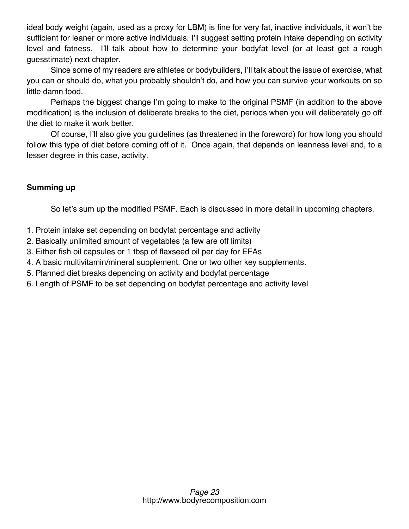ideal body weight (again, used as a proxy for LBM) is fine for very fat, inactive individuals, it won't be sufficient for leaner or more active individuals. I'll suggest setting protein intake depending on activity level and fatness. I'll talk about how to determine your bodyfat level (or at least get a rough guesstimate) next chapter.

Since some of my readers are athletes or bodybuilders, I'll talk about the issue of exercise, what you can or should do, what you probably shouldn't do, and how you can survive your workouts on so little damn food.

Perhaps the biggest change I'm going to make to the original PSMF (in addition to the above modification) is the inclusion of deliberate breaks to the diet, periods when you will deliberately go off the diet to make it work better.

Of course, I'll also give you guidelines (as threatened in the foreword) for how long you should follow this type of diet before coming off of it. Once again, that depends on leanness level and, to a lesser degree in this case, activity.

# **Summing up**

So let's sum up the modified PSMF. Each is discussed in more detail in upcoming chapters.

- 1. Protein intake set depending on bodyfat percentage and activity
- 2. Basically unlimited amount of vegetables (a few are off limits)
- 3. Either fish oil capsules or 1 tbsp of flaxseed oil per day for EFAs
- 4. A basic multivitamin/mineral supplement. One or two other key supplements.
- 5. Planned diet breaks depending on activity and bodyfat percentage
- 6. Length of PSMF to be set depending on bodyfat percentage and activity level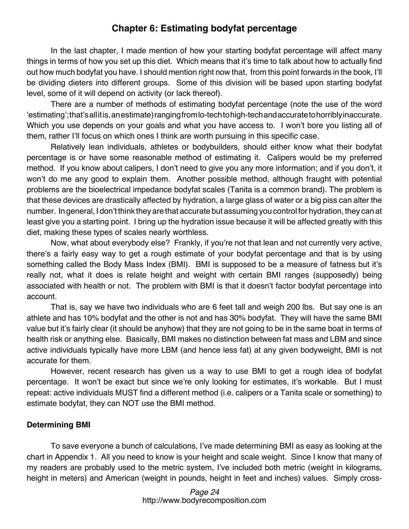# **Chapter 6: Estimating bodyfat percentage**

In the last chapter, I made mention of how your starting bodyfat percentage will affect many things in terms of how you set up this diet. Which means that it's time to talk about how to actually find out how much bodyfat you have. I should mention right now that, from this point forwards in the book, I'll be dividing dieters into different groups. Some of this division will be based upon starting bodyfat level, some of it will depend on activity (or lack thereof).

There are a number of methods of estimating bodyfat percentage (note the use of the word 'estimating'; that's all it is, an estimate) ranging from lo-tech to high-tech and accurate to horribly inaccurate. Which you use depends on your goals and what you have access to. I won't bore you listing all of them, rather I'll focus on which ones I think are worth pursuing in this specific case.

Relatively lean individuals, athletes or bodybuilders, should either know what their bodyfat percentage is or have some reasonable method of estimating it. Calipers would be my preferred method. If you know about calipers, I don't need to give you any more information; and if you don't, it won't do me any good to explain them. Another possible method, although fraught with potential problems are the bioelectrical impedance bodyfat scales (Tanita is a common brand). The problem is that these devices are drastically affected by hydration, a large glass of water or a big piss can alter the number. In general, I don't think they are that accurate but assuming you control for hydration, they can at least give you a starting point. I bring up the hydration issue because it will be affected greatly with this diet, making these types of scales nearly worthless.

Now, what about everybody else? Frankly, if you're not that lean and not currently very active, there's a fairly easy way to get a rough estimate of your bodyfat percentage and that is by using something called the Body Mass Index (BMI). BMI is supposed to be a measure of fatness but it's really not, what it does is relate height and weight with certain BMI ranges (supposedly) being associated with health or not. The problem with BMI is that it doesn't factor bodyfat percentage into account.

That is, say we have two individuals who are 6 feet tall and weigh 200 lbs. But say one is an athlete and has 10% bodyfat and the other is not and has 30% bodyfat. They will have the same BMI value but it's fairly clear (it should be anyhow) that they are not going to be in the same boat in terms of health risk or anything else. Basically, BMI makes no distinction between fat mass and LBM and since active individuals typically have more LBM (and hence less fat) at any given bodyweight, BMI is not accurate for them.

However, recent research has given us a way to use BMI to get a rough idea of bodyfat percentage. It won't be exact but since we're only looking for estimates, it's workable. But I must repeat: active individuals MUST find a different method (i.e. calipers or a Tanita scale or something) to estimate bodyfat, they can NOT use the BMI method.

#### **Determining BMI**

To save everyone a bunch of calculations, I've made determining BMI as easy as looking at the chart in Appendix 1. All you need to know is your height and scale weight. Since I know that many of my readers are probably used to the metric system, I've included both metric (weight in kilograms, height in meters) and American (weight in pounds, height in feet and inches) values. Simply cross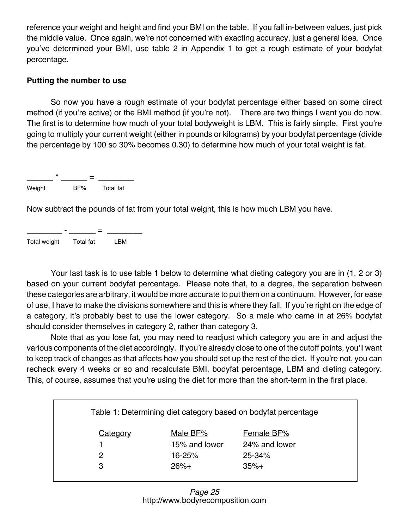reference your weight and height and find your BMI on the table. If you fall in-between values, just pick the middle value. Once again, we're not concerned with exacting accuracy, just a general idea. Once you've determined your BMI, use table 2 in Appendix 1 to get a rough estimate of your bodyfat percentage.

# **Putting the number to use**

So now you have a rough estimate of your bodyfat percentage either based on some direct method (if you're active) or the BMI method (if you're not). There are two things I want you do now. The first is to determine how much of your total bodyweight is LBM. This is fairly simple. First you're going to multiply your current weight (either in pounds or kilograms) by your bodyfat percentage (divide the percentage by 100 so 30% becomes 0.30) to determine how much of your total weight is fat.



Now subtract the pounds of fat from your total weight, this is how much LBM you have.

\_\_\_\_\_\_\_\_ - \_\_\_\_\_\_ = \_\_\_\_\_\_\_\_ Total weight Total fat LBM

Your last task is to use table 1 below to determine what dieting category you are in (1, 2 or 3) based on your current bodyfat percentage. Please note that, to a degree, the separation between these categories are arbitrary, it would be more accurate to put them on a continuum. However, for ease of use, I have to make the divisions somewhere and this is where they fall. If you're right on the edge of a category, it's probably best to use the lower category. So a male who came in at 26% bodyfat should consider themselves in category 2, rather than category 3.

Note that as you lose fat, you may need to readjust which category you are in and adjust the various components of the diet accordingly. If you're already close to one of the cutoff points, you'll want to keep track of changes as that affects how you should set up the rest of the diet. If you're not, you can recheck every 4 weeks or so and recalculate BMI, bodyfat percentage, LBM and dieting category. This, of course, assumes that you're using the diet for more than the short-term in the first place.

| Table 1: Determining diet category based on bodyfat percentage |               |               |  |  |  |  |
|----------------------------------------------------------------|---------------|---------------|--|--|--|--|
| Category                                                       | Male BF%      | Female BF%    |  |  |  |  |
|                                                                | 15% and lower | 24% and lower |  |  |  |  |
| 2                                                              | 16-25%        | 25-34%        |  |  |  |  |
| 3                                                              | $26%+$        | $35%+$        |  |  |  |  |
|                                                                |               |               |  |  |  |  |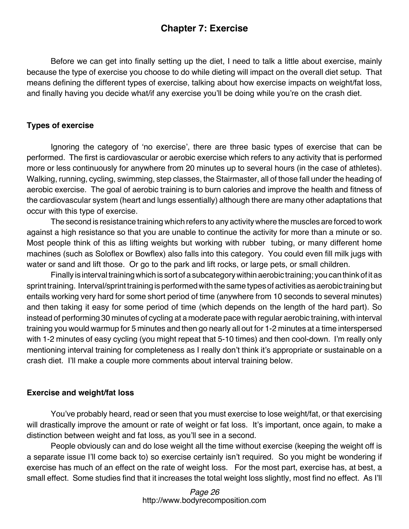# **Chapter 7: Exercise**

Before we can get into finally setting up the diet, I need to talk a little about exercise, mainly because the type of exercise you choose to do while dieting will impact on the overall diet setup. That means defining the different types of exercise, talking about how exercise impacts on weight/fat loss, and finally having you decide what/if any exercise you'll be doing while you're on the crash diet.

## **Types of exercise**

Ignoring the category of 'no exercise', there are three basic types of exercise that can be performed. The first is cardiovascular or aerobic exercise which refers to any activity that is performed more or less continuously for anywhere from 20 minutes up to several hours (in the case of athletes). Walking, running, cycling, swimming, step classes, the Stairmaster, all of those fall under the heading of aerobic exercise. The goal of aerobic training is to burn calories and improve the health and fitness of the cardiovascular system (heart and lungs essentially) although there are many other adaptations that occur with this type of exercise.

The second is resistance training which refers to any activity where the muscles are forced to work against a high resistance so that you are unable to continue the activity for more than a minute or so. Most people think of this as lifting weights but working with rubber tubing, or many different home machines (such as Soloflex or Bowflex) also falls into this category. You could even fill milk jugs with water or sand and lift those. Or go to the park and lift rocks, or large pets, or small children.

Finally is interval training which is sort of a subcategory within aerobic training; you can think of it as sprint training. Interval/sprint training is performed with the same types of activities as aerobic training but entails working very hard for some short period of time (anywhere from 10 seconds to several minutes) and then taking it easy for some period of time (which depends on the length of the hard part). So instead of performing 30 minutes of cycling at a moderate pace with regular aerobic training, with interval training you would warmup for 5 minutes and then go nearly all out for 1-2 minutes at a time interspersed with 1-2 minutes of easy cycling (you might repeat that 5-10 times) and then cool-down. I'm really only mentioning interval training for completeness as I really don't think it's appropriate or sustainable on a crash diet. I'll make a couple more comments about interval training below.

## **Exercise and weight/fat loss**

You've probably heard, read or seen that you must exercise to lose weight/fat, or that exercising will drastically improve the amount or rate of weight or fat loss. It's important, once again, to make a distinction between weight and fat loss, as you'll see in a second.

People obviously can and do lose weight all the time without exercise (keeping the weight off is a separate issue I'll come back to) so exercise certainly isn't required. So you might be wondering if exercise has much of an effect on the rate of weight loss. For the most part, exercise has, at best, a small effect. Some studies find that it increases the total weight loss slightly, most find no effect. As I'll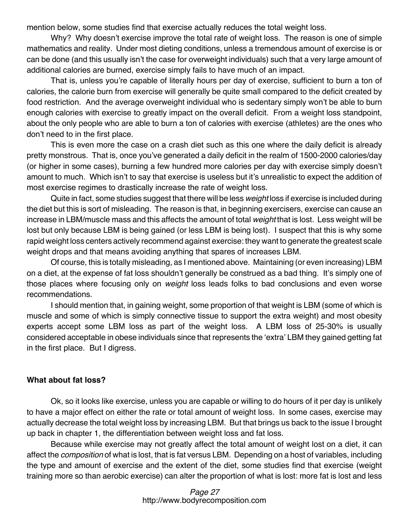mention below, some studies find that exercise actually reduces the total weight loss.

Why? Why doesn't exercise improve the total rate of weight loss. The reason is one of simple mathematics and reality. Under most dieting conditions, unless a tremendous amount of exercise is or can be done (and this usually isn't the case for overweight individuals) such that a very large amount of additional calories are burned, exercise simply fails to have much of an impact.

That is, unless you're capable of literally hours per day of exercise, sufficient to burn a ton of calories, the calorie burn from exercise will generally be quite small compared to the deficit created by food restriction. And the average overweight individual who is sedentary simply won't be able to burn enough calories with exercise to greatly impact on the overall deficit. From a weight loss standpoint, about the only people who are able to burn a ton of calories with exercise (athletes) are the ones who don't need to in the first place.

This is even more the case on a crash diet such as this one where the daily deficit is already pretty monstrous. That is, once you've generated a daily deficit in the realm of 1500-2000 calories/day (or higher in some cases), burning a few hundred more calories per day with exercise simply doesn't amount to much. Which isn't to say that exercise is useless but it's unrealistic to expect the addition of most exercise regimes to drastically increase the rate of weight loss.

Quite in fact, some studies suggest that there will be less weight loss if exercise is included during the diet but this is sort of misleading. The reason is that, in beginning exercisers, exercise can cause an increase in LBM/muscle mass and this affects the amount of total weight that is lost. Less weight will be lost but only because LBM is being gained (or less LBM is being lost). I suspect that this is why some rapid weight loss centers actively recommend against exercise: they want to generate the greatest scale weight drops and that means avoiding anything that spares of increases LBM.

Of course, this is totally misleading, as I mentioned above. Maintaining (or even increasing) LBM on a diet, at the expense of fat loss shouldn't generally be construed as a bad thing. It's simply one of those places where focusing only on weight loss leads folks to bad conclusions and even worse recommendations.

I should mention that, in gaining weight, some proportion of that weight is LBM (some of which is muscle and some of which is simply connective tissue to support the extra weight) and most obesity experts accept some LBM loss as part of the weight loss. A LBM loss of 25-30% is usually considered acceptable in obese individuals since that represents the 'extra' LBM they gained getting fat in the first place. But I digress.

## **What about fat loss?**

Ok, so it looks like exercise, unless you are capable or willing to do hours of it per day is unlikely to have a major effect on either the rate or total amount of weight loss. In some cases, exercise may actually decrease the total weight loss by increasing LBM. But that brings us back to the issue I brought up back in chapter 1, the differentiation between weight loss and fat loss.

Because while exercise may not greatly affect the total amount of weight lost on a diet, it can affect the *composition* of what is lost, that is fat versus LBM. Depending on a host of variables, including the type and amount of exercise and the extent of the diet, some studies find that exercise (weight training more so than aerobic exercise) can alter the proportion of what is lost: more fat is lost and less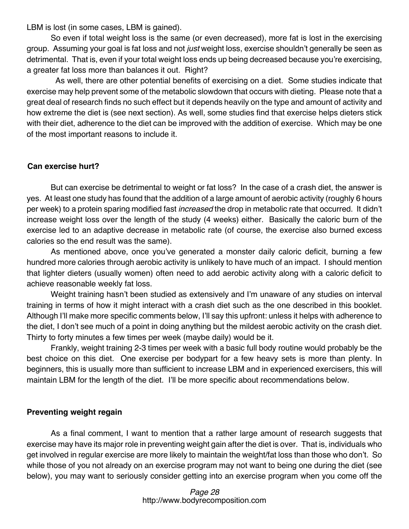LBM is lost (in some cases, LBM is gained).

So even if total weight loss is the same (or even decreased), more fat is lost in the exercising group. Assuming your goal is fat loss and not *just* weight loss, exercise shouldn't generally be seen as detrimental. That is, even if your total weight loss ends up being decreased because you're exercising, a greater fat loss more than balances it out. Right?

As well, there are other potential benefits of exercising on a diet. Some studies indicate that exercise may help prevent some of the metabolic slowdown that occurs with dieting. Please note that a great deal of research finds no such effect but it depends heavily on the type and amount of activity and how extreme the diet is (see next section). As well, some studies find that exercise helps dieters stick with their diet, adherence to the diet can be improved with the addition of exercise. Which may be one of the most important reasons to include it.

#### **Can exercise hurt?**

But can exercise be detrimental to weight or fat loss? In the case of a crash diet, the answer is yes. At least one study has found that the addition of a large amount of aerobic activity (roughly 6 hours per week) to a protein sparing modified fast *increased* the drop in metabolic rate that occurred. It didn't increase weight loss over the length of the study (4 weeks) either. Basically the caloric burn of the exercise led to an adaptive decrease in metabolic rate (of course, the exercise also burned excess calories so the end result was the same).

As mentioned above, once you've generated a monster daily caloric deficit, burning a few hundred more calories through aerobic activity is unlikely to have much of an impact. I should mention that lighter dieters (usually women) often need to add aerobic activity along with a caloric deficit to achieve reasonable weekly fat loss.

Weight training hasn't been studied as extensively and I'm unaware of any studies on interval training in terms of how it might interact with a crash diet such as the one described in this booklet. Although I'll make more specific comments below, I'll say this upfront: unless it helps with adherence to the diet, I don't see much of a point in doing anything but the mildest aerobic activity on the crash diet. Thirty to forty minutes a few times per week (maybe daily) would be it.

Frankly, weight training 2-3 times per week with a basic full body routine would probably be the best choice on this diet. One exercise per bodypart for a few heavy sets is more than plenty. In beginners, this is usually more than sufficient to increase LBM and in experienced exercisers, this will maintain LBM for the length of the diet. I'll be more specific about recommendations below.

#### **Preventing weight regain**

As a final comment, I want to mention that a rather large amount of research suggests that exercise may have its major role in preventing weight gain after the diet is over. That is, individuals who get involved in regular exercise are more likely to maintain the weight/fat loss than those who don't. So while those of you not already on an exercise program may not want to being one during the diet (see below), you may want to seriously consider getting into an exercise program when you come off the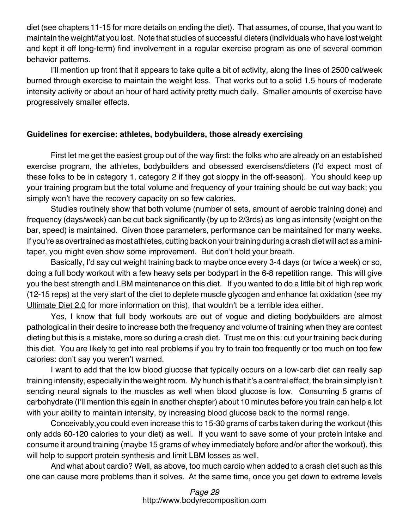diet (see chapters 11-15 for more details on ending the diet). That assumes, of course, that you want to maintain the weight/fat you lost. Note that studies of successful dieters (individuals who have lost weight and kept it off long-term) find involvement in a regular exercise program as one of several common behavior patterns.

I'll mention up front that it appears to take quite a bit of activity, along the lines of 2500 cal/week burned through exercise to maintain the weight loss. That works out to a solid 1.5 hours of moderate intensity activity or about an hour of hard activity pretty much daily. Smaller amounts of exercise have progressively smaller effects.

# **Guidelines for exercise: athletes, bodybuilders, those already exercising**

First let me get the easiest group out of the way first: the folks who are already on an established exercise program, the athletes, bodybuilders and obsessed exercisers/dieters (I'd expect most of these folks to be in category 1, category 2 if they got sloppy in the off-season). You should keep up your training program but the total volume and frequency of your training should be cut way back; you simply won't have the recovery capacity on so few calories.

Studies routinely show that both volume (number of sets, amount of aerobic training done) and frequency (days/week) can be cut back significantly (by up to 2/3rds) as long as intensity (weight on the bar, speed) is maintained. Given those parameters, performance can be maintained for many weeks. If you're as overtrained as most athletes, cutting back on your training during a crash diet will act as a minitaper, you might even show some improvement. But don't hold your breath.

Basically, I'd say cut weight training back to maybe once every 3-4 days (or twice a week) or so, doing a full body workout with a few heavy sets per bodypart in the 6-8 repetition range. This will give you the best strength and LBM maintenance on this diet. If you wanted to do a little bit of high rep work (12-15 reps) at the very start of the diet to deplete muscle glycogen and enhance fat oxidation (see my Ultimate Diet 2.0 for more information on this), that wouldn't be a terrible idea either.

Yes, I know that full body workouts are out of vogue and dieting bodybuilders are almost pathological in their desire to increase both the frequency and volume of training when they are contest dieting but this is a mistake, more so during a crash diet. Trust me on this: cut your training back during this diet. You are likely to get into real problems if you try to train too frequently or too much on too few calories: don't say you weren't warned.

I want to add that the low blood glucose that typically occurs on a low-carb diet can really sap training intensity, especially in the weight room. My hunch is that it's a central effect, the brain simply isn't sending neural signals to the muscles as well when blood glucose is low. Consuming 5 grams of carbohydrate (I'll mention this again in another chapter) about 10 minutes before you train can help a lot with your ability to maintain intensity, by increasing blood glucose back to the normal range.

Conceivably,you could even increase this to 15-30 grams of carbs taken during the workout (this only adds 60-120 calories to your diet) as well. If you want to save some of your protein intake and consume it around training (maybe 15 grams of whey immediately before and/or after the workout), this will help to support protein synthesis and limit LBM losses as well.

And what about cardio? Well, as above, too much cardio when added to a crash diet such as this one can cause more problems than it solves. At the same time, once you get down to extreme levels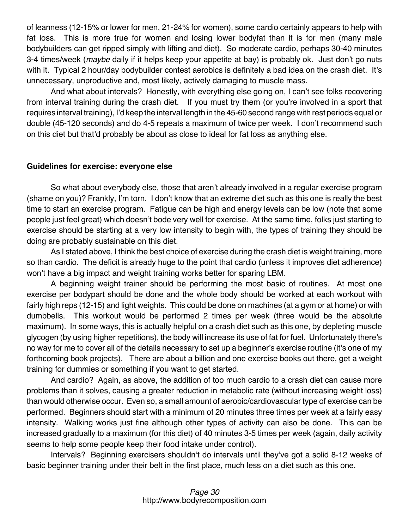of leanness (12-15% or lower for men, 21-24% for women), some cardio certainly appears to help with fat loss. This is more true for women and losing lower bodyfat than it is for men (many male bodybuilders can get ripped simply with lifting and diet). So moderate cardio, perhaps 30-40 minutes 3-4 times/week (*maybe* daily if it helps keep your appetite at bay) is probably ok. Just don't go nuts with it. Typical 2 hour/day bodybuilder contest aerobics is definitely a bad idea on the crash diet. It's unnecessary, unproductive and, most likely, actively damaging to muscle mass.

And what about intervals? Honestly, with everything else going on, I can't see folks recovering from interval training during the crash diet. If you must try them (or you're involved in a sport that requires interval training), I'd keep the interval length in the 45-60 second range with rest periods equal or double (45-120 seconds) and do 4-5 repeats a maximum of twice per week. I don't recommend such on this diet but that'd probably be about as close to ideal for fat loss as anything else.

#### **Guidelines for exercise: everyone else**

So what about everybody else, those that aren't already involved in a regular exercise program (shame on you)? Frankly, I'm torn. I don't know that an extreme diet such as this one is really the best time to start an exercise program. Fatigue can be high and energy levels can be low (note that some people just feel great) which doesn't bode very well for exercise. At the same time, folks just starting to exercise should be starting at a very low intensity to begin with, the types of training they should be doing are probably sustainable on this diet.

As I stated above, I think the best choice of exercise during the crash diet is weight training, more so than cardio. The deficit is already huge to the point that cardio (unless it improves diet adherence) won't have a big impact and weight training works better for sparing LBM.

A beginning weight trainer should be performing the most basic of routines. At most one exercise per bodypart should be done and the whole body should be worked at each workout with fairly high reps (12-15) and light weights. This could be done on machines (at a gym or at home) or with dumbbells. This workout would be performed 2 times per week (three would be the absolute maximum). In some ways, this is actually helpful on a crash diet such as this one, by depleting muscle glycogen (by using higher repetitions), the body will increase its use of fat for fuel. Unfortunately there's no way for me to cover all of the details necessary to set up a beginner's exercise routine (it's one of my forthcoming book projects). There are about a billion and one exercise books out there, get a weight training for dummies or something if you want to get started.

And cardio? Again, as above, the addition of too much cardio to a crash diet can cause more problems than it solves, causing a greater reduction in metabolic rate (without increasing weight loss) than would otherwise occur. Even so, a small amount of aerobic/cardiovascular type of exercise can be performed. Beginners should start with a minimum of 20 minutes three times per week at a fairly easy intensity. Walking works just fine although other types of activity can also be done. This can be increased gradually to a maximum (for this diet) of 40 minutes 3-5 times per week (again, daily activity seems to help some people keep their food intake under control).

Intervals? Beginning exercisers shouldn't do intervals until they've got a solid 8-12 weeks of basic beginner training under their belt in the first place, much less on a diet such as this one.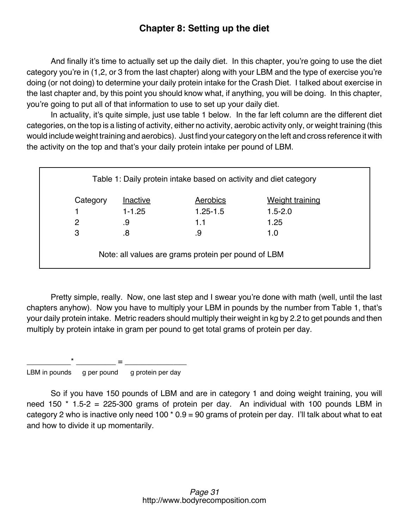# **Chapter 8: Setting up the diet**

And finally it's time to actually set up the daily diet. In this chapter, you're going to use the diet category you're in (1,2, or 3 from the last chapter) along with your LBM and the type of exercise you're doing (or not doing) to determine your daily protein intake for the Crash Diet. I talked about exercise in the last chapter and, by this point you should know what, if anything, you will be doing. In this chapter, you're going to put all of that information to use to set up your daily diet.

In actuality, it's quite simple, just use table 1 below. In the far left column are the different diet categories, on the top is a listing of activity, either no activity, aerobic activity only, or weight training (this would include weight training and aerobics). Just find your category on the left and cross reference it with the activity on the top and that's your daily protein intake per pound of LBM.

| Category | Inactive   | Aerobics     | <b>Weight training</b> |  |
|----------|------------|--------------|------------------------|--|
|          | $1 - 1.25$ | $1.25 - 1.5$ | $1.5 - 2.0$            |  |
| 2        | .9         | 1.1          | 1.25                   |  |
| 3        | .8         | .9           | 1.0                    |  |

Pretty simple, really. Now, one last step and I swear you're done with math (well, until the last chapters anyhow). Now you have to multiply your LBM in pounds by the number from Table 1, that's your daily protein intake. Metric readers should multiply their weight in kg by 2.2 to get pounds and then multiply by protein intake in gram per pound to get total grams of protein per day.

\_\_\_\_\_\_\_\_\_\_\* \_\_\_\_\_\_\_\_\_ = \_\_\_\_\_\_\_\_\_\_\_\_\_\_ LBM in pounds g per pound g protein per day

So if you have 150 pounds of LBM and are in category 1 and doing weight training, you will need 150 \* 1.5-2 = 225-300 grams of protein per day. An individual with 100 pounds LBM in category 2 who is inactive only need 100  $*$  0.9 = 90 grams of protein per day. I'll talk about what to eat and how to divide it up momentarily.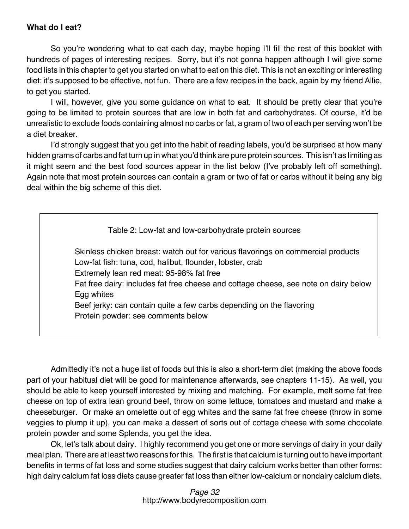# **What do I eat?**

So you're wondering what to eat each day, maybe hoping I'll fill the rest of this booklet with hundreds of pages of interesting recipes. Sorry, but it's not gonna happen although I will give some food lists in this chapter to get you started on what to eat on this diet. This is not an exciting or interesting diet; it's supposed to be effective, not fun. There are a few recipes in the back, again by my friend Allie, to get you started.

I will, however, give you some guidance on what to eat. It should be pretty clear that you're going to be limited to protein sources that are low in both fat and carbohydrates. Of course, it'd be unrealistic to exclude foods containing almost no carbs or fat, a gram of two of each per serving won't be a diet breaker.

I'd strongly suggest that you get into the habit of reading labels, you'd be surprised at how many hidden grams of carbs and fat turn up in what you'd think are pure protein sources. This isn't as limiting as it might seem and the best food sources appear in the list below (I've probably left off something). Again note that most protein sources can contain a gram or two of fat or carbs without it being any big deal within the big scheme of this diet.

Table 2: Low-fat and low-carbohydrate protein sources

Skinless chicken breast: watch out for various flavorings on commercial products Low-fat fish: tuna, cod, halibut, flounder, lobster, crab Extremely lean red meat: 95-98% fat free Fat free dairy: includes fat free cheese and cottage cheese, see note on dairy below Egg whites Beef jerky: can contain quite a few carbs depending on the flavoring Protein powder: see comments below

Admittedly it's not a huge list of foods but this is also a short-term diet (making the above foods part of your habitual diet will be good for maintenance afterwards, see chapters 11-15). As well, you should be able to keep yourself interested by mixing and matching. For example, melt some fat free cheese on top of extra lean ground beef, throw on some lettuce, tomatoes and mustard and make a cheeseburger. Or make an omelette out of egg whites and the same fat free cheese (throw in some veggies to plump it up), you can make a dessert of sorts out of cottage cheese with some chocolate protein powder and some Splenda, you get the idea.

Ok, let's talk about dairy. I highly recommend you get one or more servings of dairy in your daily meal plan. There are at least two reasons for this. The first is that calcium is turning out to have important benefits in terms of fat loss and some studies suggest that dairy calcium works better than other forms: high dairy calcium fat loss diets cause greater fat loss than either low-calcium or nondairy calcium diets.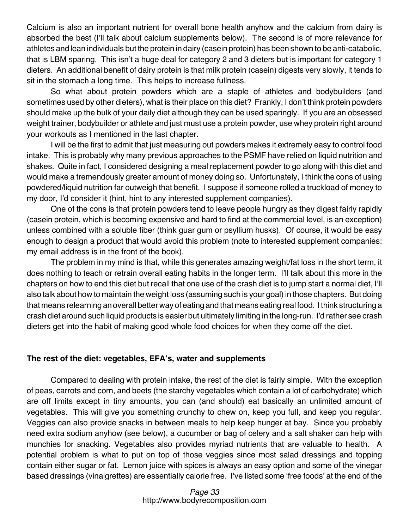Calcium is also an important nutrient for overall bone health anyhow and the calcium from dairy is absorbed the best (I'll talk about calcium supplements below). The second is of more relevance for athletes and lean individuals but the protein in dairy (casein protein) has been shown to be anti-catabolic, that is LBM sparing. This isn't a huge deal for category 2 and 3 dieters but is important for category 1 dieters. An additional benefit of dairy protein is that milk protein (casein) digests very slowly, it tends to sit in the stomach a long time. This helps to increase fullness.

So what about protein powders which are a staple of athletes and bodybuilders (and sometimes used by other dieters), what is their place on this diet? Frankly, I don't think protein powders should make up the bulk of your daily diet although they can be used sparingly. If you are an obsessed weight trainer, bodybuilder or athlete and just must use a protein powder, use whey protein right around your workouts as I mentioned in the last chapter.

I will be the first to admit that just measuring out powders makes it extremely easy to control food intake. This is probably why many previous approaches to the PSMF have relied on liquid nutrition and shakes. Quite in fact, I considered designing a meal replacement powder to go along with this diet and would make a tremendously greater amount of money doing so. Unfortunately, I think the cons of using powdered/liquid nutrition far outweigh that benefit. I suppose if someone rolled a truckload of money to my door, I'd consider it (hint, hint to any interested supplement companies).

One of the cons is that protein powders tend to leave people hungry as they digest fairly rapidly (casein protein, which is becoming expensive and hard to find at the commercial level, is an exception) unless combined with a soluble fiber (think guar gum or psyllium husks). Of course, it would be easy enough to design a product that would avoid this problem (note to interested supplement companies: my email address is in the front of the book).

The problem in my mind is that, while this generates amazing weight/fat loss in the short term, it does nothing to teach or retrain overall eating habits in the longer term. I'll talk about this more in the chapters on how to end this diet but recall that one use of the crash diet is to jump start a normal diet, I'll also talk about how to maintain the weight loss (assuming such is your goal) in those chapters. But doing that means relearning an overall better way of eating and that means eating real food. I think structuring a crash diet around such liquid products is easier but ultimately limiting in the long-run. I'd rather see crash dieters get into the habit of making good whole food choices for when they come off the diet.

#### **The rest of the diet: vegetables, EFA's, water and supplements**

Compared to dealing with protein intake, the rest of the diet is fairly simple. With the exception of peas, carrots and corn, and beets (the starchy vegetables which contain a lot of carbohydrate) which are off limits except in tiny amounts, you can (and should) eat basically an unlimited amount of vegetables. This will give you something crunchy to chew on, keep you full, and keep you regular. Veggies can also provide snacks in between meals to help keep hunger at bay. Since you probably need extra sodium anyhow (see below), a cucumber or bag of celery and a salt shaker can help with munchies for snacking. Vegetables also provides myriad nutrients that are valuable to health. A potential problem is what to put on top of those veggies since most salad dressings and topping contain either sugar or fat. Lemon juice with spices is always an easy option and some of the vinegar based dressings (vinaigrettes) are essentially calorie free. I've listed some 'free foods' at the end of the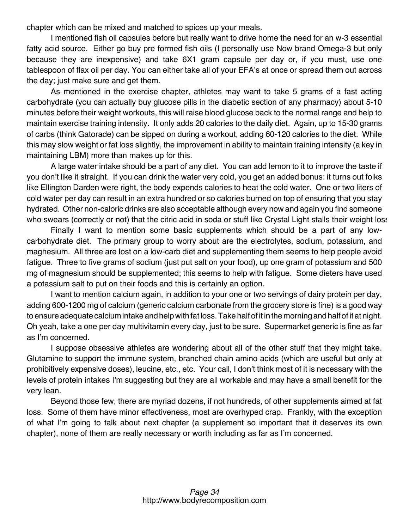chapter which can be mixed and matched to spices up your meals.

I mentioned fish oil capsules before but really want to drive home the need for an w-3 essential fatty acid source. Either go buy pre formed fish oils (I personally use Now brand Omega-3 but only because they are inexpensive) and take 6X1 gram capsule per day or, if you must, use one tablespoon of flax oil per day. You can either take all of your EFA's at once or spread them out across the day; just make sure and get them.

As mentioned in the exercise chapter, athletes may want to take 5 grams of a fast acting carbohydrate (you can actually buy glucose pills in the diabetic section of any pharmacy) about 5-10 minutes before their weight workouts, this will raise blood glucose back to the normal range and help to maintain exercise training intensity. It only adds 20 calories to the daily diet. Again, up to 15-30 grams of carbs (think Gatorade) can be sipped on during a workout, adding 60-120 calories to the diet. While this may slow weight or fat loss slightly, the improvement in ability to maintain training intensity (a key in maintaining LBM) more than makes up for this.

A large water intake should be a part of any diet. You can add lemon to it to improve the taste if you don't like it straight. If you can drink the water very cold, you get an added bonus: it turns out folks like Ellington Darden were right, the body expends calories to heat the cold water. One or two liters of cold water per day can result in an extra hundred or so calories burned on top of ensuring that you stay hydrated. Other non-caloric drinks are also acceptable although every now and again you find someone who swears (correctly or not) that the citric acid in soda or stuff like Crystal Light stalls their weight loss.

Finally I want to mention some basic supplements which should be a part of any lowcarbohydrate diet. The primary group to worry about are the electrolytes, sodium, potassium, and magnesium. All three are lost on a low-carb diet and supplementing them seems to help people avoid fatigue. Three to five grams of sodium (just put salt on your food), up one gram of potassium and 500 mg of magnesium should be supplemented; this seems to help with fatigue. Some dieters have used a potassium salt to put on their foods and this is certainly an option.

I want to mention calcium again, in addition to your one or two servings of dairy protein per day, adding 600-1200 mg of calcium (generic calcium carbonate from the grocery store is fine) is a good way to ensure adequate calcium intake and help with fat loss. Take half of it in the morning and half of it at night. Oh yeah, take a one per day multivitamin every day, just to be sure. Supermarket generic is fine as far as I'm concerned.

I suppose obsessive athletes are wondering about all of the other stuff that they might take. Glutamine to support the immune system, branched chain amino acids (which are useful but only at prohibitively expensive doses), leucine, etc., etc. Your call, I don't think most of it is necessary with the levels of protein intakes I'm suggesting but they are all workable and may have a small benefit for the very lean.

Beyond those few, there are myriad dozens, if not hundreds, of other supplements aimed at fat loss. Some of them have minor effectiveness, most are overhyped crap. Frankly, with the exception of what I'm going to talk about next chapter (a supplement so important that it deserves its own chapter), none of them are really necessary or worth including as far as I'm concerned.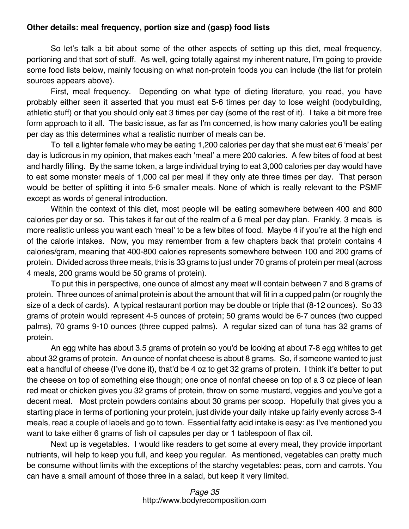## **Other details: meal frequency, portion size and (gasp) food lists**

So let's talk a bit about some of the other aspects of setting up this diet, meal frequency, portioning and that sort of stuff. As well, going totally against my inherent nature, I'm going to provide some food lists below, mainly focusing on what non-protein foods you can include (the list for protein sources appears above).

First, meal frequency. Depending on what type of dieting literature, you read, you have probably either seen it asserted that you must eat 5-6 times per day to lose weight (bodybuilding, athletic stuff) or that you should only eat 3 times per day (some of the rest of it). I take a bit more free form approach to it all. The basic issue, as far as I'm concerned, is how many calories you'll be eating per day as this determines what a realistic number of meals can be.

To tell a lighter female who may be eating 1,200 calories per day that she must eat 6 'meals' per day is ludicrous in my opinion, that makes each 'meal' a mere 200 calories. A few bites of food at best and hardly filling. By the same token, a large individual trying to eat 3,000 calories per day would have to eat some monster meals of 1,000 cal per meal if they only ate three times per day. That person would be better of splitting it into 5-6 smaller meals. None of which is really relevant to the PSMF except as words of general introduction.

Within the context of this diet, most people will be eating somewhere between 400 and 800 calories per day or so. This takes it far out of the realm of a 6 meal per day plan. Frankly, 3 meals is more realistic unless you want each 'meal' to be a few bites of food. Maybe 4 if you're at the high end of the calorie intakes. Now, you may remember from a few chapters back that protein contains 4 calories/gram, meaning that 400-800 calories represents somewhere between 100 and 200 grams of protein. Divided across three meals, this is 33 grams to just under 70 grams of protein per meal (across 4 meals, 200 grams would be 50 grams of protein).

To put this in perspective, one ounce of almost any meat will contain between 7 and 8 grams of protein. Three ounces of animal protein is about the amount that will fit in a cupped palm (or roughly the size of a deck of cards). A typical restaurant portion may be double or triple that (8-12 ounces). So 33 grams of protein would represent 4-5 ounces of protein; 50 grams would be 6-7 ounces (two cupped palms), 70 grams 9-10 ounces (three cupped palms). A regular sized can of tuna has 32 grams of protein.

An egg white has about 3.5 grams of protein so you'd be looking at about 7-8 egg whites to get about 32 grams of protein. An ounce of nonfat cheese is about 8 grams. So, if someone wanted to just eat a handful of cheese (I've done it), that'd be 4 oz to get 32 grams of protein. I think it's better to put the cheese on top of something else though; one once of nonfat cheese on top of a 3 oz piece of lean red meat or chicken gives you 32 grams of protein, throw on some mustard, veggies and you've got a decent meal. Most protein powders contains about 30 grams per scoop. Hopefully that gives you a starting place in terms of portioning your protein, just divide your daily intake up fairly evenly across 3-4 meals, read a couple of labels and go to town. Essential fatty acid intake is easy: as I've mentioned you want to take either 6 grams of fish oil capsules per day or 1 tablespoon of flax oil.

Next up is vegetables. I would like readers to get some at every meal, they provide important nutrients, will help to keep you full, and keep you regular. As mentioned, vegetables can pretty much be consume without limits with the exceptions of the starchy vegetables: peas, corn and carrots. You can have a small amount of those three in a salad, but keep it very limited.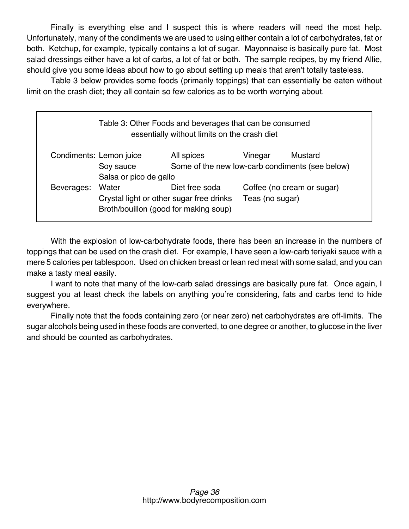Finally is everything else and I suspect this is where readers will need the most help. Unfortunately, many of the condiments we are used to using either contain a lot of carbohydrates, fat or both. Ketchup, for example, typically contains a lot of sugar. Mayonnaise is basically pure fat. Most salad dressings either have a lot of carbs, a lot of fat or both. The sample recipes, by my friend Allie, should give you some ideas about how to go about setting up meals that aren't totally tasteless.

Table 3 below provides some foods (primarily toppings) that can essentially be eaten without limit on the crash diet; they all contain so few calories as to be worth worrying about.

| Table 3: Other Foods and beverages that can be consumed<br>essentially without limits on the crash diet |                         |                                                 |                 |                            |  |  |  |
|---------------------------------------------------------------------------------------------------------|-------------------------|-------------------------------------------------|-----------------|----------------------------|--|--|--|
|                                                                                                         | Condiments: Lemon juice | All spices                                      | Vinegar         | Mustard                    |  |  |  |
|                                                                                                         | Soy sauce               | Some of the new low-carb condiments (see below) |                 |                            |  |  |  |
| Salsa or pico de gallo                                                                                  |                         |                                                 |                 |                            |  |  |  |
| Beverages:                                                                                              | Water                   | Diet free soda                                  |                 | Coffee (no cream or sugar) |  |  |  |
|                                                                                                         |                         | Crystal light or other sugar free drinks        | Teas (no sugar) |                            |  |  |  |
|                                                                                                         |                         |                                                 |                 |                            |  |  |  |
|                                                                                                         |                         |                                                 |                 |                            |  |  |  |

With the explosion of low-carbohydrate foods, there has been an increase in the numbers of toppings that can be used on the crash diet. For example, I have seen a low-carb teriyaki sauce with a mere 5 calories per tablespoon. Used on chicken breast or lean red meat with some salad, and you can make a tasty meal easily.

I want to note that many of the low-carb salad dressings are basically pure fat. Once again, I suggest you at least check the labels on anything you're considering, fats and carbs tend to hide everywhere.

Finally note that the foods containing zero (or near zero) net carbohydrates are off-limits. The sugar alcohols being used in these foods are converted, to one degree or another, to glucose in the liver and should be counted as carbohydrates.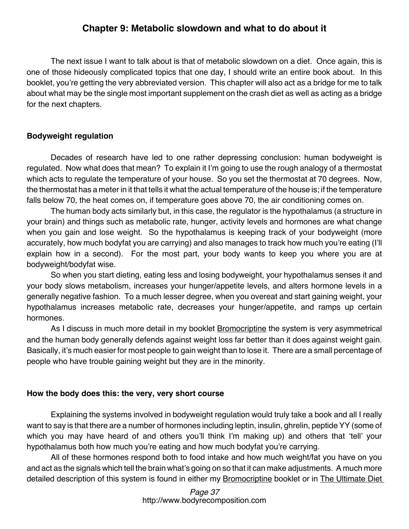# **Chapter 9: Metabolic slowdown and what to do about it**

The next issue I want to talk about is that of metabolic slowdown on a diet. Once again, this is one of those hideously complicated topics that one day, I should write an entire book about. In this booklet, you're getting the very abbreviated version. This chapter will also act as a bridge for me to talk about what may be the single most important supplement on the crash diet as well as acting as a bridge for the next chapters.

# **Bodyweight regulation**

Decades of research have led to one rather depressing conclusion: human bodyweight is regulated. Now what does that mean? To explain it I'm going to use the rough analogy of a thermostat which acts to regulate the temperature of your house. So you set the thermostat at 70 degrees. Now, the thermostat has a meter in it that tells it what the actual temperature of the house is; if the temperature falls below 70, the heat comes on, if temperature goes above 70, the air conditioning comes on.

The human body acts similarly but, in this case, the regulator is the hypothalamus (a structure in your brain) and things such as metabolic rate, hunger, activity levels and hormones are what change when you gain and lose weight. So the hypothalamus is keeping track of your bodyweight (more accurately, how much bodyfat you are carrying) and also manages to track how much you're eating (I'll explain how in a second). For the most part, your body wants to keep you where you are at bodyweight/bodyfat wise.

So when you start dieting, eating less and losing bodyweight, your hypothalamus senses it and your body slows metabolism, increases your hunger/appetite levels, and alters hormone levels in a generally negative fashion. To a much lesser degree, when you overeat and start gaining weight, your hypothalamus increases metabolic rate, decreases your hunger/appetite, and ramps up certain hormones.

As I discuss in much more detail in my booklet **Bromocriptine** the system is very asymmetrical and the human body generally defends against weight loss far better than it does against weight gain. Basically, it's much easier for most people to gain weight than to lose it. There are a small percentage of people who have trouble gaining weight but they are in the minority.

# **How the body does this: the very, very short course**

Explaining the systems involved in bodyweight regulation would truly take a book and all I really want to say is that there are a number of hormones including leptin, insulin, ghrelin, peptide YY (some of which you may have heard of and others you'll think I'm making up) and others that 'tell' your hypothalamus both how much you're eating and how much bodyfat you're carrying.

All of these hormones respond both to food intake and how much weight/fat you have on you and act as the signals which tell the brain what's going on so that it can make adjustments. A much more detailed description of this system is found in either my Bromocriptine booklet or in The Ultimate Diet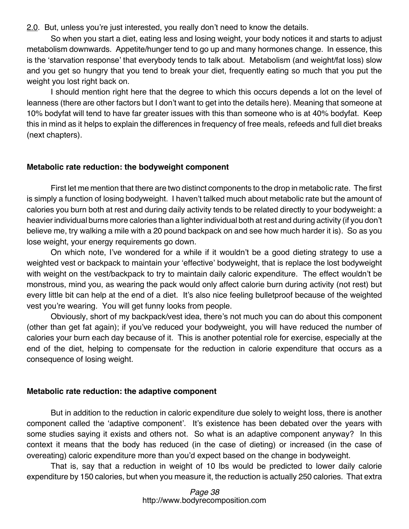2.0. But, unless you're just interested, you really don't need to know the details.

So when you start a diet, eating less and losing weight, your body notices it and starts to adjust metabolism downwards. Appetite/hunger tend to go up and many hormones change. In essence, this is the 'starvation response' that everybody tends to talk about. Metabolism (and weight/fat loss) slow and you get so hungry that you tend to break your diet, frequently eating so much that you put the weight you lost right back on.

I should mention right here that the degree to which this occurs depends a lot on the level of leanness (there are other factors but I don't want to get into the details here). Meaning that someone at 10% bodyfat will tend to have far greater issues with this than someone who is at 40% bodyfat. Keep this in mind as it helps to explain the differences in frequency of free meals, refeeds and full diet breaks (next chapters).

### **Metabolic rate reduction: the bodyweight component**

First let me mention that there are two distinct components to the drop in metabolic rate. The first is simply a function of losing bodyweight. I haven't talked much about metabolic rate but the amount of calories you burn both at rest and during daily activity tends to be related directly to your bodyweight: a heavier individual burns more calories than a lighter individual both at rest and during activity (if you don't believe me, try walking a mile with a 20 pound backpack on and see how much harder it is). So as you lose weight, your energy requirements go down.

On which note, I've wondered for a while if it wouldn't be a good dieting strategy to use a weighted vest or backpack to maintain your 'effective' bodyweight, that is replace the lost bodyweight with weight on the vest/backpack to try to maintain daily caloric expenditure. The effect wouldn't be monstrous, mind you, as wearing the pack would only affect calorie burn during activity (not rest) but every little bit can help at the end of a diet. It's also nice feeling bulletproof because of the weighted vest you're wearing. You will get funny looks from people.

Obviously, short of my backpack/vest idea, there's not much you can do about this component (other than get fat again); if you've reduced your bodyweight, you will have reduced the number of calories your burn each day because of it. This is another potential role for exercise, especially at the end of the diet, helping to compensate for the reduction in calorie expenditure that occurs as a consequence of losing weight.

# **Metabolic rate reduction: the adaptive component**

But in addition to the reduction in caloric expenditure due solely to weight loss, there is another component called the 'adaptive component'. It's existence has been debated over the years with some studies saying it exists and others not. So what is an adaptive component anyway? In this context it means that the body has reduced (in the case of dieting) or increased (in the case of overeating) caloric expenditure more than you'd expect based on the change in bodyweight.

That is, say that a reduction in weight of 10 lbs would be predicted to lower daily calorie expenditure by 150 calories, but when you measure it, the reduction is actually 250 calories. That extra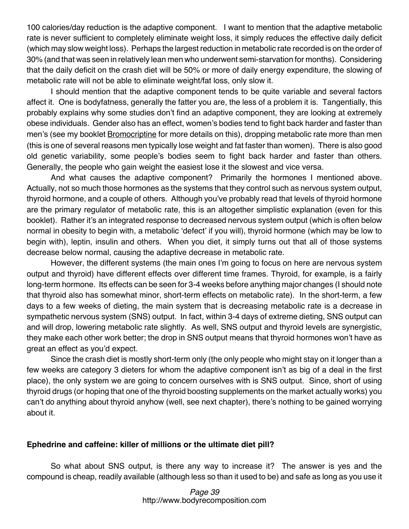100 calories/day reduction is the adaptive component. I want to mention that the adaptive metabolic rate is never sufficient to completely eliminate weight loss, it simply reduces the effective daily deficit (which may slow weight loss). Perhaps the largest reduction in metabolic rate recorded is on the order of 30% (and that was seen in relatively lean men who underwent semi-starvation for months). Considering that the daily deficit on the crash diet will be 50% or more of daily energy expenditure, the slowing of metabolic rate will not be able to eliminate weight/fat loss, only slow it.

I should mention that the adaptive component tends to be quite variable and several factors affect it. One is bodyfatness, generally the fatter you are, the less of a problem it is. Tangentially, this probably explains why some studies don't find an adaptive component, they are looking at extremely obese individuals. Gender also has an effect, women's bodies tend to fight back harder and faster than men's (see my booklet Bromocriptine for more details on this), dropping metabolic rate more than men (this is one of several reasons men typically lose weight and fat faster than women). There is also good old genetic variability, some people's bodies seem to fight back harder and faster than others. Generally, the people who gain weight the easiest lose it the slowest and vice versa.

And what causes the adaptive component? Primarily the hormones I mentioned above. Actually, not so much those hormones as the systems that they control such as nervous system output, thyroid hormone, and a couple of others. Although you've probably read that levels of thyroid hormone are the primary regulator of metabolic rate, this is an altogether simplistic explanation (even for this booklet). Rather it's an integrated response to decreased nervous system output (which is often below normal in obesity to begin with, a metabolic 'defect' if you will), thyroid hormone (which may be low to begin with), leptin, insulin and others. When you diet, it simply turns out that all of those systems decrease below normal, causing the adaptive decrease in metabolic rate.

However, the different systems (the main ones I'm going to focus on here are nervous system output and thyroid) have different effects over different time frames. Thyroid, for example, is a fairly long-term hormone. Its effects can be seen for 3-4 weeks before anything major changes (I should note that thyroid also has somewhat minor, short-term effects on metabolic rate). In the short-term, a few days to a few weeks of dieting, the main system that is decreasing metabolic rate is a decrease in sympathetic nervous system (SNS) output. In fact, within 3-4 days of extreme dieting, SNS output can and will drop, lowering metabolic rate slightly. As well, SNS output and thyroid levels are synergistic, they make each other work better; the drop in SNS output means that thyroid hormones won't have as great an effect as you'd expect.

Since the crash diet is mostly short-term only (the only people who might stay on it longer than a few weeks are category 3 dieters for whom the adaptive component isn't as big of a deal in the first place), the only system we are going to concern ourselves with is SNS output. Since, short of using thyroid drugs (or hoping that one of the thyroid boosting supplements on the market actually works) you can't do anything about thyroid anyhow (well, see next chapter), there's nothing to be gained worrying about it.

#### **Ephedrine and caffeine: killer of millions or the ultimate diet pill?**

So what about SNS output, is there any way to increase it? The answer is yes and the compound is cheap, readily available (although less so than it used to be) and safe as long as you use it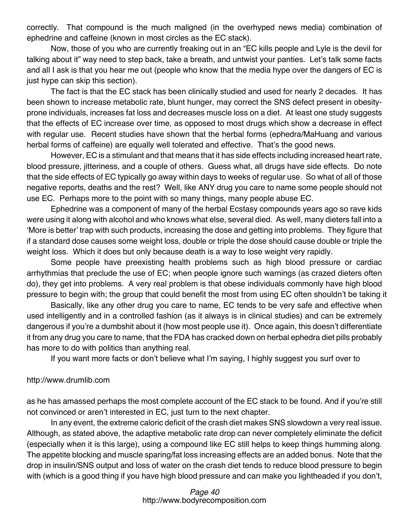correctly. That compound is the much maligned (in the overhyped news media) combination of ephedrine and caffeine (known in most circles as the EC stack).

Now, those of you who are currently freaking out in an "EC kills people and Lyle is the devil for talking about it" way need to step back, take a breath, and untwist your panties. Let's talk some facts and all I ask is that you hear me out (people who know that the media hype over the dangers of EC is just hype can skip this section).

The fact is that the EC stack has been clinically studied and used for nearly 2 decades. It has been shown to increase metabolic rate, blunt hunger, may correct the SNS defect present in obesityprone individuals, increases fat loss and decreases muscle loss on a diet. At least one study suggests that the effects of EC increase over time, as opposed to most drugs which show a decrease in effect with regular use. Recent studies have shown that the herbal forms (ephedra/MaHuang and various herbal forms of caffeine) are equally well tolerated and effective. That's the good news.

However, EC is a stimulant and that means that it has side effects including increased heart rate, blood pressure, jitteriness, and a couple of others. Guess what, all drugs have side effects. Do note that the side effects of EC typically go away within days to weeks of regular use. So what of all of those negative reports, deaths and the rest? Well, like ANY drug you care to name some people should not use EC. Perhaps more to the point with so many things, many people abuse EC.

Ephedrine was a component of many of the herbal Ecstasy compounds years ago so rave kids were using it along with alcohol and who knows what else, several died. As well, many dieters fall into a 'More is better' trap with such products, increasing the dose and getting into problems. They figure that if a standard dose causes some weight loss, double or triple the dose should cause double or triple the weight loss. Which it does but only because death is a way to lose weight very rapidly.

Some people have preexisting health problems such as high blood pressure or cardiac arrhythmias that preclude the use of EC; when people ignore such warnings (as crazed dieters often do), they get into problems. A very real problem is that obese individuals commonly have high blood pressure to begin with; the group that could benefit the most from using EC often shouldn't be taking it.

Basically, like any other drug you care to name, EC tends to be very safe and effective when used intelligently and in a controlled fashion (as it always is in clinical studies) and can be extremely dangerous if you're a dumbshit about it (how most people use it). Once again, this doesn't differentiate it from any drug you care to name, that the FDA has cracked down on herbal ephedra diet pills probably has more to do with politics than anything real.

If you want more facts or don't believe what I'm saying, I highly suggest you surf over to

#### http://www.drumlib.com

as he has amassed perhaps the most complete account of the EC stack to be found. And if you're still not convinced or aren't interested in EC, just turn to the next chapter.

In any event, the extreme caloric deficit of the crash diet makes SNS slowdown a very real issue. Although, as stated above, the adaptive metabolic rate drop can never completely eliminate the deficit (especially when it is this large), using a compound like EC still helps to keep things humming along. The appetite blocking and muscle sparing/fat loss increasing effects are an added bonus. Note that the drop in insulin/SNS output and loss of water on the crash diet tends to reduce blood pressure to begin with (which is a good thing if you have high blood pressure and can make you lightheaded if you don't,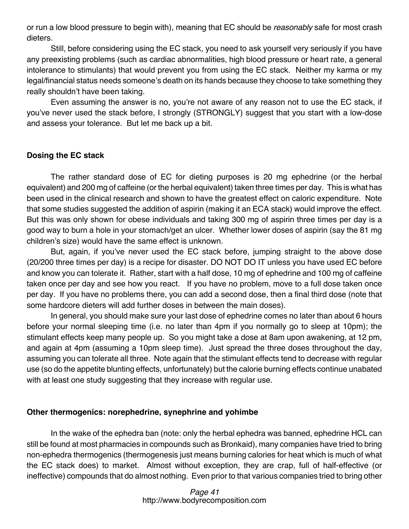or run a low blood pressure to begin with), meaning that EC should be reasonably safe for most crash dieters.

Still, before considering using the EC stack, you need to ask yourself very seriously if you have any preexisting problems (such as cardiac abnormalities, high blood pressure or heart rate, a general intolerance to stimulants) that would prevent you from using the EC stack. Neither my karma or my legal/financial status needs someone's death on its hands because they choose to take something they really shouldn't have been taking.

Even assuming the answer is no, you're not aware of any reason not to use the EC stack, if you've never used the stack before, I strongly (STRONGLY) suggest that you start with a low-dose and assess your tolerance. But let me back up a bit.

# **Dosing the EC stack**

The rather standard dose of EC for dieting purposes is 20 mg ephedrine (or the herbal equivalent) and 200 mg of caffeine (or the herbal equivalent) taken three times per day. This is what has been used in the clinical research and shown to have the greatest effect on caloric expenditure. Note that some studies suggested the addition of aspirin (making it an ECA stack) would improve the effect. But this was only shown for obese individuals and taking 300 mg of aspirin three times per day is a good way to burn a hole in your stomach/get an ulcer. Whether lower doses of aspirin (say the 81 mg children's size) would have the same effect is unknown.

But, again, if you've never used the EC stack before, jumping straight to the above dose (20/200 three times per day) is a recipe for disaster. DO NOT DO IT unless you have used EC before and know you can tolerate it. Rather, start with a half dose, 10 mg of ephedrine and 100 mg of caffeine taken once per day and see how you react. If you have no problem, move to a full dose taken once per day. If you have no problems there, you can add a second dose, then a final third dose (note that some hardcore dieters will add further doses in between the main doses).

In general, you should make sure your last dose of ephedrine comes no later than about 6 hours before your normal sleeping time (i.e. no later than 4pm if you normally go to sleep at 10pm); the stimulant effects keep many people up. So you might take a dose at 8am upon awakening, at 12 pm, and again at 4pm (assuming a 10pm sleep time). Just spread the three doses throughout the day, assuming you can tolerate all three. Note again that the stimulant effects tend to decrease with regular use (so do the appetite blunting effects, unfortunately) but the calorie burning effects continue unabated with at least one study suggesting that they increase with regular use.

# **Other thermogenics: norephedrine, synephrine and yohimbe**

In the wake of the ephedra ban (note: only the herbal ephedra was banned, ephedrine HCL can still be found at most pharmacies in compounds such as Bronkaid), many companies have tried to bring non-ephedra thermogenics (thermogenesis just means burning calories for heat which is much of what the EC stack does) to market. Almost without exception, they are crap, full of half-effective (or ineffective) compounds that do almost nothing. Even prior to that various companies tried to bring other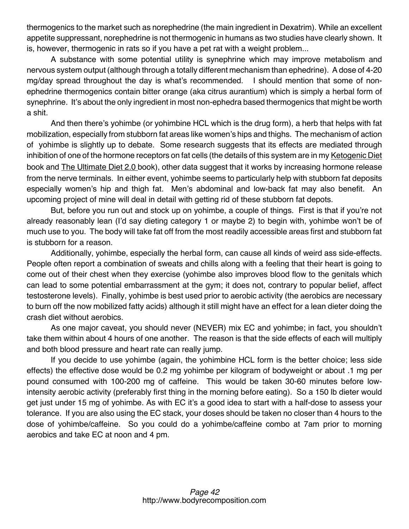thermogenics to the market such as norephedrine (the main ingredient in Dexatrim). While an excellent appetite suppressant, norephedrine is not thermogenic in humans as two studies have clearly shown. It is, however, thermogenic in rats so if you have a pet rat with a weight problem...

A substance with some potential utility is synephrine which may improve metabolism and nervous system output (although through a totally different mechanism than ephedrine). A dose of 4-20 mg/day spread throughout the day is what's recommended. I should mention that some of nonephedrine thermogenics contain bitter orange (aka citrus aurantium) which is simply a herbal form of synephrine. It's about the only ingredient in most non-ephedra based thermogenics that might be worth a shit.

And then there's yohimbe (or yohimbine HCL which is the drug form), a herb that helps with fat mobilization, especially from stubborn fat areas like women's hips and thighs. The mechanism of action of yohimbe is slightly up to debate. Some research suggests that its effects are mediated through inhibition of one of the hormone receptors on fat cells (the details of this system are in my Ketogenic Diet book and The Ultimate Diet 2.0 book), other data suggest that it works by increasing hormone release from the nerve terminals. In either event, yohimbe seems to particularly help with stubborn fat deposits especially women's hip and thigh fat. Men's abdominal and low-back fat may also benefit. An upcoming project of mine will deal in detail with getting rid of these stubborn fat depots.

But, before you run out and stock up on yohimbe, a couple of things. First is that if you're not already reasonably lean (I'd say dieting category 1 or maybe 2) to begin with, yohimbe won't be of much use to you. The body will take fat off from the most readily accessible areas first and stubborn fat is stubborn for a reason.

Additionally, yohimbe, especially the herbal form, can cause all kinds of weird ass side-effects. People often report a combination of sweats and chills along with a feeling that their heart is going to come out of their chest when they exercise (yohimbe also improves blood flow to the genitals which can lead to some potential embarrassment at the gym; it does not, contrary to popular belief, affect testosterone levels). Finally, yohimbe is best used prior to aerobic activity (the aerobics are necessary to burn off the now mobilized fatty acids) although it still might have an effect for a lean dieter doing the crash diet without aerobics.

As one major caveat, you should never (NEVER) mix EC and yohimbe; in fact, you shouldn't take them within about 4 hours of one another. The reason is that the side effects of each will multiply and both blood pressure and heart rate can really jump.

If you decide to use yohimbe (again, the yohimbine HCL form is the better choice; less side effects) the effective dose would be 0.2 mg yohimbe per kilogram of bodyweight or about .1 mg per pound consumed with 100-200 mg of caffeine. This would be taken 30-60 minutes before lowintensity aerobic activity (preferably first thing in the morning before eating). So a 150 lb dieter would get just under 15 mg of yohimbe. As with EC it's a good idea to start with a half-dose to assess your tolerance. If you are also using the EC stack, your doses should be taken no closer than 4 hours to the dose of yohimbe/caffeine. So you could do a yohimbe/caffeine combo at 7am prior to morning aerobics and take EC at noon and 4 pm.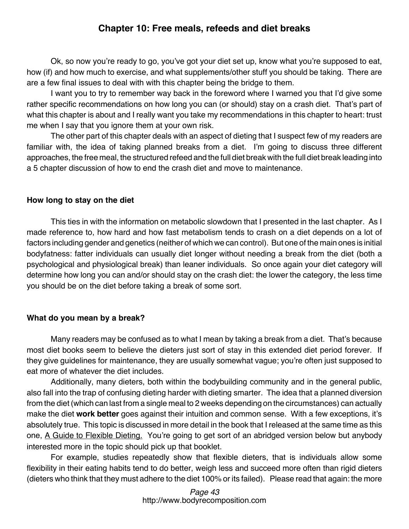# **Chapter 10: Free meals, refeeds and diet breaks**

Ok, so now you're ready to go, you've got your diet set up, know what you're supposed to eat, how (if) and how much to exercise, and what supplements/other stuff you should be taking. There are are a few final issues to deal with with this chapter being the bridge to them.

I want you to try to remember way back in the foreword where I warned you that I'd give some rather specific recommendations on how long you can (or should) stay on a crash diet. That's part of what this chapter is about and I really want you take my recommendations in this chapter to heart: trust me when I say that you ignore them at your own risk.

The other part of this chapter deals with an aspect of dieting that I suspect few of my readers are familiar with, the idea of taking planned breaks from a diet. I'm going to discuss three different approaches, the free meal, the structured refeed and the full diet break with the full diet break leading into a 5 chapter discussion of how to end the crash diet and move to maintenance.

### **How long to stay on the diet**

This ties in with the information on metabolic slowdown that I presented in the last chapter. As I made reference to, how hard and how fast metabolism tends to crash on a diet depends on a lot of factors including gender and genetics (neither of which we can control). But one of the main ones is initial bodyfatness: fatter individuals can usually diet longer without needing a break from the diet (both a psychological and physiological break) than leaner individuals. So once again your diet category will determine how long you can and/or should stay on the crash diet: the lower the category, the less time you should be on the diet before taking a break of some sort.

# **What do you mean by a break?**

Many readers may be confused as to what I mean by taking a break from a diet. That's because most diet books seem to believe the dieters just sort of stay in this extended diet period forever. If they give guidelines for maintenance, they are usually somewhat vague; you're often just supposed to eat more of whatever the diet includes.

Additionally, many dieters, both within the bodybuilding community and in the general public, also fall into the trap of confusing dieting harder with dieting smarter. The idea that a planned diversion from the diet (which can last from a single meal to 2 weeks depending on the circumstances) can actually make the diet **work better** goes against their intuition and common sense. With a few exceptions, it's absolutely true. This topic is discussed in more detail in the book that I released at the same time as this one, A Guide to Flexible Dieting. You're going to get sort of an abridged version below but anybody interested more in the topic should pick up that booklet.

For example, studies repeatedly show that flexible dieters, that is individuals allow some flexibility in their eating habits tend to do better, weigh less and succeed more often than rigid dieters (dieters who think that they must adhere to the diet 100% or its failed). Please read that again: the more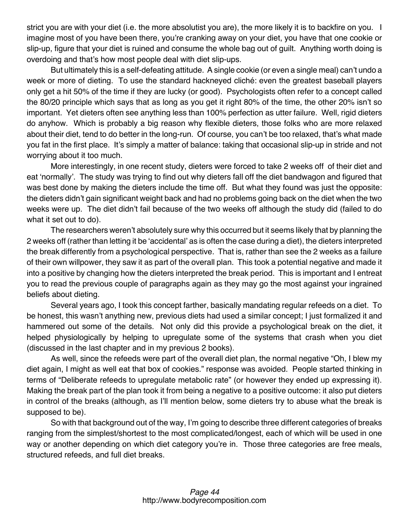strict you are with your diet (i.e. the more absolutist you are), the more likely it is to backfire on you. I imagine most of you have been there, you're cranking away on your diet, you have that one cookie or slip-up, figure that your diet is ruined and consume the whole bag out of guilt. Anything worth doing is overdoing and that's how most people deal with diet slip-ups.

But ultimately this is a self-defeating attitude. A single cookie (or even a single meal) can't undo a week or more of dieting. To use the standard hackneyed cliché: even the greatest baseball players only get a hit 50% of the time if they are lucky (or good). Psychologists often refer to a concept called the 80/20 principle which says that as long as you get it right 80% of the time, the other 20% isn't so important. Yet dieters often see anything less than 100% perfection as utter failure. Well, rigid dieters do anyhow. Which is probably a big reason why flexible dieters, those folks who are more relaxed about their diet, tend to do better in the long-run. Of course, you can't be too relaxed, that's what made you fat in the first place. It's simply a matter of balance: taking that occasional slip-up in stride and not worrying about it too much.

More interestingly, in one recent study, dieters were forced to take 2 weeks off of their diet and eat 'normally'. The study was trying to find out why dieters fall off the diet bandwagon and figured that was best done by making the dieters include the time off. But what they found was just the opposite: the dieters didn't gain significant weight back and had no problems going back on the diet when the two weeks were up. The diet didn't fail because of the two weeks off although the study did (failed to do what it set out to do).

The researchers weren't absolutely sure why this occurred but it seems likely that by planning the 2 weeks off (rather than letting it be 'accidental' as is often the case during a diet), the dieters interpreted the break differently from a psychological perspective. That is, rather than see the 2 weeks as a failure of their own willpower, they saw it as part of the overall plan. This took a potential negative and made it into a positive by changing how the dieters interpreted the break period. This is important and I entreat you to read the previous couple of paragraphs again as they may go the most against your ingrained beliefs about dieting.

Several years ago, I took this concept farther, basically mandating regular refeeds on a diet. To be honest, this wasn't anything new, previous diets had used a similar concept; I just formalized it and hammered out some of the details. Not only did this provide a psychological break on the diet, it helped physiologically by helping to upregulate some of the systems that crash when you diet (discussed in the last chapter and in my previous 2 books).

As well, since the refeeds were part of the overall diet plan, the normal negative "Oh, I blew my diet again, I might as well eat that box of cookies." response was avoided. People started thinking in terms of "Deliberate refeeds to upregulate metabolic rate" (or however they ended up expressing it). Making the break part of the plan took it from being a negative to a positive outcome: it also put dieters in control of the breaks (although, as I'll mention below, some dieters try to abuse what the break is supposed to be).

So with that background out of the way, I'm going to describe three different categories of breaks ranging from the simplest/shortest to the most complicated/longest, each of which will be used in one way or another depending on which diet category you're in. Those three categories are free meals, structured refeeds, and full diet breaks.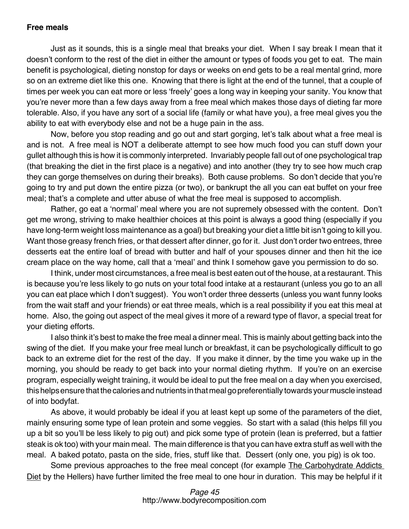#### **Free meals**

Just as it sounds, this is a single meal that breaks your diet. When I say break I mean that it doesn't conform to the rest of the diet in either the amount or types of foods you get to eat. The main benefit is psychological, dieting nonstop for days or weeks on end gets to be a real mental grind, more so on an extreme diet like this one. Knowing that there is light at the end of the tunnel, that a couple of times per week you can eat more or less 'freely' goes a long way in keeping your sanity. You know that you're never more than a few days away from a free meal which makes those days of dieting far more tolerable. Also, if you have any sort of a social life (family or what have you), a free meal gives you the ability to eat with everybody else and not be a huge pain in the ass.

Now, before you stop reading and go out and start gorging, let's talk about what a free meal is and is not. A free meal is NOT a deliberate attempt to see how much food you can stuff down your gullet although this is how it is commonly interpreted. Invariably people fall out of one psychological trap (that breaking the diet in the first place is a negative) and into another (they try to see how much crap they can gorge themselves on during their breaks). Both cause problems. So don't decide that you're going to try and put down the entire pizza (or two), or bankrupt the all you can eat buffet on your free meal; that's a complete and utter abuse of what the free meal is supposed to accomplish.

Rather, go eat a 'normal' meal where you are not supremely obsessed with the content. Don't get me wrong, striving to make healthier choices at this point is always a good thing (especially if you have long-term weight loss maintenance as a goal) but breaking your diet a little bit isn't going to kill you. Want those greasy french fries, or that dessert after dinner, go for it. Just don't order two entrees, three desserts eat the entire loaf of bread with butter and half of your spouses dinner and then hit the ice cream place on the way home, call that a 'meal' and think I somehow gave you permission to do so.

I think, under most circumstances, a free meal is best eaten out of the house, at a restaurant. This is because you're less likely to go nuts on your total food intake at a restaurant (unless you go to an all you can eat place which I don't suggest). You won't order three desserts (unless you want funny looks from the wait staff and your friends) or eat three meals, which is a real possibility if you eat this meal at home. Also, the going out aspect of the meal gives it more of a reward type of flavor, a special treat for your dieting efforts.

I also think it's best to make the free meal a dinner meal. This is mainly about getting back into the swing of the diet. If you make your free meal lunch or breakfast, it can be psychologically difficult to go back to an extreme diet for the rest of the day. If you make it dinner, by the time you wake up in the morning, you should be ready to get back into your normal dieting rhythm. If you're on an exercise program, especially weight training, it would be ideal to put the free meal on a day when you exercised, this helps ensure that the calories and nutrients in that meal go preferentially towards your muscle instead of into bodyfat.

As above, it would probably be ideal if you at least kept up some of the parameters of the diet, mainly ensuring some type of lean protein and some veggies. So start with a salad (this helps fill you up a bit so you'll be less likely to pig out) and pick some type of protein (lean is preferred, but a fattier steak is ok too) with your main meal. The main difference is that you can have extra stuff as well with the meal. A baked potato, pasta on the side, fries, stuff like that. Dessert (only one, you pig) is ok too.

Some previous approaches to the free meal concept (for example The Carbohydrate Addicts Diet by the Hellers) have further limited the free meal to one hour in duration. This may be helpful if it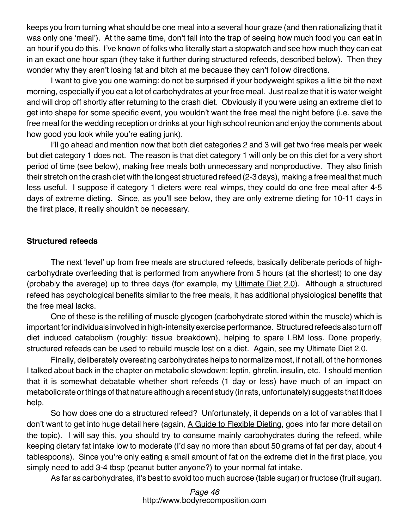keeps you from turning what should be one meal into a several hour graze (and then rationalizing that it was only one 'meal'). At the same time, don't fall into the trap of seeing how much food you can eat in an hour if you do this. I've known of folks who literally start a stopwatch and see how much they can eat in an exact one hour span (they take it further during structured refeeds, described below). Then they wonder why they aren't losing fat and bitch at me because they can't follow directions.

I want to give you one warning: do not be surprised if your bodyweight spikes a little bit the next morning, especially if you eat a lot of carbohydrates at your free meal. Just realize that it is water weight and will drop off shortly after returning to the crash diet. Obviously if you were using an extreme diet to get into shape for some specific event, you wouldn't want the free meal the night before (i.e. save the free meal for the wedding reception or drinks at your high school reunion and enjoy the comments about how good you look while you're eating junk).

I'll go ahead and mention now that both diet categories 2 and 3 will get two free meals per week but diet category 1 does not. The reason is that diet category 1 will only be on this diet for a very short period of time (see below), making free meals both unnecessary and nonproductive. They also finish their stretch on the crash diet with the longest structured refeed (2-3 days), making a free meal that much less useful. I suppose if category 1 dieters were real wimps, they could do one free meal after 4-5 days of extreme dieting. Since, as you'll see below, they are only extreme dieting for 10-11 days in the first place, it really shouldn't be necessary.

# **Structured refeeds**

The next 'level' up from free meals are structured refeeds, basically deliberate periods of highcarbohydrate overfeeding that is performed from anywhere from 5 hours (at the shortest) to one day (probably the average) up to three days (for example, my Ultimate Diet 2.0). Although a structured refeed has psychological benefits similar to the free meals, it has additional physiological benefits that the free meal lacks.

One of these is the refilling of muscle glycogen (carbohydrate stored within the muscle) which is important for individuals involved in high-intensity exercise performance. Structured refeeds also turn off diet induced catabolism (roughly: tissue breakdown), helping to spare LBM loss. Done properly, structured refeeds can be used to rebuild muscle lost on a diet. Again, see my Ultimate Diet 2.0.

Finally, deliberately overeating carbohydrates helps to normalize most, if not all, of the hormones I talked about back in the chapter on metabolic slowdown: leptin, ghrelin, insulin, etc. I should mention that it is somewhat debatable whether short refeeds (1 day or less) have much of an impact on metabolic rate or things of that nature although a recent study (in rats, unfortunately) suggests that it does help.

So how does one do a structured refeed? Unfortunately, it depends on a lot of variables that I don't want to get into huge detail here (again, A Guide to Flexible Dieting, goes into far more detail on the topic). I will say this, you should try to consume mainly carbohydrates during the refeed, while keeping dietary fat intake low to moderate (I'd say no more than about 50 grams of fat per day, about 4 tablespoons). Since you're only eating a small amount of fat on the extreme diet in the first place, you simply need to add 3-4 tbsp (peanut butter anyone?) to your normal fat intake.

As far as carbohydrates, it's best to avoid too much sucrose (table sugar) or fructose (fruit sugar).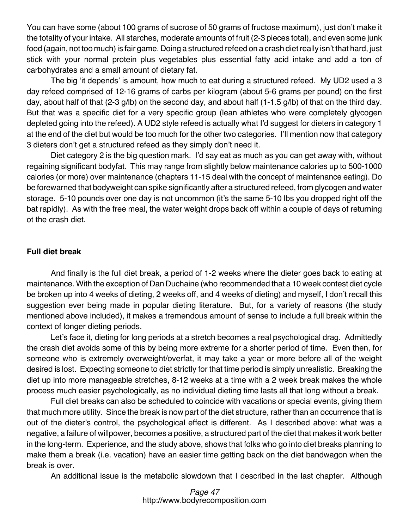You can have some (about 100 grams of sucrose of 50 grams of fructose maximum), just don't make it the totality of your intake. All starches, moderate amounts of fruit (2-3 pieces total), and even some junk food (again, not too much) is fair game. Doing a structured refeed on a crash diet really isn't that hard, just stick with your normal protein plus vegetables plus essential fatty acid intake and add a ton of carbohydrates and a small amount of dietary fat.

The big 'it depends' is amount, how much to eat during a structured refeed. My UD2 used a 3 day refeed comprised of 12-16 grams of carbs per kilogram (about 5-6 grams per pound) on the first day, about half of that (2-3 g/lb) on the second day, and about half (1-1.5 g/lb) of that on the third day. But that was a specific diet for a very specific group (lean athletes who were completely glycogen depleted going into the refeed). A UD2 style refeed is actually what I'd suggest for dieters in category 1 at the end of the diet but would be too much for the other two categories. I'll mention now that category 3 dieters don't get a structured refeed as they simply don't need it.

Diet category 2 is the big question mark. I'd say eat as much as you can get away with, without regaining significant bodyfat. This may range from slightly below maintenance calories up to 500-1000 calories (or more) over maintenance (chapters 11-15 deal with the concept of maintenance eating). Do be forewarned that bodyweight can spike significantly after a structured refeed, from glycogen and water storage. 5-10 pounds over one day is not uncommon (it's the same 5-10 lbs you dropped right off the bat rapidly). As with the free meal, the water weight drops back off within a couple of days of returning ot the crash diet.

### **Full diet break**

And finally is the full diet break, a period of 1-2 weeks where the dieter goes back to eating at maintenance. With the exception of Dan Duchaine (who recommended that a 10 week contest diet cycle be broken up into 4 weeks of dieting, 2 weeks off, and 4 weeks of dieting) and myself, I don't recall this suggestion ever being made in popular dieting literature. But, for a variety of reasons (the study mentioned above included), it makes a tremendous amount of sense to include a full break within the context of longer dieting periods.

Let's face it, dieting for long periods at a stretch becomes a real psychological drag. Admittedly the crash diet avoids some of this by being more extreme for a shorter period of time. Even then, for someone who is extremely overweight/overfat, it may take a year or more before all of the weight desired is lost. Expecting someone to diet strictly for that time period is simply unrealistic. Breaking the diet up into more manageable stretches, 8-12 weeks at a time with a 2 week break makes the whole process much easier psychologically, as no individual dieting time lasts all that long without a break.

Full diet breaks can also be scheduled to coincide with vacations or special events, giving them that much more utility. Since the break is now part of the diet structure, rather than an occurrence that is out of the dieter's control, the psychological effect is different. As I described above: what was a negative, a failure of willpower, becomes a positive, a structured part of the diet that makes it work better in the long-term. Experience, and the study above, shows that folks who go into diet breaks planning to make them a break (i.e. vacation) have an easier time getting back on the diet bandwagon when the break is over.

An additional issue is the metabolic slowdown that I described in the last chapter. Although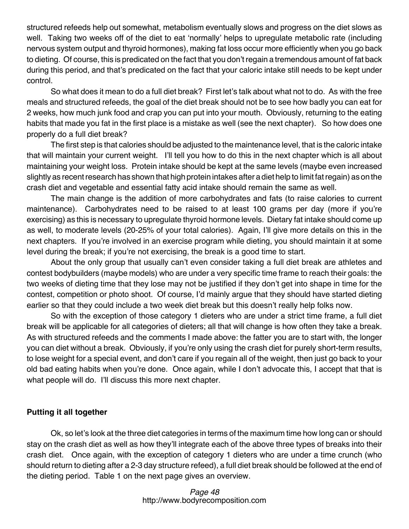structured refeeds help out somewhat, metabolism eventually slows and progress on the diet slows as well. Taking two weeks off of the diet to eat 'normally' helps to upregulate metabolic rate (including nervous system output and thyroid hormones), making fat loss occur more efficiently when you go back to dieting. Of course, this is predicated on the fact that you don't regain a tremendous amount of fat back during this period, and that's predicated on the fact that your caloric intake still needs to be kept under control.

So what does it mean to do a full diet break? First let's talk about what not to do. As with the free meals and structured refeeds, the goal of the diet break should not be to see how badly you can eat for 2 weeks, how much junk food and crap you can put into your mouth. Obviously, returning to the eating habits that made you fat in the first place is a mistake as well (see the next chapter). So how does one properly do a full diet break?

The first step is that calories should be adjusted to the maintenance level, that is the caloric intake that will maintain your current weight. I'll tell you how to do this in the next chapter which is all about maintaining your weight loss. Protein intake should be kept at the same levels (maybe even increased slightly as recent research has shown that high protein intakes after a diet help to limit fat regain) as on the crash diet and vegetable and essential fatty acid intake should remain the same as well.

The main change is the addition of more carbohydrates and fats (to raise calories to current maintenance). Carbohydrates need to be raised to at least 100 grams per day (more if you're exercising) as this is necessary to upregulate thyroid hormone levels. Dietary fat intake should come up as well, to moderate levels (20-25% of your total calories). Again, I'll give more details on this in the next chapters. If you're involved in an exercise program while dieting, you should maintain it at some level during the break; if you're not exercising, the break is a good time to start.

About the only group that usually can't even consider taking a full diet break are athletes and contest bodybuilders (maybe models) who are under a very specific time frame to reach their goals: the two weeks of dieting time that they lose may not be justified if they don't get into shape in time for the contest, competition or photo shoot. Of course, I'd mainly argue that they should have started dieting earlier so that they could include a two week diet break but this doesn't really help folks now.

So with the exception of those category 1 dieters who are under a strict time frame, a full diet break will be applicable for all categories of dieters; all that will change is how often they take a break. As with structured refeeds and the comments I made above: the fatter you are to start with, the longer you can diet without a break. Obviously, if you're only using the crash diet for purely short-term results, to lose weight for a special event, and don't care if you regain all of the weight, then just go back to your old bad eating habits when you're done. Once again, while I don't advocate this, I accept that that is what people will do. I'll discuss this more next chapter.

# **Putting it all together**

Ok, so let's look at the three diet categories in terms of the maximum time how long can or should stay on the crash diet as well as how they'll integrate each of the above three types of breaks into their crash diet. Once again, with the exception of category 1 dieters who are under a time crunch (who should return to dieting after a 2-3 day structure refeed), a full diet break should be followed at the end of the dieting period. Table 1 on the next page gives an overview.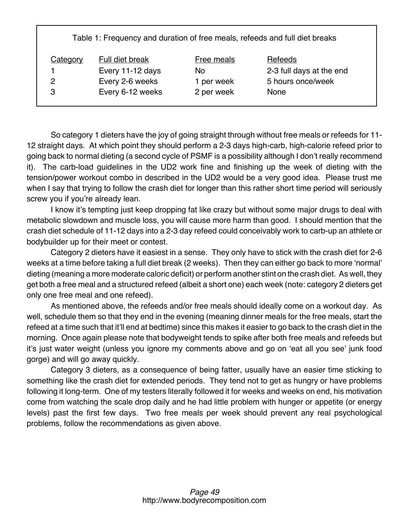| Table 1: Frequency and duration of free meals, refeeds and full diet breaks |                  |            |                          |  |  |
|-----------------------------------------------------------------------------|------------------|------------|--------------------------|--|--|
| Category                                                                    | Full diet break  | Free meals | Refeeds                  |  |  |
|                                                                             | Every 11-12 days | No.        | 2-3 full days at the end |  |  |
| 2                                                                           | Every 2-6 weeks  | 1 per week | 5 hours once/week        |  |  |
| 3                                                                           | Every 6-12 weeks | 2 per week | <b>None</b>              |  |  |
|                                                                             |                  |            |                          |  |  |

So category 1 dieters have the joy of going straight through without free meals or refeeds for 11- 12 straight days. At which point they should perform a 2-3 days high-carb, high-calorie refeed prior to going back to normal dieting (a second cycle of PSMF is a possibility although I don't really recommend it). The carb-load guidelines in the UD2 work fine and finishing up the week of dieting with the tension/power workout combo in described in the UD2 would be a very good idea. Please trust me when I say that trying to follow the crash diet for longer than this rather short time period will seriously screw you if you're already lean.

I know it's tempting just keep dropping fat like crazy but without some major drugs to deal with metabolic slowdown and muscle loss, you will cause more harm than good. I should mention that the crash diet schedule of 11-12 days into a 2-3 day refeed could conceivably work to carb-up an athlete or bodybuilder up for their meet or contest.

Category 2 dieters have it easiest in a sense. They only have to stick with the crash diet for 2-6 weeks at a time before taking a full diet break (2 weeks). Then they can either go back to more 'normal' dieting (meaning a more moderate caloric deficit) or perform another stint on the crash diet. As well, they get both a free meal and a structured refeed (albeit a short one) each week (note: category 2 dieters get only one free meal and one refeed).

As mentioned above, the refeeds and/or free meals should ideally come on a workout day. As well, schedule them so that they end in the evening (meaning dinner meals for the free meals, start the refeed at a time such that it'll end at bedtime) since this makes it easier to go back to the crash diet in the morning. Once again please note that bodyweight tends to spike after both free meals and refeeds but it's just water weight (unless you ignore my comments above and go on 'eat all you see' junk food gorge) and will go away quickly.

Category 3 dieters, as a consequence of being fatter, usually have an easier time sticking to something like the crash diet for extended periods. They tend not to get as hungry or have problems following it long-term. One of my testers literally followed it for weeks and weeks on end, his motivation come from watching the scale drop daily and he had little problem with hunger or appetite (or energy levels) past the first few days. Two free meals per week should prevent any real psychological problems, follow the recommendations as given above.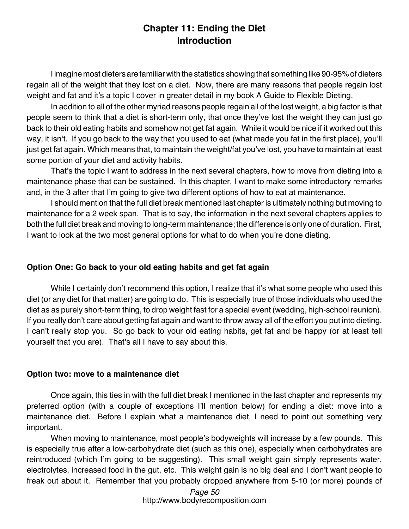# **Chapter 11: Ending the Diet Introduction**

I imagine most dieters are familiar with the statistics showing that something like 90-95% of dieters regain all of the weight that they lost on a diet. Now, there are many reasons that people regain lost weight and fat and it's a topic I cover in greater detail in my book A Guide to Flexible Dieting.

In addition to all of the other myriad reasons people regain all of the lost weight, a big factor is that people seem to think that a diet is short-term only, that once they've lost the weight they can just go back to their old eating habits and somehow not get fat again. While it would be nice if it worked out this way, it isn't. If you go back to the way that you used to eat (what made you fat in the first place), you'll just get fat again. Which means that, to maintain the weight/fat you've lost, you have to maintain at least some portion of your diet and activity habits.

That's the topic I want to address in the next several chapters, how to move from dieting into a maintenance phase that can be sustained. In this chapter, I want to make some introductory remarks and, in the 3 after that I'm going to give two different options of how to eat at maintenance.

I should mention that the full diet break mentioned last chapter is ultimately nothing but moving to maintenance for a 2 week span. That is to say, the information in the next several chapters applies to both the full diet break and moving to long-term maintenance; the difference is only one of duration. First, I want to look at the two most general options for what to do when you're done dieting.

# **Option One: Go back to your old eating habits and get fat again**

While I certainly don't recommend this option, I realize that it's what some people who used this diet (or any diet for that matter) are going to do. This is especially true of those individuals who used the diet as as purely short-term thing, to drop weight fast for a special event (wedding, high-school reunion). If you really don't care about getting fat again and want to throw away all of the effort you put into dieting, I can't really stop you. So go back to your old eating habits, get fat and be happy (or at least tell yourself that you are). That's all I have to say about this.

#### **Option two: move to a maintenance diet**

Once again, this ties in with the full diet break I mentioned in the last chapter and represents my preferred option (with a couple of exceptions I'll mention below) for ending a diet: move into a maintenance diet. Before I explain what a maintenance diet, I need to point out something very important.

When moving to maintenance, most people's bodyweights will increase by a few pounds. This is especially true after a low-carbohydrate diet (such as this one), especially when carbohydrates are reintroduced (which I'm going to be suggesting). This small weight gain simply represents water, electrolytes, increased food in the gut, etc. This weight gain is no big deal and I don't want people to freak out about it. Remember that you probably dropped anywhere from 5-10 (or more) pounds of

> Page 50 http://www.bodyrecomposition.com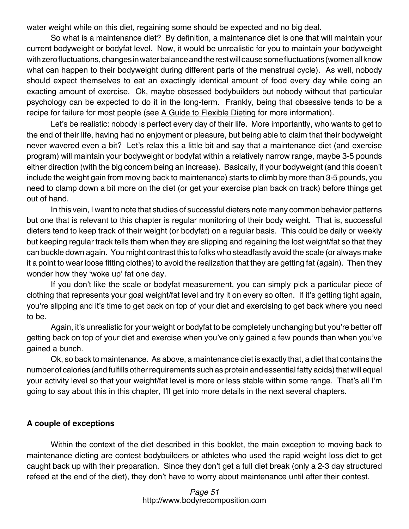water weight while on this diet, regaining some should be expected and no big deal.

So what is a maintenance diet? By definition, a maintenance diet is one that will maintain your current bodyweight or bodyfat level. Now, it would be unrealistic for you to maintain your bodyweight with zero fluctuations, changes in water balance and the rest will cause some fluctuations (women all know what can happen to their bodyweight during different parts of the menstrual cycle). As well, nobody should expect themselves to eat an exactingly identical amount of food every day while doing an exacting amount of exercise. Ok, maybe obsessed bodybuilders but nobody without that particular psychology can be expected to do it in the long-term. Frankly, being that obsessive tends to be a recipe for failure for most people (see A Guide to Flexible Dieting for more information).

Let's be realistic: nobody is perfect every day of their life. More importantly, who wants to get to the end of their life, having had no enjoyment or pleasure, but being able to claim that their bodyweight never wavered even a bit? Let's relax this a little bit and say that a maintenance diet (and exercise program) will maintain your bodyweight or bodyfat within a relatively narrow range, maybe 3-5 pounds either direction (with the big concern being an increase). Basically, if your bodyweight (and this doesn't include the weight gain from moving back to maintenance) starts to climb by more than 3-5 pounds, you need to clamp down a bit more on the diet (or get your exercise plan back on track) before things get out of hand.

In this vein, I want to note that studies of successful dieters note many common behavior patterns but one that is relevant to this chapter is regular monitoring of their body weight. That is, successful dieters tend to keep track of their weight (or bodyfat) on a regular basis. This could be daily or weekly but keeping regular track tells them when they are slipping and regaining the lost weight/fat so that they can buckle down again. You might contrast this to folks who steadfastly avoid the scale (or always make it a point to wear loose fitting clothes) to avoid the realization that they are getting fat (again). Then they wonder how they 'woke up' fat one day.

If you don't like the scale or bodyfat measurement, you can simply pick a particular piece of clothing that represents your goal weight/fat level and try it on every so often. If it's getting tight again, you're slipping and it's time to get back on top of your diet and exercising to get back where you need to be.

Again, it's unrealistic for your weight or bodyfat to be completely unchanging but you're better off getting back on top of your diet and exercise when you've only gained a few pounds than when you've gained a bunch.

Ok, so back to maintenance. As above, a maintenance diet is exactly that, a diet that contains the number of calories (and fulfills other requirements such as protein and essential fatty acids) that will equal your activity level so that your weight/fat level is more or less stable within some range. That's all I'm going to say about this in this chapter, I'll get into more details in the next several chapters.

# **A couple of exceptions**

Within the context of the diet described in this booklet, the main exception to moving back to maintenance dieting are contest bodybuilders or athletes who used the rapid weight loss diet to get caught back up with their preparation. Since they don't get a full diet break (only a 2-3 day structured refeed at the end of the diet), they don't have to worry about maintenance until after their contest.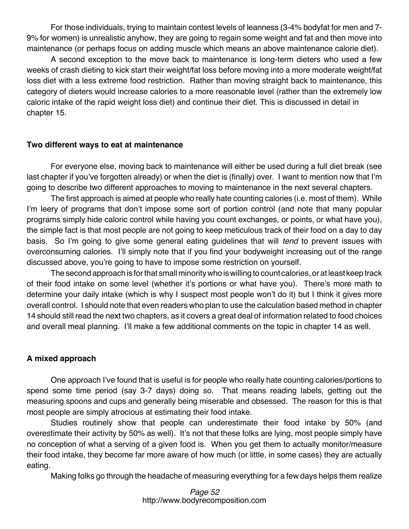For those individuals, trying to maintain contest levels of leanness (3-4% bodyfat for men and 7- 9% for women) is unrealistic anyhow, they are going to regain some weight and fat and then move into maintenance (or perhaps focus on adding muscle which means an above maintenance calorie diet).

A second exception to the move back to maintenance is long-term dieters who used a few weeks of crash dieting to kick start their weight/fat loss before moving into a more moderate weight/fat loss diet with a less extreme food restriction. Rather than moving straight back to maintenance, this category of dieters would increase calories to a more reasonable level (rather than the extremely low caloric intake of the rapid weight loss diet) and continue their diet. This is discussed in detail in chapter 15.

### **Two different ways to eat at maintenance**

For everyone else, moving back to maintenance will either be used during a full diet break (see last chapter if you've forgotten already) or when the diet is (finally) over. I want to mention now that I'm going to describe two different approaches to moving to maintenance in the next several chapters.

The first approach is aimed at people who really hate counting calories (i.e. most of them). While I'm leery of programs that don't impose some sort of portion control (and note that many popular programs simply hide caloric control while having you count exchanges, or points, or what have you), the simple fact is that most people are not going to keep meticulous track of their food on a day to day basis. So I'm going to give some general eating guidelines that will *tend* to prevent issues with overconsuming calories. I'll simply note that if you find your bodyweight increasing out of the range discussed above, you're going to have to impose some restriction on yourself.

The second approach is for that small minority who is willing to count calories, or at least keep track of their food intake on some level (whether it's portions or what have you). There's more math to determine your daily intake (which is why I suspect most people won't do it) but I think it gives more overall control. I should note that even readers who plan to use the calculation based method in chapter 14 should still read the next two chapters, as it covers a great deal of information related to food choices and overall meal planning. I'll make a few additional comments on the topic in chapter 14 as well.

# **A mixed approach**

One approach I've found that is useful is for people who really hate counting calories/portions to spend some time period (say 3-7 days) doing so. That means reading labels, getting out the measuring spoons and cups and generally being miserable and obsessed. The reason for this is that most people are simply atrocious at estimating their food intake.

Studies routinely show that people can underestimate their food intake by 50% (and overestimate their activity by 50% as well). It's not that these folks are lying, most people simply have no conception of what a serving of a given food is. When you get them to actually monitor/measure their food intake, they become far more aware of how much (or little, in some cases) they are actually eating.

Making folks go through the headache of measuring everything for a few days helps them realize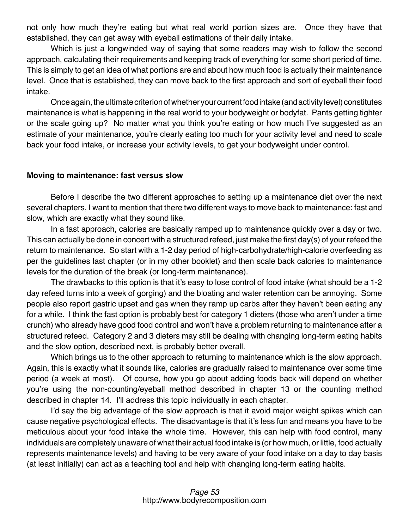not only how much they're eating but what real world portion sizes are. Once they have that established, they can get away with eyeball estimations of their daily intake.

Which is just a longwinded way of saying that some readers may wish to follow the second approach, calculating their requirements and keeping track of everything for some short period of time. This is simply to get an idea of what portions are and about how much food is actually their maintenance level. Once that is established, they can move back to the first approach and sort of eyeball their food intake.

Once again, the ultimate criterion of whether your current food intake (and activity level) constitutes maintenance is what is happening in the real world to your bodyweight or bodyfat. Pants getting tighter or the scale going up? No matter what you think you're eating or how much I've suggested as an estimate of your maintenance, you're clearly eating too much for your activity level and need to scale back your food intake, or increase your activity levels, to get your bodyweight under control.

### **Moving to maintenance: fast versus slow**

Before I describe the two different approaches to setting up a maintenance diet over the next several chapters, I want to mention that there two different ways to move back to maintenance: fast and slow, which are exactly what they sound like.

In a fast approach, calories are basically ramped up to maintenance quickly over a day or two. This can actually be done in concert with a structured refeed, just make the first day(s) of your refeed the return to maintenance. So start with a 1-2 day period of high-carbohydrate/high-calorie overfeeding as per the guidelines last chapter (or in my other booklet) and then scale back calories to maintenance levels for the duration of the break (or long-term maintenance).

The drawbacks to this option is that it's easy to lose control of food intake (what should be a 1-2 day refeed turns into a week of gorging) and the bloating and water retention can be annoying. Some people also report gastric upset and gas when they ramp up carbs after they haven't been eating any for a while. I think the fast option is probably best for category 1 dieters (those who aren't under a time crunch) who already have good food control and won't have a problem returning to maintenance after a structured refeed. Category 2 and 3 dieters may still be dealing with changing long-term eating habits and the slow option, described next, is probably better overall.

Which brings us to the other approach to returning to maintenance which is the slow approach. Again, this is exactly what it sounds like, calories are gradually raised to maintenance over some time period (a week at most). Of course, how you go about adding foods back will depend on whether you're using the non-counting/eyeball method described in chapter 13 or the counting method described in chapter 14. I'll address this topic individually in each chapter.

I'd say the big advantage of the slow approach is that it avoid major weight spikes which can cause negative psychological effects. The disadvantage is that it's less fun and means you have to be meticulous about your food intake the whole time. However, this can help with food control, many individuals are completely unaware of what their actual food intake is (or how much, or little, food actually represents maintenance levels) and having to be very aware of your food intake on a day to day basis (at least initially) can act as a teaching tool and help with changing long-term eating habits.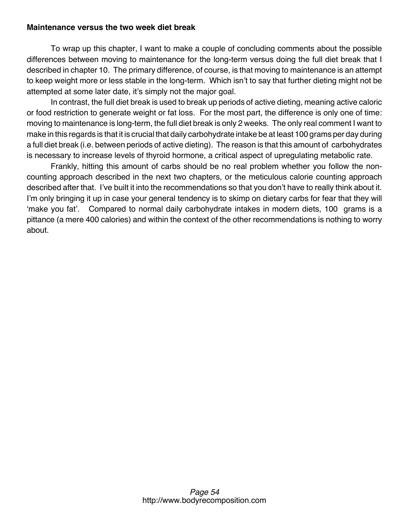#### **Maintenance versus the two week diet break**

To wrap up this chapter, I want to make a couple of concluding comments about the possible differences between moving to maintenance for the long-term versus doing the full diet break that I described in chapter 10. The primary difference, of course, is that moving to maintenance is an attempt to keep weight more or less stable in the long-term. Which isn't to say that further dieting might not be attempted at some later date, it's simply not the major goal.

In contrast, the full diet break is used to break up periods of active dieting, meaning active caloric or food restriction to generate weight or fat loss. For the most part, the difference is only one of time: moving to maintenance is long-term, the full diet break is only 2 weeks. The only real comment I want to make in this regards is that it is crucial that daily carbohydrate intake be at least 100 grams per day during a full diet break (i.e. between periods of active dieting). The reason is that this amount of carbohydrates is necessary to increase levels of thyroid hormone, a critical aspect of upregulating metabolic rate.

Frankly, hitting this amount of carbs should be no real problem whether you follow the noncounting approach described in the next two chapters, or the meticulous calorie counting approach described after that. I've built it into the recommendations so that you don't have to really think about it. I'm only bringing it up in case your general tendency is to skimp on dietary carbs for fear that they will 'make you fat'. Compared to normal daily carbohydrate intakes in modern diets, 100 grams is a pittance (a mere 400 calories) and within the context of the other recommendations is nothing to worry about.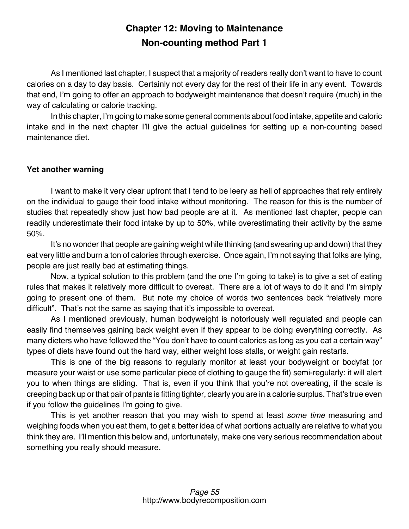# **Chapter 12: Moving to Maintenance Non-counting method Part 1**

As I mentioned last chapter, I suspect that a majority of readers really don't want to have to count calories on a day to day basis. Certainly not every day for the rest of their life in any event. Towards that end, I'm going to offer an approach to bodyweight maintenance that doesn't require (much) in the way of calculating or calorie tracking.

In this chapter, I'm going to make some general comments about food intake, appetite and caloric intake and in the next chapter I'll give the actual guidelines for setting up a non-counting based maintenance diet.

# **Yet another warning**

I want to make it very clear upfront that I tend to be leery as hell of approaches that rely entirely on the individual to gauge their food intake without monitoring. The reason for this is the number of studies that repeatedly show just how bad people are at it. As mentioned last chapter, people can readily underestimate their food intake by up to 50%, while overestimating their activity by the same 50%.

It's no wonder that people are gaining weight while thinking (and swearing up and down) that they eat very little and burn a ton of calories through exercise. Once again, I'm not saying that folks are lying, people are just really bad at estimating things.

Now, a typical solution to this problem (and the one I'm going to take) is to give a set of eating rules that makes it relatively more difficult to overeat. There are a lot of ways to do it and I'm simply going to present one of them. But note my choice of words two sentences back "relatively more difficult". That's not the same as saying that it's impossible to overeat.

As I mentioned previously, human bodyweight is notoriously well regulated and people can easily find themselves gaining back weight even if they appear to be doing everything correctly. As many dieters who have followed the "You don't have to count calories as long as you eat a certain way" types of diets have found out the hard way, either weight loss stalls, or weight gain restarts.

This is one of the big reasons to regularly monitor at least your bodyweight or bodyfat (or measure your waist or use some particular piece of clothing to gauge the fit) semi-regularly: it will alert you to when things are sliding. That is, even if you think that you're not overeating, if the scale is creeping back up or that pair of pants is fitting tighter, clearly you are in a calorie surplus. That's true even if you follow the guidelines I'm going to give.

This is yet another reason that you may wish to spend at least *some time* measuring and weighing foods when you eat them, to get a better idea of what portions actually are relative to what you think they are. I'll mention this below and, unfortunately, make one very serious recommendation about something you really should measure.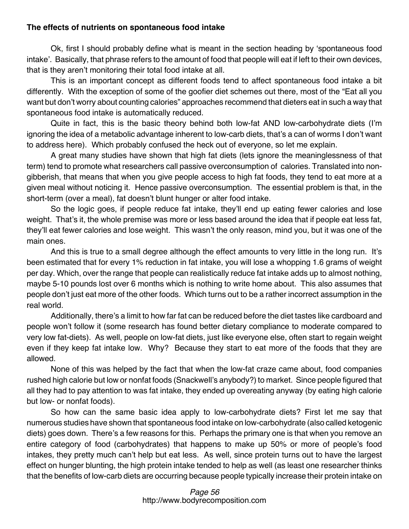# **The effects of nutrients on spontaneous food intake**

Ok, first I should probably define what is meant in the section heading by 'spontaneous food intake'. Basically, that phrase refers to the amount of food that people will eat if left to their own devices, that is they aren't monitoring their total food intake at all.

This is an important concept as different foods tend to affect spontaneous food intake a bit differently. With the exception of some of the goofier diet schemes out there, most of the "Eat all you want but don't worry about counting calories" approaches recommend that dieters eat in such a way that spontaneous food intake is automatically reduced.

Quite in fact, this is the basic theory behind both low-fat AND low-carbohydrate diets (I'm ignoring the idea of a metabolic advantage inherent to low-carb diets, that's a can of worms I don't want to address here). Which probably confused the heck out of everyone, so let me explain.

A great many studies have shown that high fat diets (lets ignore the meaninglessness of that term) tend to promote what researchers call passive overconsumption of calories. Translated into nongibberish, that means that when you give people access to high fat foods, they tend to eat more at a given meal without noticing it. Hence passive overconsumption. The essential problem is that, in the short-term (over a meal), fat doesn't blunt hunger or alter food intake.

So the logic goes, if people reduce fat intake, they'll end up eating fewer calories and lose weight. That's it, the whole premise was more or less based around the idea that if people eat less fat, they'll eat fewer calories and lose weight. This wasn't the only reason, mind you, but it was one of the main ones.

And this is true to a small degree although the effect amounts to very little in the long run. It's been estimated that for every 1% reduction in fat intake, you will lose a whopping 1.6 grams of weight per day. Which, over the range that people can realistically reduce fat intake adds up to almost nothing, maybe 5-10 pounds lost over 6 months which is nothing to write home about. This also assumes that people don't just eat more of the other foods. Which turns out to be a rather incorrect assumption in the real world.

Additionally, there's a limit to how far fat can be reduced before the diet tastes like cardboard and people won't follow it (some research has found better dietary compliance to moderate compared to very low fat-diets). As well, people on low-fat diets, just like everyone else, often start to regain weight even if they keep fat intake low. Why? Because they start to eat more of the foods that they are allowed.

None of this was helped by the fact that when the low-fat craze came about, food companies rushed high calorie but low or nonfat foods (Snackwell's anybody?) to market. Since people figured that all they had to pay attention to was fat intake, they ended up overeating anyway (by eating high calorie but low- or nonfat foods).

So how can the same basic idea apply to low-carbohydrate diets? First let me say that numerous studies have shown that spontaneous food intake on low-carbohydrate (also called ketogenic diets) goes down. There's a few reasons for this. Perhaps the primary one is that when you remove an entire category of food (carbohydrates) that happens to make up 50% or more of people's food intakes, they pretty much can't help but eat less. As well, since protein turns out to have the largest effect on hunger blunting, the high protein intake tended to help as well (as least one researcher thinks that the benefits of low-carb diets are occurring because people typically increase their protein intake on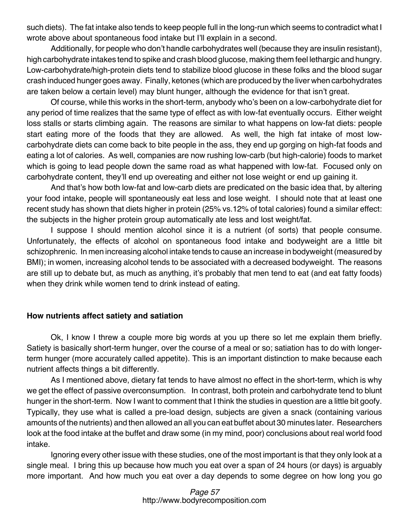such diets). The fat intake also tends to keep people full in the long-run which seems to contradict what I wrote above about spontaneous food intake but I'll explain in a second.

Additionally, for people who don't handle carbohydrates well (because they are insulin resistant), high carbohydrate intakes tend to spike and crash blood glucose, making them feel lethargic and hungry. Low-carbohydrate/high-protein diets tend to stabilize blood glucose in these folks and the blood sugar crash induced hunger goes away. Finally, ketones (which are produced by the liver when carbohydrates are taken below a certain level) may blunt hunger, although the evidence for that isn't great.

Of course, while this works in the short-term, anybody who's been on a low-carbohydrate diet for any period of time realizes that the same type of effect as with low-fat eventually occurs. Either weight loss stalls or starts climbing again. The reasons are similar to what happens on low-fat diets: people start eating more of the foods that they are allowed. As well, the high fat intake of most lowcarbohydrate diets can come back to bite people in the ass, they end up gorging on high-fat foods and eating a lot of calories. As well, companies are now rushing low-carb (but high-calorie) foods to market which is going to lead people down the same road as what happened with low-fat. Focused only on carbohydrate content, they'll end up overeating and either not lose weight or end up gaining it.

And that's how both low-fat and low-carb diets are predicated on the basic idea that, by altering your food intake, people will spontaneously eat less and lose weight. I should note that at least one recent study has shown that diets higher in protein (25% vs.12% of total calories) found a similar effect: the subjects in the higher protein group automatically ate less and lost weight/fat.

I suppose I should mention alcohol since it is a nutrient (of sorts) that people consume. Unfortunately, the effects of alcohol on spontaneous food intake and bodyweight are a little bit schizophrenic. In men increasing alcohol intake tends to cause an increase in bodyweight (measured by BMI); in women, increasing alcohol tends to be associated with a decreased bodyweight. The reasons are still up to debate but, as much as anything, it's probably that men tend to eat (and eat fatty foods) when they drink while women tend to drink instead of eating.

#### **How nutrients affect satiety and satiation**

Ok, I know I threw a couple more big words at you up there so let me explain them briefly. Satiety is basically short-term hunger, over the course of a meal or so; satiation has to do with longerterm hunger (more accurately called appetite). This is an important distinction to make because each nutrient affects things a bit differently.

As I mentioned above, dietary fat tends to have almost no effect in the short-term, which is why we get the effect of passive overconsumption. In contrast, both protein and carbohydrate tend to blunt hunger in the short-term. Now I want to comment that I think the studies in question are a little bit goofy. Typically, they use what is called a pre-load design, subjects are given a snack (containing various amounts of the nutrients) and then allowed an all you can eat buffet about 30 minutes later. Researchers look at the food intake at the buffet and draw some (in my mind, poor) conclusions about real world food intake.

Ignoring every other issue with these studies, one of the most important is that they only look at a single meal. I bring this up because how much you eat over a span of 24 hours (or days) is arguably more important. And how much you eat over a day depends to some degree on how long you go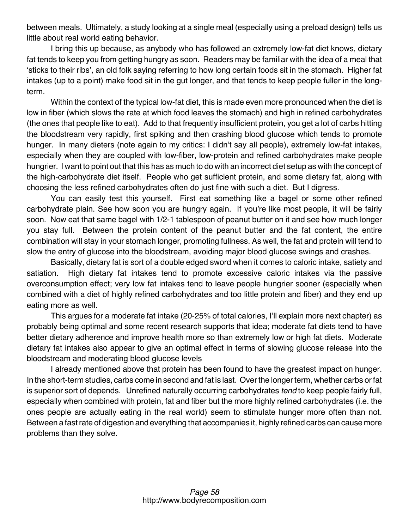between meals. Ultimately, a study looking at a single meal (especially using a preload design) tells us little about real world eating behavior.

I bring this up because, as anybody who has followed an extremely low-fat diet knows, dietary fat tends to keep you from getting hungry as soon. Readers may be familiar with the idea of a meal that 'sticks to their ribs', an old folk saying referring to how long certain foods sit in the stomach. Higher fat intakes (up to a point) make food sit in the gut longer, and that tends to keep people fuller in the longterm.

Within the context of the typical low-fat diet, this is made even more pronounced when the diet is low in fiber (which slows the rate at which food leaves the stomach) and high in refined carbohydrates (the ones that people like to eat). Add to that frequently insufficient protein, you get a lot of carbs hitting the bloodstream very rapidly, first spiking and then crashing blood glucose which tends to promote hunger. In many dieters (note again to my critics: I didn't say all people), extremely low-fat intakes, especially when they are coupled with low-fiber, low-protein and refined carbohydrates make people hungrier. I want to point out that this has as much to do with an incorrect diet setup as with the concept of the high-carbohydrate diet itself. People who get sufficient protein, and some dietary fat, along with choosing the less refined carbohydrates often do just fine with such a diet. But I digress.

You can easily test this yourself. First eat something like a bagel or some other refined carbohydrate plain. See how soon you are hungry again. If you're like most people, it will be fairly soon. Now eat that same bagel with 1/2-1 tablespoon of peanut butter on it and see how much longer you stay full. Between the protein content of the peanut butter and the fat content, the entire combination will stay in your stomach longer, promoting fullness. As well, the fat and protein will tend to slow the entry of glucose into the bloodstream, avoiding major blood glucose swings and crashes.

Basically, dietary fat is sort of a double edged sword when it comes to caloric intake, satiety and satiation. High dietary fat intakes tend to promote excessive caloric intakes via the passive overconsumption effect; very low fat intakes tend to leave people hungrier sooner (especially when combined with a diet of highly refined carbohydrates and too little protein and fiber) and they end up eating more as well.

This argues for a moderate fat intake (20-25% of total calories, I'll explain more next chapter) as probably being optimal and some recent research supports that idea; moderate fat diets tend to have better dietary adherence and improve health more so than extremely low or high fat diets. Moderate dietary fat intakes also appear to give an optimal effect in terms of slowing glucose release into the bloodstream and moderating blood glucose levels

I already mentioned above that protein has been found to have the greatest impact on hunger. In the short-term studies, carbs come in second and fat is last. Over the longer term, whether carbs or fat is superior sort of depends. Unrefined naturally occurring carbohydrates tend to keep people fairly full, especially when combined with protein, fat and fiber but the more highly refined carbohydrates (i.e. the ones people are actually eating in the real world) seem to stimulate hunger more often than not. Between a fast rate of digestion and everything that accompanies it, highly refined carbs can cause more problems than they solve.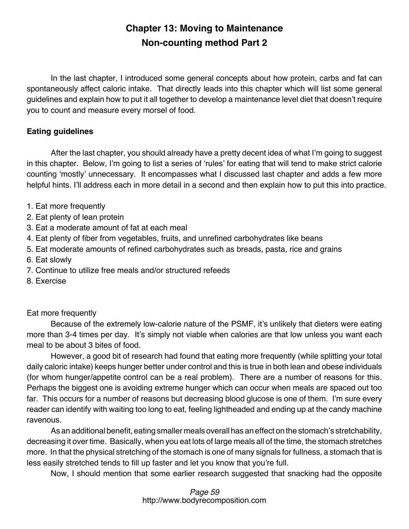# **Chapter 13: Moving to Maintenance Non-counting method Part 2**

In the last chapter, I introduced some general concepts about how protein, carbs and fat can spontaneously affect caloric intake. That directly leads into this chapter which will list some general guidelines and explain how to put it all together to develop a maintenance level diet that doesn't require you to count and measure every morsel of food.

# **Eating guidelines**

After the last chapter, you should already have a pretty decent idea of what I'm going to suggest in this chapter. Below, I'm going to list a series of 'rules' for eating that will tend to make strict calorie counting 'mostly' unnecessary. It encompasses what I discussed last chapter and adds a few more helpful hints. I'll address each in more detail in a second and then explain how to put this into practice.

- 1. Eat more frequently
- 2. Eat plenty of lean protein
- 3. Eat a moderate amount of fat at each meal
- 4. Eat plenty of fiber from vegetables, fruits, and unrefined carbohydrates like beans
- 5. Eat moderate amounts of refined carbohydrates such as breads, pasta, rice and grains
- 6. Eat slowly
- 7. Continue to utilize free meals and/or structured refeeds
- 8. Exercise

# Eat more frequently

Because of the extremely low-calorie nature of the PSMF, it's unlikely that dieters were eating more than 3-4 times per day. It's simply not viable when calories are that low unless you want each meal to be about 3 bites of food.

However, a good bit of research had found that eating more frequently (while splitting your total daily caloric intake) keeps hunger better under control and this is true in both lean and obese individuals (for whom hunger/appetite control can be a real problem). There are a number of reasons for this. Perhaps the biggest one is avoiding extreme hunger which can occur when meals are spaced out too far. This occurs for a number of reasons but decreasing blood glucose is one of them. I'm sure every reader can identify with waiting too long to eat, feeling lightheaded and ending up at the candy machine ravenous.

As an additional benefit, eating smaller meals overall has an effect on the stomach's stretchability, decreasing it over time. Basically, when you eat lots of large meals all of the time, the stomach stretches more. In that the physical stretching of the stomach is one of many signals for fullness, a stomach that is less easily stretched tends to fill up faster and let you know that you're full.

Now, I should mention that some earlier research suggested that snacking had the opposite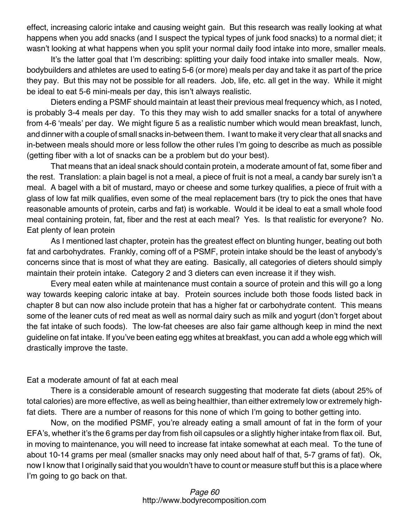effect, increasing caloric intake and causing weight gain. But this research was really looking at what happens when you add snacks (and I suspect the typical types of junk food snacks) to a normal diet; it wasn't looking at what happens when you split your normal daily food intake into more, smaller meals.

It's the latter goal that I'm describing: splitting your daily food intake into smaller meals. Now, bodybuilders and athletes are used to eating 5-6 (or more) meals per day and take it as part of the price they pay. But this may not be possible for all readers. Job, life, etc. all get in the way. While it might be ideal to eat 5-6 mini-meals per day, this isn't always realistic.

Dieters ending a PSMF should maintain at least their previous meal frequency which, as I noted, is probably 3-4 meals per day. To this they may wish to add smaller snacks for a total of anywhere from 4-6 'meals' per day. We might figure 5 as a realistic number which would mean breakfast, lunch, and dinner with a couple of small snacks in-between them. I want to make it very clear that all snacks and in-between meals should more or less follow the other rules I'm going to describe as much as possible (getting fiber with a lot of snacks can be a problem but do your best).

That means that an ideal snack should contain protein, a moderate amount of fat, some fiber and the rest. Translation: a plain bagel is not a meal, a piece of fruit is not a meal, a candy bar surely isn't a meal. A bagel with a bit of mustard, mayo or cheese and some turkey qualifies, a piece of fruit with a glass of low fat milk qualifies, even some of the meal replacement bars (try to pick the ones that have reasonable amounts of protein, carbs and fat) is workable. Would it be ideal to eat a small whole food meal containing protein, fat, fiber and the rest at each meal? Yes. Is that realistic for everyone? No. Eat plenty of lean protein

As I mentioned last chapter, protein has the greatest effect on blunting hunger, beating out both fat and carbohydrates. Frankly, coming off of a PSMF, protein intake should be the least of anybody's concerns since that is most of what they are eating. Basically, all categories of dieters should simply maintain their protein intake. Category 2 and 3 dieters can even increase it if they wish.

Every meal eaten while at maintenance must contain a source of protein and this will go a long way towards keeping caloric intake at bay. Protein sources include both those foods listed back in chapter 8 but can now also include protein that has a higher fat or carbohydrate content. This means some of the leaner cuts of red meat as well as normal dairy such as milk and yogurt (don't forget about the fat intake of such foods). The low-fat cheeses are also fair game although keep in mind the next guideline on fat intake. If you've been eating egg whites at breakfast, you can add a whole egg which will drastically improve the taste.

Eat a moderate amount of fat at each meal

There is a considerable amount of research suggesting that moderate fat diets (about 25% of total calories) are more effective, as well as being healthier, than either extremely low or extremely highfat diets. There are a number of reasons for this none of which I'm going to bother getting into.

Now, on the modified PSMF, you're already eating a small amount of fat in the form of your EFA's, whether it's the 6 grams per day from fish oil capsules or a slightly higher intake from flax oil. But, in moving to maintenance, you will need to increase fat intake somewhat at each meal. To the tune of about 10-14 grams per meal (smaller snacks may only need about half of that, 5-7 grams of fat). Ok, now I know that I originally said that you wouldn't have to count or measure stuff but this is a place where I'm going to go back on that.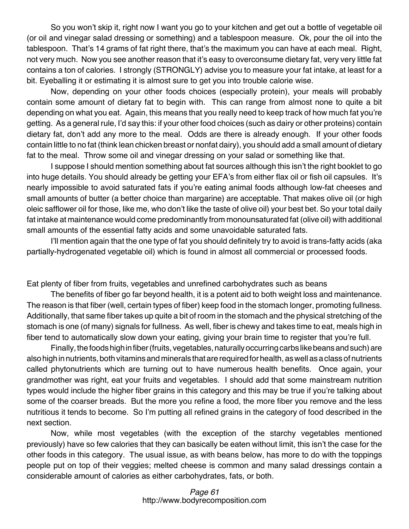So you won't skip it, right now I want you go to your kitchen and get out a bottle of vegetable oil (or oil and vinegar salad dressing or something) and a tablespoon measure. Ok, pour the oil into the tablespoon. That's 14 grams of fat right there, that's the maximum you can have at each meal. Right, not very much. Now you see another reason that it's easy to overconsume dietary fat, very very little fat contains a ton of calories. I strongly (STRONGLY) advise you to measure your fat intake, at least for a bit. Eyeballing it or estimating it is almost sure to get you into trouble calorie wise.

Now, depending on your other foods choices (especially protein), your meals will probably contain some amount of dietary fat to begin with. This can range from almost none to quite a bit depending on what you eat. Again, this means that you really need to keep track of how much fat you're getting. As a general rule, I'd say this: if your other food choices (such as dairy or other proteins) contain dietary fat, don't add any more to the meal. Odds are there is already enough. If your other foods contain little to no fat (think lean chicken breast or nonfat dairy), you should add a small amount of dietary fat to the meal. Throw some oil and vinegar dressing on your salad or something like that.

I suppose I should mention something about fat sources although this isn't the right booklet to go into huge details. You should already be getting your EFA's from either flax oil or fish oil capsules. It's nearly impossible to avoid saturated fats if you're eating animal foods although low-fat cheeses and small amounts of butter (a better choice than margarine) are acceptable. That makes olive oil (or high oleic safflower oil for those, like me, who don't like the taste of olive oil) your best bet. So your total daily fat intake at maintenance would come predominantly from monounsaturated fat (olive oil) with additional small amounts of the essential fatty acids and some unavoidable saturated fats.

I'll mention again that the one type of fat you should definitely try to avoid is trans-fatty acids (aka partially-hydrogenated vegetable oil) which is found in almost all commercial or processed foods.

Eat plenty of fiber from fruits, vegetables and unrefined carbohydrates such as beans

The benefits of fiber go far beyond health, it is a potent aid to both weight loss and maintenance. The reason is that fiber (well, certain types of fiber) keep food in the stomach longer, promoting fullness. Additionally, that same fiber takes up quite a bit of room in the stomach and the physical stretching of the stomach is one (of many) signals for fullness. As well, fiber is chewy and takes time to eat, meals high in fiber tend to automatically slow down your eating, giving your brain time to register that you're full.

Finally, the foods high in fiber (fruits, vegetables, naturally occurring carbs like beans and such) are also high in nutrients, both vitamins and minerals that are required for health, as well as a class of nutrients called phytonutrients which are turning out to have numerous health benefits. Once again, your grandmother was right, eat your fruits and vegetables. I should add that some mainstream nutrition types would include the higher fiber grains in this category and this may be true if you're talking about some of the coarser breads. But the more you refine a food, the more fiber you remove and the less nutritious it tends to become. So I'm putting all refined grains in the category of food described in the next section.

Now, while most vegetables (with the exception of the starchy vegetables mentioned previously) have so few calories that they can basically be eaten without limit, this isn't the case for the other foods in this category. The usual issue, as with beans below, has more to do with the toppings people put on top of their veggies; melted cheese is common and many salad dressings contain a considerable amount of calories as either carbohydrates, fats, or both.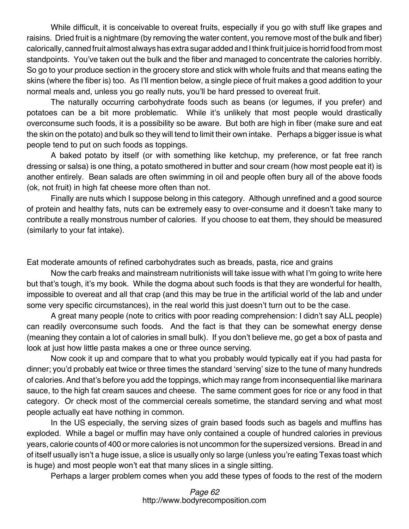While difficult, it is conceivable to overeat fruits, especially if you go with stuff like grapes and raisins. Dried fruit is a nightmare (by removing the water content, you remove most of the bulk and fiber) calorically, canned fruit almost always has extra sugar added and I think fruit juice is horrid food from most standpoints. You've taken out the bulk and the fiber and managed to concentrate the calories horribly. So go to your produce section in the grocery store and stick with whole fruits and that means eating the skins (where the fiber is) too. As I'll mention below, a single piece of fruit makes a good addition to your normal meals and, unless you go really nuts, you'll be hard pressed to overeat fruit.

The naturally occurring carbohydrate foods such as beans (or legumes, if you prefer) and potatoes can be a bit more problematic. While it's unlikely that most people would drastically overconsume such foods, it is a possibility so be aware. But both are high in fiber (make sure and eat the skin on the potato) and bulk so they will tend to limit their own intake. Perhaps a bigger issue is what people tend to put on such foods as toppings.

A baked potato by itself (or with something like ketchup, my preference, or fat free ranch dressing or salsa) is one thing, a potato smothered in butter and sour cream (how most people eat it) is another entirely. Bean salads are often swimming in oil and people often bury all of the above foods (ok, not fruit) in high fat cheese more often than not.

Finally are nuts which I suppose belong in this category. Although unrefined and a good source of protein and healthy fats, nuts can be extremely easy to over-consume and it doesn't take many to contribute a really monstrous number of calories. If you choose to eat them, they should be measured (similarly to your fat intake).

Eat moderate amounts of refined carbohydrates such as breads, pasta, rice and grains

Now the carb freaks and mainstream nutritionists will take issue with what I'm going to write here but that's tough, it's my book. While the dogma about such foods is that they are wonderful for health, impossible to overeat and all that crap (and this may be true in the artificial world of the lab and under some very specific circumstances), in the real world this just doesn't turn out to be the case.

A great many people (note to critics with poor reading comprehension: I didn't say ALL people) can readily overconsume such foods. And the fact is that they can be somewhat energy dense (meaning they contain a lot of calories in small bulk). If you don't believe me, go get a box of pasta and look at just how little pasta makes a one or three ounce serving.

Now cook it up and compare that to what you probably would typically eat if you had pasta for dinner; you'd probably eat twice or three times the standard 'serving' size to the tune of many hundreds of calories. And that's before you add the toppings, which may range from inconsequential like marinara sauce, to the high fat cream sauces and cheese. The same comment goes for rice or any food in that category. Or check most of the commercial cereals sometime, the standard serving and what most people actually eat have nothing in common.

In the US especially, the serving sizes of grain based foods such as bagels and muffins has exploded. While a bagel or muffin may have only contained a couple of hundred calories in previous years, calorie counts of 400 or more calories is not uncommon for the supersized versions. Bread in and of itself usually isn't a huge issue, a slice is usually only so large (unless you're eating Texas toast which is huge) and most people won't eat that many slices in a single sitting.

Perhaps a larger problem comes when you add these types of foods to the rest of the modern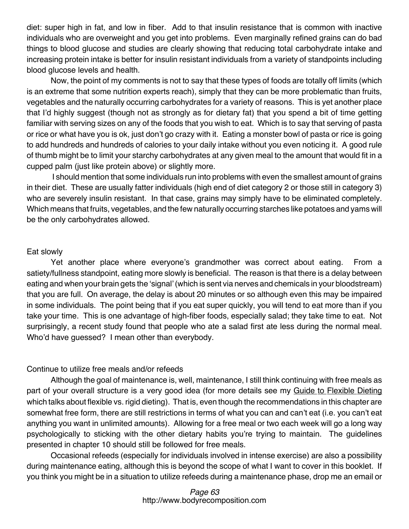diet: super high in fat, and low in fiber. Add to that insulin resistance that is common with inactive individuals who are overweight and you get into problems. Even marginally refined grains can do bad things to blood glucose and studies are clearly showing that reducing total carbohydrate intake and increasing protein intake is better for insulin resistant individuals from a variety of standpoints including blood glucose levels and health.

Now, the point of my comments is not to say that these types of foods are totally off limits (which is an extreme that some nutrition experts reach), simply that they can be more problematic than fruits, vegetables and the naturally occurring carbohydrates for a variety of reasons. This is yet another place that I'd highly suggest (though not as strongly as for dietary fat) that you spend a bit of time getting familiar with serving sizes on any of the foods that you wish to eat. Which is to say that serving of pasta or rice or what have you is ok, just don't go crazy with it. Eating a monster bowl of pasta or rice is going to add hundreds and hundreds of calories to your daily intake without you even noticing it. A good rule of thumb might be to limit your starchy carbohydrates at any given meal to the amount that would fit in a cupped palm (just like protein above) or slightly more.

I should mention that some individuals run into problems with even the smallest amount of grains in their diet. These are usually fatter individuals (high end of diet category 2 or those still in category 3) who are severely insulin resistant. In that case, grains may simply have to be eliminated completely. Which means that fruits, vegetables, and the few naturally occurring starches like potatoes and yams will be the only carbohydrates allowed.

#### Eat slowly

Yet another place where everyone's grandmother was correct about eating. From a satiety/fullness standpoint, eating more slowly is beneficial. The reason is that there is a delay between eating and when your brain gets the 'signal' (which is sent via nerves and chemicals in your bloodstream) that you are full. On average, the delay is about 20 minutes or so although even this may be impaired in some individuals. The point being that if you eat super quickly, you will tend to eat more than if you take your time. This is one advantage of high-fiber foods, especially salad; they take time to eat. Not surprisingly, a recent study found that people who ate a salad first ate less during the normal meal. Who'd have guessed? I mean other than everybody.

# Continue to utilize free meals and/or refeeds

Although the goal of maintenance is, well, maintenance, I still think continuing with free meals as part of your overall structure is a very good idea (for more details see my Guide to Flexible Dieting which talks about flexible vs. rigid dieting). That is, even though the recommendations in this chapter are somewhat free form, there are still restrictions in terms of what you can and can't eat (i.e. you can't eat anything you want in unlimited amounts). Allowing for a free meal or two each week will go a long way psychologically to sticking with the other dietary habits you're trying to maintain. The guidelines presented in chapter 10 should still be followed for free meals.

Occasional refeeds (especially for individuals involved in intense exercise) are also a possibility during maintenance eating, although this is beyond the scope of what I want to cover in this booklet. If you think you might be in a situation to utilize refeeds during a maintenance phase, drop me an email or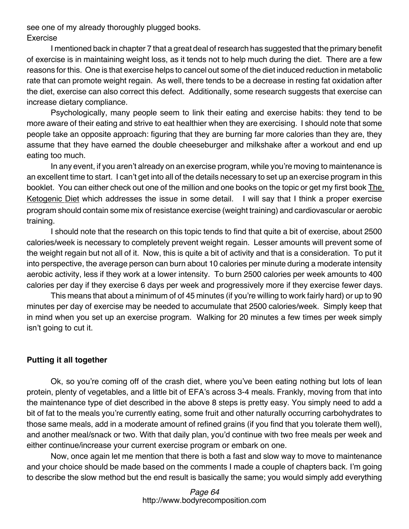see one of my already thoroughly plugged books. Exercise

I mentioned back in chapter 7 that a great deal of research has suggested that the primary benefit of exercise is in maintaining weight loss, as it tends not to help much during the diet. There are a few reasons for this. One is that exercise helps to cancel out some of the diet induced reduction in metabolic rate that can promote weight regain. As well, there tends to be a decrease in resting fat oxidation after the diet, exercise can also correct this defect. Additionally, some research suggests that exercise can increase dietary compliance.

Psychologically, many people seem to link their eating and exercise habits: they tend to be more aware of their eating and strive to eat healthier when they are exercising. I should note that some people take an opposite approach: figuring that they are burning far more calories than they are, they assume that they have earned the double cheeseburger and milkshake after a workout and end up eating too much.

In any event, if you aren't already on an exercise program, while you're moving to maintenance is an excellent time to start. I can't get into all of the details necessary to set up an exercise program in this booklet. You can either check out one of the million and one books on the topic or get my first book The Ketogenic Diet which addresses the issue in some detail. I will say that I think a proper exercise program should contain some mix of resistance exercise (weight training) and cardiovascular or aerobic training.

I should note that the research on this topic tends to find that quite a bit of exercise, about 2500 calories/week is necessary to completely prevent weight regain. Lesser amounts will prevent some of the weight regain but not all of it. Now, this is quite a bit of activity and that is a consideration. To put it into perspective, the average person can burn about 10 calories per minute during a moderate intensity aerobic activity, less if they work at a lower intensity. To burn 2500 calories per week amounts to 400 calories per day if they exercise 6 days per week and progressively more if they exercise fewer days.

This means that about a minimum of of 45 minutes (if you're willing to work fairly hard) or up to 90 minutes per day of exercise may be needed to accumulate that 2500 calories/week. Simply keep that in mind when you set up an exercise program. Walking for 20 minutes a few times per week simply isn't going to cut it.

# **Putting it all together**

Ok, so you're coming off of the crash diet, where you've been eating nothing but lots of lean protein, plenty of vegetables, and a little bit of EFA's across 3-4 meals. Frankly, moving from that into the maintenance type of diet described in the above 8 steps is pretty easy. You simply need to add a bit of fat to the meals you're currently eating, some fruit and other naturally occurring carbohydrates to those same meals, add in a moderate amount of refined grains (if you find that you tolerate them well), and another meal/snack or two. With that daily plan, you'd continue with two free meals per week and either continue/increase your current exercise program or embark on one.

Now, once again let me mention that there is both a fast and slow way to move to maintenance and your choice should be made based on the comments I made a couple of chapters back. I'm going to describe the slow method but the end result is basically the same; you would simply add everything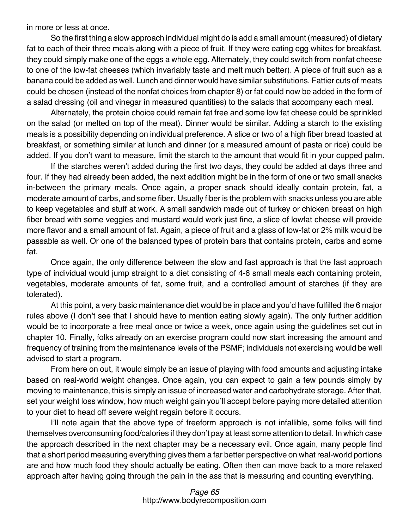in more or less at once.

So the first thing a slow approach individual might do is add a small amount (measured) of dietary fat to each of their three meals along with a piece of fruit. If they were eating egg whites for breakfast, they could simply make one of the eggs a whole egg. Alternately, they could switch from nonfat cheese to one of the low-fat cheeses (which invariably taste and melt much better). A piece of fruit such as a banana could be added as well. Lunch and dinner would have similar substitutions. Fattier cuts of meats could be chosen (instead of the nonfat choices from chapter 8) or fat could now be added in the form of a salad dressing (oil and vinegar in measured quantities) to the salads that accompany each meal.

Alternately, the protein choice could remain fat free and some low fat cheese could be sprinkled on the salad (or melted on top of the meat). Dinner would be similar. Adding a starch to the existing meals is a possibility depending on individual preference. A slice or two of a high fiber bread toasted at breakfast, or something similar at lunch and dinner (or a measured amount of pasta or rice) could be added. If you don't want to measure, limit the starch to the amount that would fit in your cupped palm.

If the starches weren't added during the first two days, they could be added at days three and four. If they had already been added, the next addition might be in the form of one or two small snacks in-between the primary meals. Once again, a proper snack should ideally contain protein, fat, a moderate amount of carbs, and some fiber. Usually fiber is the problem with snacks unless you are able to keep vegetables and stuff at work. A small sandwich made out of turkey or chicken breast on high fiber bread with some veggies and mustard would work just fine, a slice of lowfat cheese will provide more flavor and a small amount of fat. Again, a piece of fruit and a glass of low-fat or 2% milk would be passable as well. Or one of the balanced types of protein bars that contains protein, carbs and some fat.

Once again, the only difference between the slow and fast approach is that the fast approach type of individual would jump straight to a diet consisting of 4-6 small meals each containing protein, vegetables, moderate amounts of fat, some fruit, and a controlled amount of starches (if they are tolerated).

At this point, a very basic maintenance diet would be in place and you'd have fulfilled the 6 major rules above (I don't see that I should have to mention eating slowly again). The only further addition would be to incorporate a free meal once or twice a week, once again using the guidelines set out in chapter 10. Finally, folks already on an exercise program could now start increasing the amount and frequency of training from the maintenance levels of the PSMF; individuals not exercising would be well advised to start a program.

From here on out, it would simply be an issue of playing with food amounts and adjusting intake based on real-world weight changes. Once again, you can expect to gain a few pounds simply by moving to maintenance, this is simply an issue of increased water and carbohydrate storage. After that, set your weight loss window, how much weight gain you'll accept before paying more detailed attention to your diet to head off severe weight regain before it occurs.

I'll note again that the above type of freeform approach is not infallible, some folks will find themselves overconsuming food/calories if they don't pay at least some attention to detail. In which case the approach described in the next chapter may be a necessary evil. Once again, many people find that a short period measuring everything gives them a far better perspective on what real-world portions are and how much food they should actually be eating. Often then can move back to a more relaxed approach after having going through the pain in the ass that is measuring and counting everything.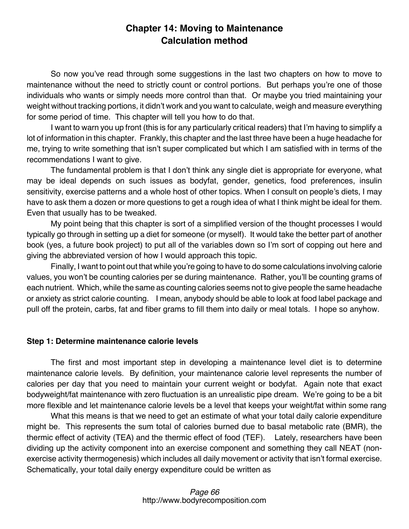# **Chapter 14: Moving to Maintenance Calculation method**

So now you've read through some suggestions in the last two chapters on how to move to maintenance without the need to strictly count or control portions. But perhaps you're one of those individuals who wants or simply needs more control than that. Or maybe you tried maintaining your weight without tracking portions, it didn't work and you want to calculate, weigh and measure everything for some period of time. This chapter will tell you how to do that.

I want to warn you up front (this is for any particularly critical readers) that I'm having to simplify a lot of information in this chapter. Frankly, this chapter and the last three have been a huge headache for me, trying to write something that isn't super complicated but which I am satisfied with in terms of the recommendations I want to give.

The fundamental problem is that I don't think any single diet is appropriate for everyone, what may be ideal depends on such issues as bodyfat, gender, genetics, food preferences, insulin sensitivity, exercise patterns and a whole host of other topics. When I consult on people's diets, I may have to ask them a dozen or more questions to get a rough idea of what I think might be ideal for them. Even that usually has to be tweaked.

My point being that this chapter is sort of a simplified version of the thought processes I would typically go through in setting up a diet for someone (or myself). It would take the better part of another book (yes, a future book project) to put all of the variables down so I'm sort of copping out here and giving the abbreviated version of how I would approach this topic.

Finally, I want to point out that while you're going to have to do some calculations involving calorie values, you won't be counting calories per se during maintenance. Rather, you'll be counting grams of each nutrient. Which, while the same as counting calories seems not to give people the same headache or anxiety as strict calorie counting. I mean, anybody should be able to look at food label package and pull off the protein, carbs, fat and fiber grams to fill them into daily or meal totals. I hope so anyhow.

#### **Step 1: Determine maintenance calorie levels**

The first and most important step in developing a maintenance level diet is to determine maintenance calorie levels. By definition, your maintenance calorie level represents the number of calories per day that you need to maintain your current weight or bodyfat. Again note that exact bodyweight/fat maintenance with zero fluctuation is an unrealistic pipe dream. We're going to be a bit more flexible and let maintenance calorie levels be a level that keeps your weight/fat within some ranger

What this means is that we need to get an estimate of what your total daily calorie expenditure might be. This represents the sum total of calories burned due to basal metabolic rate (BMR), the thermic effect of activity (TEA) and the thermic effect of food (TEF). Lately, researchers have been dividing up the activity component into an exercise component and something they call NEAT (nonexercise activity thermogenesis) which includes all daily movement or activity that isn't formal exercise. Schematically, your total daily energy expenditure could be written as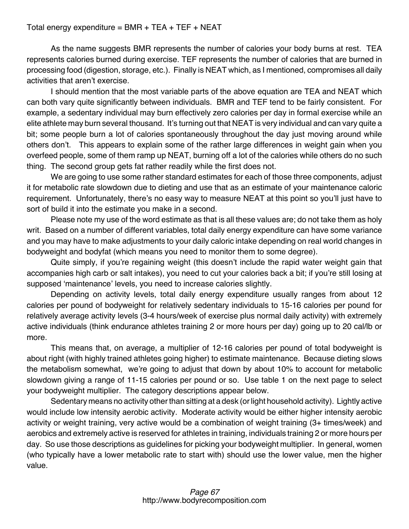# Total energy expenditure =  $BMR + TEA + TEF + NEAT$

As the name suggests BMR represents the number of calories your body burns at rest. TEA represents calories burned during exercise. TEF represents the number of calories that are burned in processing food (digestion, storage, etc.). Finally is NEAT which, as I mentioned, compromises all daily activities that aren't exercise.

I should mention that the most variable parts of the above equation are TEA and NEAT which can both vary quite significantly between individuals. BMR and TEF tend to be fairly consistent. For example, a sedentary individual may burn effectively zero calories per day in formal exercise while an elite athlete may burn several thousand. It's turning out that NEAT is very individual and can vary quite a bit; some people burn a lot of calories spontaneously throughout the day just moving around while others don't. This appears to explain some of the rather large differences in weight gain when you overfeed people, some of them ramp up NEAT, burning off a lot of the calories while others do no such thing. The second group gets fat rather readily while the first does not.

We are going to use some rather standard estimates for each of those three components, adjust it for metabolic rate slowdown due to dieting and use that as an estimate of your maintenance caloric requirement. Unfortunately, there's no easy way to measure NEAT at this point so you'll just have to sort of build it into the estimate you make in a second.

Please note my use of the word estimate as that is all these values are; do not take them as holy writ. Based on a number of different variables, total daily energy expenditure can have some variance and you may have to make adjustments to your daily caloric intake depending on real world changes in bodyweight and bodyfat (which means you need to monitor them to some degree).

Quite simply, if you're regaining weight (this doesn't include the rapid water weight gain that accompanies high carb or salt intakes), you need to cut your calories back a bit; if you're still losing at supposed 'maintenance' levels, you need to increase calories slightly.

Depending on activity levels, total daily energy expenditure usually ranges from about 12 calories per pound of bodyweight for relatively sedentary individuals to 15-16 calories per pound for relatively average activity levels (3-4 hours/week of exercise plus normal daily activity) with extremely active individuals (think endurance athletes training 2 or more hours per day) going up to 20 cal/lb or more.

This means that, on average, a multiplier of 12-16 calories per pound of total bodyweight is about right (with highly trained athletes going higher) to estimate maintenance. Because dieting slows the metabolism somewhat, we're going to adjust that down by about 10% to account for metabolic slowdown giving a range of 11-15 calories per pound or so. Use table 1 on the next page to select your bodyweight multiplier. The category descriptions appear below.

Sedentary means no activity other than sitting at a desk (or light household activity). Lightly active would include low intensity aerobic activity. Moderate activity would be either higher intensity aerobic activity or weight training, very active would be a combination of weight training (3+ times/week) and aerobics and extremely active is reserved for athletes in training, individuals training 2 or more hours per day. So use those descriptions as guidelines for picking your bodyweight multiplier. In general, women (who typically have a lower metabolic rate to start with) should use the lower value, men the higher value.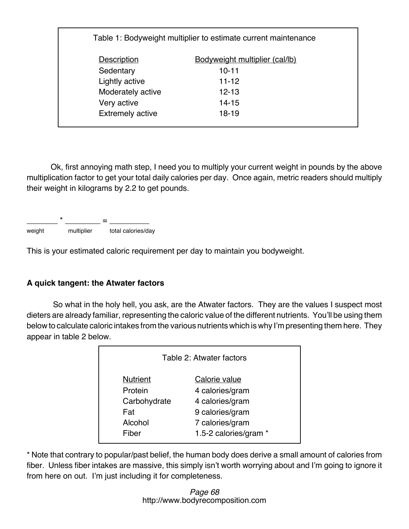|                         | Table 1: Bodyweight multiplier to estimate current maintenance |
|-------------------------|----------------------------------------------------------------|
| <b>Description</b>      | Bodyweight multiplier (cal/lb)                                 |
| Sedentary               | $10 - 11$                                                      |
| Lightly active          | $11 - 12$                                                      |
| Moderately active       | 12-13                                                          |
| Very active             | $14 - 15$                                                      |
| <b>Extremely active</b> | $18-19$                                                        |

Ok, first annoying math step, I need you to multiply your current weight in pounds by the above multiplication factor to get your total daily calories per day. Once again, metric readers should multiply their weight in kilograms by 2.2 to get pounds.



This is your estimated caloric requirement per day to maintain you bodyweight.

# **A quick tangent: the Atwater factors**

So what in the holy hell, you ask, are the Atwater factors. They are the values I suspect most dieters are already familiar, representing the caloric value of the different nutrients. You'll be using them below to calculate caloric intakes from the various nutrients which is why I'm presenting them here. They appear in table 2 below.

| Table 2: Atwater factors                                     |                                                                                           |  |  |  |
|--------------------------------------------------------------|-------------------------------------------------------------------------------------------|--|--|--|
| <b>Nutrient</b><br>Protein<br>Carbohydrate<br>Fat<br>Alcohol | Calorie value<br>4 calories/gram<br>4 calories/gram<br>9 calories/gram<br>7 calories/gram |  |  |  |
| Fiber                                                        | 1.5-2 calories/gram *                                                                     |  |  |  |

\* Note that contrary to popular/past belief, the human body does derive a small amount of calories from fiber. Unless fiber intakes are massive, this simply isn't worth worrying about and I'm going to ignore it from here on out. I'm just including it for completeness.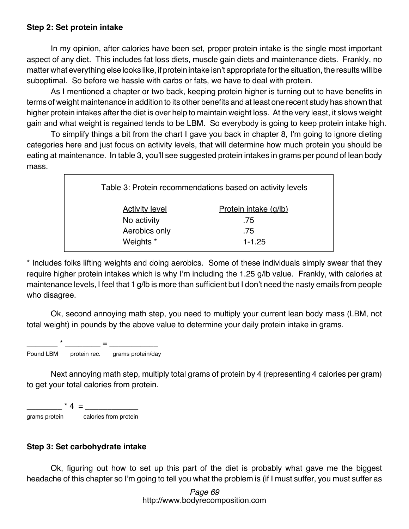## **Step 2: Set protein intake**

In my opinion, after calories have been set, proper protein intake is the single most important aspect of any diet. This includes fat loss diets, muscle gain diets and maintenance diets. Frankly, no matter what everything else looks like, if protein intake isn't appropriate for the situation, the results will be suboptimal. So before we hassle with carbs or fats, we have to deal with protein.

As I mentioned a chapter or two back, keeping protein higher is turning out to have benefits in terms of weight maintenance in addition to its other benefits and at least one recent study has shown that higher protein intakes after the diet is over help to maintain weight loss. At the very least, it slows weight gain and what weight is regained tends to be LBM. So everybody is going to keep protein intake high.

To simplify things a bit from the chart I gave you back in chapter 8, I'm going to ignore dieting categories here and just focus on activity levels, that will determine how much protein you should be eating at maintenance. In table 3, you'll see suggested protein intakes in grams per pound of lean body mass.

| Table 3: Protein recommendations based on activity levels |                       |  |  |  |
|-----------------------------------------------------------|-----------------------|--|--|--|
| <b>Activity level</b>                                     | Protein intake (q/lb) |  |  |  |
| No activity                                               | .75                   |  |  |  |
| Aerobics only                                             | .75                   |  |  |  |
| Weights *                                                 | $1 - 1.25$            |  |  |  |

\* Includes folks lifting weights and doing aerobics. Some of these individuals simply swear that they require higher protein intakes which is why I'm including the 1.25 g/lb value. Frankly, with calories at maintenance levels, I feel that 1 g/lb is more than sufficient but I don't need the nasty emails from people who disagree.

Ok, second annoying math step, you need to multiply your current lean body mass (LBM, not total weight) in pounds by the above value to determine your daily protein intake in grams.

\_\_\_\_\_\_\_ \* \_\_\_\_\_\_\_\_ = \_\_\_\_\_\_\_\_\_\_\_ Pound LBM protein rec. grams protein/day

Next annoying math step, multiply total grams of protein by 4 (representing 4 calories per gram) to get your total calories from protein.

\* 4 =  $\_$ grams protein calories from protein

# **Step 3: Set carbohydrate intake**

Ok, figuring out how to set up this part of the diet is probably what gave me the biggest headache of this chapter so I'm going to tell you what the problem is (if I must suffer, you must suffer as

> Page 69 http://www.bodyrecomposition.com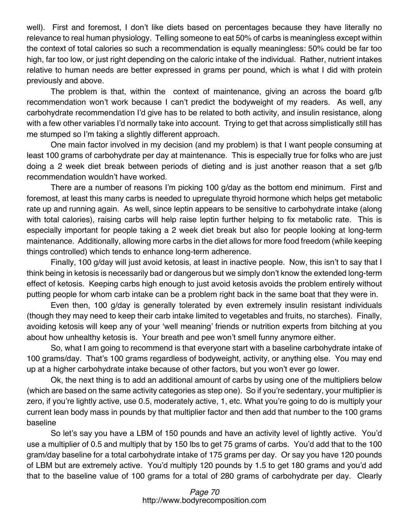well). First and foremost, I don't like diets based on percentages because they have literally no relevance to real human physiology. Telling someone to eat 50% of carbs is meaningless except within the context of total calories so such a recommendation is equally meaningless: 50% could be far too high, far too low, or just right depending on the caloric intake of the individual. Rather, nutrient intakes relative to human needs are better expressed in grams per pound, which is what I did with protein previously and above.

The problem is that, within the context of maintenance, giving an across the board g/lb recommendation won't work because I can't predict the bodyweight of my readers. As well, any carbohydrate recommendation I'd give has to be related to both activity, and insulin resistance, along with a few other variables I'd normally take into account. Trying to get that across simplistically still has me stumped so I'm taking a slightly different approach.

One main factor involved in my decision (and my problem) is that I want people consuming at least 100 grams of carbohydrate per day at maintenance. This is especially true for folks who are just doing a 2 week diet break between periods of dieting and is just another reason that a set g/lb recommendation wouldn't have worked.

There are a number of reasons I'm picking 100 g/day as the bottom end minimum. First and foremost, at least this many carbs is needed to upregulate thyroid hormone which helps get metabolic rate up and running again. As well, since leptin appears to be sensitive to carbohydrate intake (along with total calories), raising carbs will help raise leptin further helping to fix metabolic rate. This is especially important for people taking a 2 week diet break but also for people looking at long-term maintenance. Additionally, allowing more carbs in the diet allows for more food freedom (while keeping things controlled) which tends to enhance long-term adherence.

Finally, 100 g/day will just avoid ketosis, at least in inactive people. Now, this isn't to say that I think being in ketosis is necessarily bad or dangerous but we simply don't know the extended long-term effect of ketosis. Keeping carbs high enough to just avoid ketosis avoids the problem entirely without putting people for whom carb intake can be a problem right back in the same boat that they were in.

Even then, 100 g/day is generally tolerated by even extremely insulin resistant individuals (though they may need to keep their carb intake limited to vegetables and fruits, no starches). Finally, avoiding ketosis will keep any of your 'well meaning' friends or nutrition experts from bitching at you about how unhealthy ketosis is. Your breath and pee won't smell funny anymore either.

So, what I am going to recommend is that everyone start with a baseline carbohydrate intake of 100 grams/day. That's 100 grams regardless of bodyweight, activity, or anything else. You may end up at a higher carbohydrate intake because of other factors, but you won't ever go lower.

Ok, the next thing is to add an additional amount of carbs by using one of the multipliers below (which are based on the same activity categories as step one). So if you're sedentary, your multiplier is zero, if you're lightly active, use 0.5, moderately active, 1, etc. What you're going to do is multiply your current lean body mass in pounds by that multiplier factor and then add that number to the 100 grams baseline

So let's say you have a LBM of 150 pounds and have an activity level of lightly active. You'd use a multiplier of 0.5 and multiply that by 150 lbs to get 75 grams of carbs. You'd add that to the 100 gram/day baseline for a total carbohydrate intake of 175 grams per day. Or say you have 120 pounds of LBM but are extremely active. You'd multiply 120 pounds by 1.5 to get 180 grams and you'd add that to the baseline value of 100 grams for a total of 280 grams of carbohydrate per day. Clearly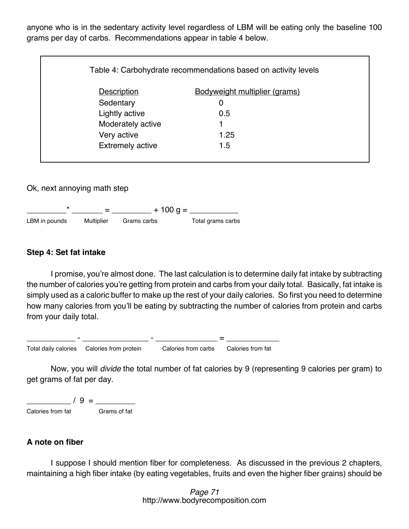anyone who is in the sedentary activity level regardless of LBM will be eating only the baseline 100 grams per day of carbs. Recommendations appear in table 4 below.

| Table 4: Carbohydrate recommendations based on activity levels |                               |  |  |  |
|----------------------------------------------------------------|-------------------------------|--|--|--|
| <b>Description</b>                                             | Bodyweight multiplier (grams) |  |  |  |
| Sedentary                                                      | 0                             |  |  |  |
| Lightly active                                                 | 0.5                           |  |  |  |
| Moderately active                                              |                               |  |  |  |
| Very active                                                    | 1.25                          |  |  |  |
| <b>Extremely active</b>                                        | 1.5                           |  |  |  |
|                                                                |                               |  |  |  |

Ok, next annoying math step



#### **Step 4: Set fat intake**

I promise, you're almost done. The last calculation is to determine daily fat intake by subtracting the number of calories you're getting from protein and carbs from your daily total. Basically, fat intake is simply used as a caloric buffer to make up the rest of your daily calories. So first you need to determine how many calories from you'll be eating by subtracting the number of calories from protein and carbs from your daily total.

\_\_\_\_\_\_\_\_\_\_\_ - \_\_\_\_\_\_\_\_\_\_\_\_\_\_\_ - \_\_\_\_\_\_\_\_\_\_\_\_\_\_ = \_\_\_\_\_\_\_\_\_\_\_\_ Total daily calories Calories from protein Calories from carbs Calories from fat

Now, you will divide the total number of fat calories by 9 (representing 9 calories per gram) to get grams of fat per day.

 $2 / 9 =$ Calories from fat Grams of fat

#### **A note on fiber**

I suppose I should mention fiber for completeness. As discussed in the previous 2 chapters, maintaining a high fiber intake (by eating vegetables, fruits and even the higher fiber grains) should be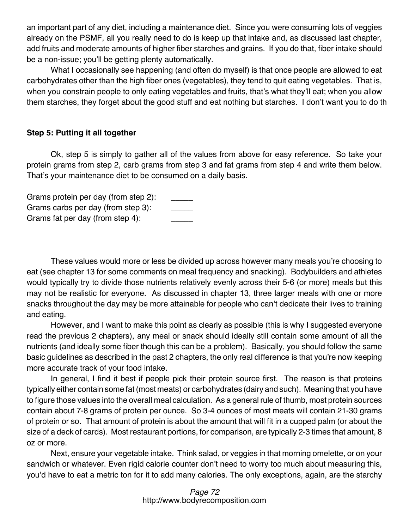an important part of any diet, including a maintenance diet. Since you were consuming lots of veggies already on the PSMF, all you really need to do is keep up that intake and, as discussed last chapter, add fruits and moderate amounts of higher fiber starches and grains. If you do that, fiber intake should be a non-issue; you'll be getting plenty automatically.

What I occasionally see happening (and often do myself) is that once people are allowed to eat carbohydrates other than the high fiber ones (vegetables), they tend to quit eating vegetables. That is, when you constrain people to only eating vegetables and fruits, that's what they'll eat; when you allow them starches, they forget about the good stuff and eat nothing but starches. I don't want you to do the

### **Step 5: Putting it all together**

Ok, step 5 is simply to gather all of the values from above for easy reference. So take your protein grams from step 2, carb grams from step 3 and fat grams from step 4 and write them below. That's your maintenance diet to be consumed on a daily basis.

Grams protein per day (from step 2): Grams carbs per day (from step 3): Grams fat per day (from step 4):

These values would more or less be divided up across however many meals you're choosing to eat (see chapter 13 for some comments on meal frequency and snacking). Bodybuilders and athletes would typically try to divide those nutrients relatively evenly across their 5-6 (or more) meals but this may not be realistic for everyone. As discussed in chapter 13, three larger meals with one or more snacks throughout the day may be more attainable for people who can't dedicate their lives to training and eating.

However, and I want to make this point as clearly as possible (this is why I suggested everyone read the previous 2 chapters), any meal or snack should ideally still contain some amount of all the nutrients (and ideally some fiber though this can be a problem). Basically, you should follow the same basic guidelines as described in the past 2 chapters, the only real difference is that you're now keeping more accurate track of your food intake.

In general, I find it best if people pick their protein source first. The reason is that proteins typically either contain some fat (most meats) or carbohydrates (dairy and such). Meaning that you have to figure those values into the overall meal calculation. As a general rule of thumb, most protein sources contain about 7-8 grams of protein per ounce. So 3-4 ounces of most meats will contain 21-30 grams of protein or so. That amount of protein is about the amount that will fit in a cupped palm (or about the size of a deck of cards). Most restaurant portions, for comparison, are typically 2-3 times that amount, 8 oz or more.

Next, ensure your vegetable intake. Think salad, or veggies in that morning omelette, or on your sandwich or whatever. Even rigid calorie counter don't need to worry too much about measuring this, you'd have to eat a metric ton for it to add many calories. The only exceptions, again, are the starchy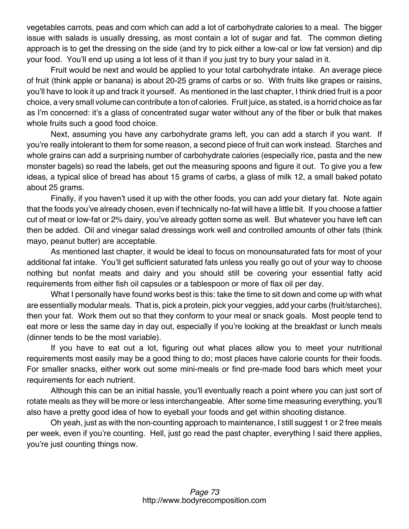vegetables carrots, peas and corn which can add a lot of carbohydrate calories to a meal. The bigger issue with salads is usually dressing, as most contain a lot of sugar and fat. The common dieting approach is to get the dressing on the side (and try to pick either a low-cal or low fat version) and dip your food. You'll end up using a lot less of it than if you just try to bury your salad in it.

Fruit would be next and would be applied to your total carbohydrate intake. An average piece of fruit (think apple or banana) is about 20-25 grams of carbs or so. With fruits like grapes or raisins, you'll have to look it up and track it yourself. As mentioned in the last chapter, I think dried fruit is a poor choice, a very small volume can contribute a ton of calories. Fruit juice, as stated, is a horrid choice as far as I'm concerned: it's a glass of concentrated sugar water without any of the fiber or bulk that makes whole fruits such a good food choice.

Next, assuming you have any carbohydrate grams left, you can add a starch if you want. If you're really intolerant to them for some reason, a second piece of fruit can work instead. Starches and whole grains can add a surprising number of carbohydrate calories (especially rice, pasta and the new monster bagels) so read the labels, get out the measuring spoons and figure it out. To give you a few ideas, a typical slice of bread has about 15 grams of carbs, a glass of milk 12, a small baked potato about 25 grams.

Finally, if you haven't used it up with the other foods, you can add your dietary fat. Note again that the foods you've already chosen, even if technically no-fat will have a little bit. If you choose a fattier cut of meat or low-fat or 2% dairy, you've already gotten some as well. But whatever you have left can then be added. Oil and vinegar salad dressings work well and controlled amounts of other fats (think mayo, peanut butter) are acceptable.

As mentioned last chapter, it would be ideal to focus on monounsaturated fats for most of your additional fat intake. You'll get sufficient saturated fats unless you really go out of your way to choose nothing but nonfat meats and dairy and you should still be covering your essential fatty acid requirements from either fish oil capsules or a tablespoon or more of flax oil per day.

What I personally have found works best is this: take the time to sit down and come up with what are essentially modular meals. That is, pick a protein, pick your veggies, add your carbs (fruit/starches), then your fat. Work them out so that they conform to your meal or snack goals. Most people tend to eat more or less the same day in day out, especially if you're looking at the breakfast or lunch meals (dinner tends to be the most variable).

If you have to eat out a lot, figuring out what places allow you to meet your nutritional requirements most easily may be a good thing to do; most places have calorie counts for their foods. For smaller snacks, either work out some mini-meals or find pre-made food bars which meet your requirements for each nutrient.

Although this can be an initial hassle, you'll eventually reach a point where you can just sort of rotate meals as they will be more or less interchangeable. After some time measuring everything, you'll also have a pretty good idea of how to eyeball your foods and get within shooting distance.

Oh yeah, just as with the non-counting approach to maintenance, I still suggest 1 or 2 free meals per week, even if you're counting. Hell, just go read the past chapter, everything I said there applies, you're just counting things now.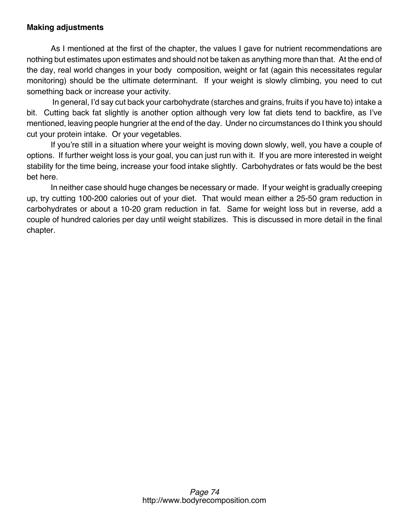## **Making adjustments**

As I mentioned at the first of the chapter, the values I gave for nutrient recommendations are nothing but estimates upon estimates and should not be taken as anything more than that. At the end of the day, real world changes in your body composition, weight or fat (again this necessitates regular monitoring) should be the ultimate determinant. If your weight is slowly climbing, you need to cut something back or increase your activity.

In general, I'd say cut back your carbohydrate (starches and grains, fruits if you have to) intake a bit. Cutting back fat slightly is another option although very low fat diets tend to backfire, as I've mentioned, leaving people hungrier at the end of the day. Under no circumstances do I think you should cut your protein intake. Or your vegetables.

If you're still in a situation where your weight is moving down slowly, well, you have a couple of options. If further weight loss is your goal, you can just run with it. If you are more interested in weight stability for the time being, increase your food intake slightly. Carbohydrates or fats would be the best bet here.

In neither case should huge changes be necessary or made. If your weight is gradually creeping up, try cutting 100-200 calories out of your diet. That would mean either a 25-50 gram reduction in carbohydrates or about a 10-20 gram reduction in fat. Same for weight loss but in reverse, add a couple of hundred calories per day until weight stabilizes. This is discussed in more detail in the final chapter.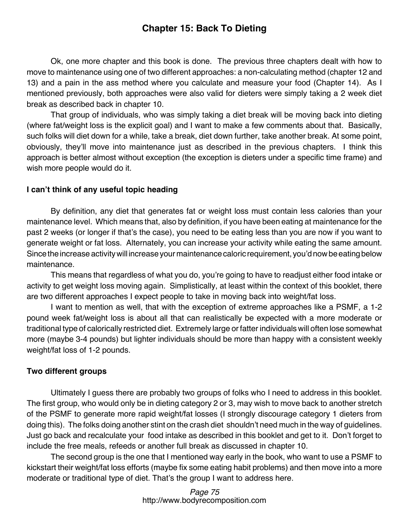# **Chapter 15: Back To Dieting**

Ok, one more chapter and this book is done. The previous three chapters dealt with how to move to maintenance using one of two different approaches: a non-calculating method (chapter 12 and 13) and a pain in the ass method where you calculate and measure your food (Chapter 14). As I mentioned previously, both approaches were also valid for dieters were simply taking a 2 week diet break as described back in chapter 10.

That group of individuals, who was simply taking a diet break will be moving back into dieting (where fat/weight loss is the explicit goal) and I want to make a few comments about that. Basically, such folks will diet down for a while, take a break, diet down further, take another break. At some point, obviously, they'll move into maintenance just as described in the previous chapters. I think this approach is better almost without exception (the exception is dieters under a specific time frame) and wish more people would do it.

#### **I can't think of any useful topic heading**

By definition, any diet that generates fat or weight loss must contain less calories than your maintenance level. Which means that, also by definition, if you have been eating at maintenance for the past 2 weeks (or longer if that's the case), you need to be eating less than you are now if you want to generate weight or fat loss. Alternately, you can increase your activity while eating the same amount. Since the increase activity will increase your maintenance caloric requirement, you'd now be eating below maintenance.

This means that regardless of what you do, you're going to have to readjust either food intake or activity to get weight loss moving again. Simplistically, at least within the context of this booklet, there are two different approaches I expect people to take in moving back into weight/fat loss.

I want to mention as well, that with the exception of extreme approaches like a PSMF, a 1-2 pound week fat/weight loss is about all that can realistically be expected with a more moderate or traditional type of calorically restricted diet. Extremely large or fatter individuals will often lose somewhat more (maybe 3-4 pounds) but lighter individuals should be more than happy with a consistent weekly weight/fat loss of 1-2 pounds.

## **Two different groups**

Ultimately I guess there are probably two groups of folks who I need to address in this booklet. The first group, who would only be in dieting category 2 or 3, may wish to move back to another stretch of the PSMF to generate more rapid weight/fat losses (I strongly discourage category 1 dieters from doing this). The folks doing another stint on the crash diet shouldn't need much in the way of guidelines. Just go back and recalculate your food intake as described in this booklet and get to it. Don't forget to include the free meals, refeeds or another full break as discussed in chapter 10.

The second group is the one that I mentioned way early in the book, who want to use a PSMF to kickstart their weight/fat loss efforts (maybe fix some eating habit problems) and then move into a more moderate or traditional type of diet. That's the group I want to address here.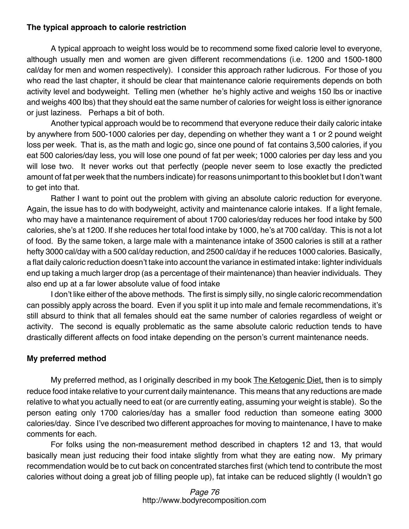#### **The typical approach to calorie restriction**

A typical approach to weight loss would be to recommend some fixed calorie level to everyone, although usually men and women are given different recommendations (i.e. 1200 and 1500-1800 cal/day for men and women respectively). I consider this approach rather ludicrous. For those of you who read the last chapter, it should be clear that maintenance calorie requirements depends on both activity level and bodyweight. Telling men (whether he's highly active and weighs 150 lbs or inactive and weighs 400 lbs) that they should eat the same number of calories for weight loss is either ignorance or just laziness. Perhaps a bit of both.

Another typical approach would be to recommend that everyone reduce their daily caloric intake by anywhere from 500-1000 calories per day, depending on whether they want a 1 or 2 pound weight loss per week. That is, as the math and logic go, since one pound of fat contains 3,500 calories, if you eat 500 calories/day less, you will lose one pound of fat per week; 1000 calories per day less and you will lose two. It never works out that perfectly (people never seem to lose exactly the predicted amount of fat per week that the numbers indicate) for reasons unimportant to this booklet but I don't want to get into that.

Rather I want to point out the problem with giving an absolute caloric reduction for everyone. Again, the issue has to do with bodyweight, activity and maintenance calorie intakes. If a light female, who may have a maintenance requirement of about 1700 calories/day reduces her food intake by 500 calories, she's at 1200. If she reduces her total food intake by 1000, he's at 700 cal/day. This is not a lot of food. By the same token, a large male with a maintenance intake of 3500 calories is still at a rather hefty 3000 cal/day with a 500 cal/day reduction, and 2500 cal/day if he reduces 1000 calories. Basically, a flat daily caloric reduction doesn't take into account the variance in estimated intake: lighter individuals end up taking a much larger drop (as a percentage of their maintenance) than heavier individuals. They also end up at a far lower absolute value of food intake

I don't like either of the above methods. The first is simply silly, no single caloric recommendation can possibly apply across the board. Even if you split it up into male and female recommendations, it's still absurd to think that all females should eat the same number of calories regardless of weight or activity. The second is equally problematic as the same absolute caloric reduction tends to have drastically different affects on food intake depending on the person's current maintenance needs.

## **My preferred method**

My preferred method, as I originally described in my book The Ketogenic Diet, then is to simply reduce food intake relative to your current daily maintenance. This means that any reductions are made relative to what you actually need to eat (or are currently eating, assuming your weight is stable). So the person eating only 1700 calories/day has a smaller food reduction than someone eating 3000 calories/day. Since I've described two different approaches for moving to maintenance, I have to make comments for each.

For folks using the non-measurement method described in chapters 12 and 13, that would basically mean just reducing their food intake slightly from what they are eating now. My primary recommendation would be to cut back on concentrated starches first (which tend to contribute the most calories without doing a great job of filling people up), fat intake can be reduced slightly (I wouldn't go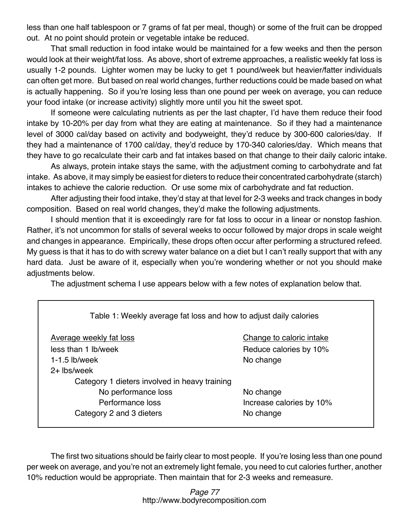less than one half tablespoon or 7 grams of fat per meal, though) or some of the fruit can be dropped out. At no point should protein or vegetable intake be reduced.

That small reduction in food intake would be maintained for a few weeks and then the person would look at their weight/fat loss. As above, short of extreme approaches, a realistic weekly fat loss is usually 1-2 pounds. Lighter women may be lucky to get 1 pound/week but heavier/fatter individuals can often get more. But based on real world changes, further reductions could be made based on what is actually happening. So if you're losing less than one pound per week on average, you can reduce your food intake (or increase activity) slightly more until you hit the sweet spot.

If someone were calculating nutrients as per the last chapter, I'd have them reduce their food intake by 10-20% per day from what they are eating at maintenance. So if they had a maintenance level of 3000 cal/day based on activity and bodyweight, they'd reduce by 300-600 calories/day. If they had a maintenance of 1700 cal/day, they'd reduce by 170-340 calories/day. Which means that they have to go recalculate their carb and fat intakes based on that change to their daily caloric intake.

As always, protein intake stays the same, with the adjustment coming to carbohydrate and fat intake. As above, it may simply be easiest for dieters to reduce their concentrated carbohydrate (starch) intakes to achieve the calorie reduction. Or use some mix of carbohydrate and fat reduction.

After adjusting their food intake, they'd stay at that level for 2-3 weeks and track changes in body composition. Based on real world changes, they'd make the following adjustments.

I should mention that it is exceedingly rare for fat loss to occur in a linear or nonstop fashion. Rather, it's not uncommon for stalls of several weeks to occur followed by major drops in scale weight and changes in appearance. Empirically, these drops often occur after performing a structured refeed. My guess is that it has to do with screwy water balance on a diet but I can't really support that with any hard data. Just be aware of it, especially when you're wondering whether or not you should make adjustments below.

The adjustment schema I use appears below with a few notes of explanation below that.

| Table 1: Weekly average fat loss and how to adjust daily calories |                          |
|-------------------------------------------------------------------|--------------------------|
| <b>Average weekly fat loss</b>                                    | Change to caloric intake |
| less than 1 lb/week                                               | Reduce calories by 10%   |
| 1-1.5 lb/week                                                     | No change                |
| $2+$ lbs/week                                                     |                          |
| Category 1 dieters involved in heavy training                     |                          |
| No performance loss                                               | No change                |
| Performance loss                                                  | Increase calories by 10% |
| Category 2 and 3 dieters                                          | No change                |

The first two situations should be fairly clear to most people. If you're losing less than one pound per week on average, and you're not an extremely light female, you need to cut calories further, another 10% reduction would be appropriate. Then maintain that for 2-3 weeks and remeasure.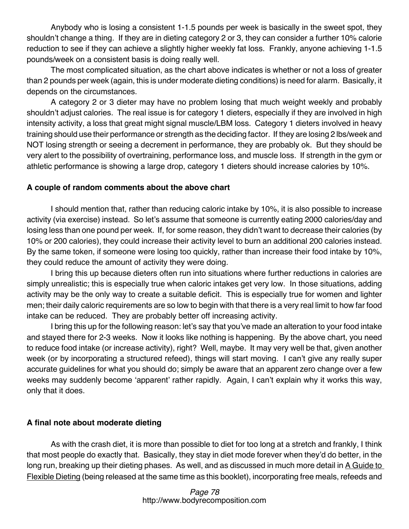Anybody who is losing a consistent 1-1.5 pounds per week is basically in the sweet spot, they shouldn't change a thing. If they are in dieting category 2 or 3, they can consider a further 10% calorie reduction to see if they can achieve a slightly higher weekly fat loss. Frankly, anyone achieving 1-1.5 pounds/week on a consistent basis is doing really well.

The most complicated situation, as the chart above indicates is whether or not a loss of greater than 2 pounds per week (again, this is under moderate dieting conditions) is need for alarm. Basically, it depends on the circumstances.

A category 2 or 3 dieter may have no problem losing that much weight weekly and probably shouldn't adjust calories. The real issue is for category 1 dieters, especially if they are involved in high intensity activity, a loss that great might signal muscle/LBM loss. Category 1 dieters involved in heavy training should use their performance or strength as the deciding factor. If they are losing 2 lbs/week and NOT losing strength or seeing a decrement in performance, they are probably ok. But they should be very alert to the possibility of overtraining, performance loss, and muscle loss. If strength in the gym or athletic performance is showing a large drop, category 1 dieters should increase calories by 10%.

## **A couple of random comments about the above chart**

I should mention that, rather than reducing caloric intake by 10%, it is also possible to increase activity (via exercise) instead. So let's assume that someone is currently eating 2000 calories/day and losing less than one pound per week. If, for some reason, they didn't want to decrease their calories (by 10% or 200 calories), they could increase their activity level to burn an additional 200 calories instead. By the same token, if someone were losing too quickly, rather than increase their food intake by 10%, they could reduce the amount of activity they were doing.

I bring this up because dieters often run into situations where further reductions in calories are simply unrealistic; this is especially true when caloric intakes get very low. In those situations, adding activity may be the only way to create a suitable deficit. This is especially true for women and lighter men; their daily caloric requirements are so low to begin with that there is a very real limit to how far food intake can be reduced. They are probably better off increasing activity.

I bring this up for the following reason: let's say that you've made an alteration to your food intake and stayed there for 2-3 weeks. Now it looks like nothing is happening. By the above chart, you need to reduce food intake (or increase activity), right? Well, maybe. It may very well be that, given another week (or by incorporating a structured refeed), things will start moving. I can't give any really super accurate guidelines for what you should do; simply be aware that an apparent zero change over a few weeks may suddenly become 'apparent' rather rapidly. Again, I can't explain why it works this way, only that it does.

## **A final note about moderate dieting**

As with the crash diet, it is more than possible to diet for too long at a stretch and frankly, I think that most people do exactly that. Basically, they stay in diet mode forever when they'd do better, in the long run, breaking up their dieting phases. As well, and as discussed in much more detail in A Guide to Flexible Dieting (being released at the same time as this booklet), incorporating free meals, refeeds and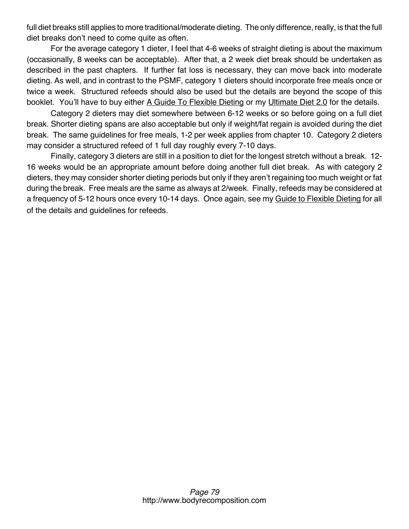full diet breaks still applies to more traditional/moderate dieting. The only difference, really, is that the full diet breaks don't need to come quite as often.

For the average category 1 dieter, I feel that 4-6 weeks of straight dieting is about the maximum (occasionally, 8 weeks can be acceptable). After that, a 2 week diet break should be undertaken as described in the past chapters. If further fat loss is necessary, they can move back into moderate dieting. As well, and in contrast to the PSMF, category 1 dieters should incorporate free meals once or twice a week. Structured refeeds should also be used but the details are beyond the scope of this booklet. You'll have to buy either A Guide To Flexible Dieting or my Ultimate Diet 2.0 for the details.

Category 2 dieters may diet somewhere between 6-12 weeks or so before going on a full diet break. Shorter dieting spans are also acceptable but only if weight/fat regain is avoided during the diet break. The same guidelines for free meals, 1-2 per week applies from chapter 10. Category 2 dieters may consider a structured refeed of 1 full day roughly every 7-10 days.

Finally, category 3 dieters are still in a position to diet for the longest stretch without a break. 12- 16 weeks would be an appropriate amount before doing another full diet break. As with category 2 dieters, they may consider shorter dieting periods but only if they aren't regaining too much weight or fat during the break. Free meals are the same as always at 2/week. Finally, refeeds may be considered at a frequency of 5-12 hours once every 10-14 days. Once again, see my Guide to Flexible Dieting for all of the details and guidelines for refeeds.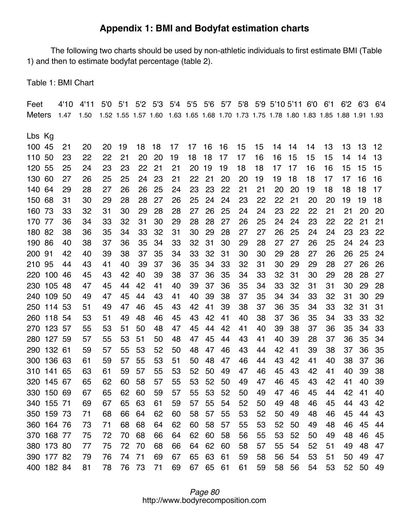# **Appendix 1: BMI and Bodyfat estimation charts**

The following two charts should be used by non-athletic individuals to first estimate BMI (Table 1) and then to estimate bodyfat percentage (table 2).

Table 1: BMI Chart

| Feet          | 4'10 | 4'11 | 5'0 | 5'1 | 5'2 | 5'3 | 5'4 | $5^{\prime}5$   | 5'6 | 5'7 | $5^{\circ}8$ |    | 5'9 5'10 5'11 6'0 |    |    | 6'1 | 6'2                                                                                  | 6'3 | 6'4 |
|---------------|------|------|-----|-----|-----|-----|-----|-----------------|-----|-----|--------------|----|-------------------|----|----|-----|--------------------------------------------------------------------------------------|-----|-----|
| <b>Meters</b> | 1.47 | 1.50 |     |     |     |     |     |                 |     |     |              |    |                   |    |    |     | 1.52 1.55 1.57 1.60 1.63 1.65 1.68 1.70 1.73 1.75 1.78 1.80 1.83 1.85 1.88 1.91 1.93 |     |     |
|               |      |      |     |     |     |     |     |                 |     |     |              |    |                   |    |    |     |                                                                                      |     |     |
| Lbs Kg        |      |      |     |     |     |     |     |                 |     |     |              |    |                   |    |    |     |                                                                                      |     |     |
| 100 45        | 21   | 20   | 20  | 19  | 18  | 18  | 17  | 17 <sub>1</sub> | 16  | 16  | 15           | 15 | 14                | 14 | 14 | 13  | 13                                                                                   | 13  | 12  |
| 110 50        | 23   | 22   | 22  | 21  | 20  | 20  | 19  | 18              | 18  | 17  | 17           | 16 | 16                | 15 | 15 | 15  | 14                                                                                   | 14  | 13  |
| 120 55        | 25   | 24   | 23  | 23  | 22  | 21  | 21  | 20              | 19  | 19  | 18           | 18 | 17                | 17 | 16 | 16  | 15                                                                                   | 15  | 15  |
| 130 60        | 27   | 26   | 25  | 25  | 24  | 23  | 21  | 22              | 21  | 20  | 20           | 19 | 19                | 18 | 18 | 17  | 17                                                                                   | 16  | 16  |
| 140 64        | 29   | 28   | 27  | 26  | 26  | 25  | 24  | 23              | 23  | 22  | 21           | 21 | 20                | 20 | 19 | 18  | 18                                                                                   | 18  | 17  |
| 150 68        | 31   | 30   | 29  | 28  | 28  | 27  | 26  | 25              | 24  | 24  | 23           | 22 | 22                | 21 | 20 | 20  | 19                                                                                   | 19  | 18  |
| 160 73        | 33   | 32   | 31  | 30  | 29  | 28  | 28  | 27              | 26  | 25  | 24           | 24 | 23                | 22 | 22 | 21  | 21                                                                                   | 20  | 20  |
| 170 77        | 36   | 34   | 33  | 32  | 31  | 30  | 29  | 28              | 28  | 27  | 26           | 25 | 24                | 24 | 23 | 22  | 22                                                                                   | 21  | 21  |
| 180 82        | 38   | 36   | 35  | 34  | 33  | 32  | 31  | 30              | 29  | 28  | 27           | 27 | 26                | 25 | 24 | 24  | 23                                                                                   | 23  | 22  |
| 190 86        | 40   | 38   | 37  | 36  | 35  | 34  | 33  | 32              | 31  | 30  | 29           | 28 | 27                | 27 | 26 | 25  | 24                                                                                   | 24  | 23  |
| 200 91        | 42   | 40   | 39  | 38  | 37  | 35  | 34  | 33              | 32  | 31  | 30           | 30 | 29                | 28 | 27 | 26  | 26                                                                                   | 25  | 24  |
| 210 95        | 44   | 43   | 41  | 40  | 39  | 37  | 36  | 35              | 34  | 33  | 32           | 31 | 30                | 29 | 29 | 28  | 27                                                                                   | 26  | 26  |
| 220 100 46    |      | 45   | 43  | 42  | 40  | 39  | 38  | 37              | 36  | 35  | 34           | 33 | 32                | 31 | 30 | 29  | 28                                                                                   | 28  | 27  |
| 230 105 48    |      | 47   | 45  | 44  | 42  | 41  | 40  | 39              | 37  | 36  | 35           | 34 | 33                | 32 | 31 | 31  | 30                                                                                   | 29  | 28  |
| 240 109 50    |      | 49   | 47  | 45  | 44  | 43  | 41  | 40              | 39  | 38  | 37           | 35 | 34                | 34 | 33 | 32  | 31                                                                                   | 30  | 29  |
| 250 114 53    |      | 51   | 49  | 47  | 46  | 45  | 43  | 42              | 41  | 39  | 38           | 37 | 36                | 35 | 34 | 33  | 32                                                                                   | 31  | 31  |
| 260 118 54    |      | 53   | 51  | 49  | 48  | 46  | 45  | 43              | 42  | 41  | 40           | 38 | 37                | 36 | 35 | 34  | 33                                                                                   | 33  | 32  |
| 270 123 57    |      | 55   | 53  | 51  | 50  | 48  | 47  | 45              | 44  | 42  | 41           | 40 | 39                | 38 | 37 | 36  | 35                                                                                   | 34  | 33  |
| 280 127 59    |      | 57   | 55  | 53  | 51  | 50  | 48  | 47              | 45  | 44  | 43           | 41 | 40                | 39 | 28 | 37  | 36                                                                                   | 35  | 34  |
| 290 132 61    |      | 59   | 57  | 55  | 53  | 52  | 50  | 48              | 47  | 46  | 43           | 44 | 42                | 41 | 39 | 38  | 37                                                                                   | 36  | 35  |
| 300 136 63    |      | 61   | 59  | 57  | 55  | 53  | 51  | 50              | 48  | 47  | 46           | 44 | 43                | 42 | 41 | 40  | 38                                                                                   | 37  | 36  |
| 310 141 65    |      | 63   | 61  | 59  | 57  | 55  | 53  | 52              | 50  | 49  | 47           | 46 | 45                | 43 | 42 | 41  | 40                                                                                   | 39  | 38  |
| 320 145 67    |      | 65   | 62  | 60  | 58  | 57  | 55  | 53              | 52  | 50  | 49           | 47 | 46                | 45 | 43 | 42  | 41                                                                                   | 40  | 39  |
| 330 150 69    |      | 67   | 65  | 62  | 60  | 59  | 57  | 55              | 53  | 52  | 50           | 49 | 47                | 46 | 45 | 44  | 42                                                                                   | 41  | 40  |
| 340 155 71    |      | 69   | 67  | 65  | 63  | 61  | 59  | 57              | 55  | 54  | 52           | 50 | 49                | 48 | 46 | 45  | 44                                                                                   | 43  | 42  |
| 350 159 73    |      | 71   | 68  | 66  | 64  | 62  | 60  | 58              | 57  | 55  | 53           | 52 | 50                | 49 | 48 | 46  | 45                                                                                   | 44  | 43  |
| 360 164 76    |      | 73   | 71  | 68  | 68  | 64  | 62  | 60              | 58  | 57  | 55           | 53 | 52                | 50 | 49 | 48  | 46                                                                                   | 45  | 44  |
| 370 168 77    |      | 75   | 72  | 70  | 68  | 66  | 64  | 62              | 60  | 58  | 56           | 55 | 53                | 52 | 50 | 49  | 48                                                                                   | 46  | 45  |
| 380 173 80    |      | 77   | 75  | 72  | -70 | 68  | 66  | 64              | 62  | 60  | 58           | 57 | 55                | 54 | 52 | 51  | 49                                                                                   | 48  | 47  |
| 390 177 82    |      | 79   | 76  | 74  | 71  | 69  | 67  | 65              | 63  | 61  | 59           | 58 | 56                | 54 | 53 | 51  | 50                                                                                   | 49  | 47  |
| 400 182 84    |      | 81   | 78  | 76  | 73  | 71  | 69  | 67              | 65  | 61  | 61           | 59 | 58                | 56 | 54 | 53  | 52                                                                                   | 50  | 49  |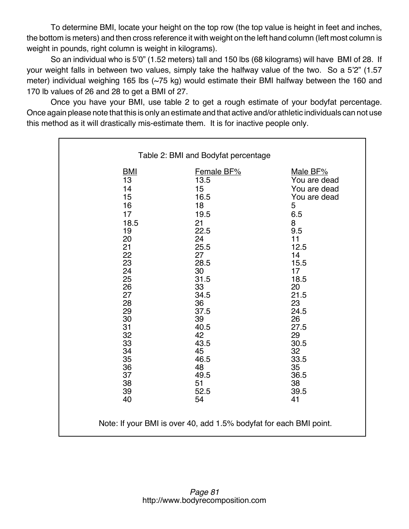To determine BMI, locate your height on the top row (the top value is height in feet and inches, the bottom is meters) and then cross reference it with weight on the left hand column (left most column is weight in pounds, right column is weight in kilograms).

So an individual who is 5'0" (1.52 meters) tall and 150 lbs (68 kilograms) will have BMI of 28. If your weight falls in between two values, simply take the halfway value of the two. So a 5'2" (1.57 meter) individual weighing 165 lbs (~75 kg) would estimate their BMI halfway between the 160 and 170 lb values of 26 and 28 to get a BMI of 27.

Once you have your BMI, use table 2 to get a rough estimate of your bodyfat percentage. Once again please note that this is only an estimate and that active and/or athletic individuals can not use this method as it will drastically mis-estimate them. It is for inactive people only.

| 13<br>14<br>15<br>16<br>17<br>18.5<br>19<br>20<br>21<br>22<br>23<br>24<br>25 | 13.5<br>15<br>16.5<br>18<br>19.5<br>21<br>22.5<br>24<br>25.5<br>27<br>28.5 | You are dead<br>You are dead<br>You are dead<br>5<br>6.5<br>8<br>9.5<br>11<br>12.5<br>14<br>15.5 |
|------------------------------------------------------------------------------|----------------------------------------------------------------------------|--------------------------------------------------------------------------------------------------|
|                                                                              |                                                                            |                                                                                                  |
|                                                                              |                                                                            |                                                                                                  |
|                                                                              |                                                                            |                                                                                                  |
|                                                                              |                                                                            |                                                                                                  |
|                                                                              |                                                                            |                                                                                                  |
|                                                                              |                                                                            |                                                                                                  |
|                                                                              |                                                                            |                                                                                                  |
|                                                                              |                                                                            |                                                                                                  |
|                                                                              |                                                                            |                                                                                                  |
|                                                                              |                                                                            |                                                                                                  |
|                                                                              |                                                                            |                                                                                                  |
|                                                                              | 30                                                                         | 17                                                                                               |
|                                                                              | 31.5                                                                       | 18.5                                                                                             |
| 26                                                                           | 33                                                                         | 20                                                                                               |
| 27                                                                           | 34.5                                                                       | 21.5                                                                                             |
| 28                                                                           | 36                                                                         | 23                                                                                               |
| 29                                                                           | 37.5                                                                       | 24.5                                                                                             |
| 30<br>31                                                                     | 39<br>40.5                                                                 | 26<br>27.5                                                                                       |
| 32                                                                           | 42                                                                         | 29                                                                                               |
| 33                                                                           | 43.5                                                                       | 30.5                                                                                             |
| 34                                                                           | 45                                                                         | 32                                                                                               |
| 35                                                                           | 46.5                                                                       | 33.5                                                                                             |
| 36                                                                           | 48                                                                         | 35                                                                                               |
| 37                                                                           | 49.5                                                                       | 36.5                                                                                             |
| 38                                                                           | 51                                                                         | 38                                                                                               |
| 39                                                                           | 52.5                                                                       | 39.5                                                                                             |
| 40                                                                           | 54                                                                         | 41                                                                                               |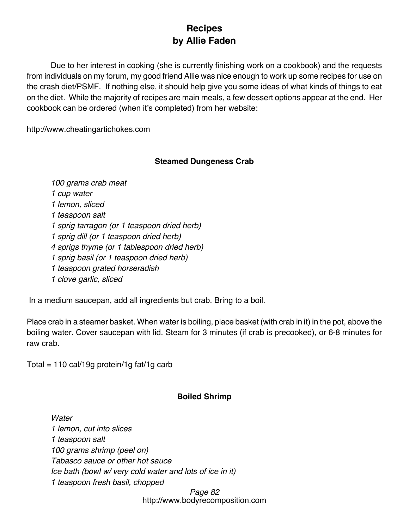# **Recipes by Allie Faden**

Due to her interest in cooking (she is currently finishing work on a cookbook) and the requests from individuals on my forum, my good friend Allie was nice enough to work up some recipes for use on the crash diet/PSMF. If nothing else, it should help give you some ideas of what kinds of things to eat on the diet. While the majority of recipes are main meals, a few dessert options appear at the end. Her cookbook can be ordered (when it's completed) from her website:

http://www.cheatingartichokes.com

# **Steamed Dungeness Crab**

100 grams crab meat 1 cup water 1 lemon, sliced 1 teaspoon salt 1 sprig tarragon (or 1 teaspoon dried herb) 1 sprig dill (or 1 teaspoon dried herb) 4 sprigs thyme (or 1 tablespoon dried herb) 1 sprig basil (or 1 teaspoon dried herb) 1 teaspoon grated horseradish 1 clove garlic, sliced

In a medium saucepan, add all ingredients but crab. Bring to a boil.

Place crab in a steamer basket. When water is boiling, place basket (with crab in it) in the pot, above the boiling water. Cover saucepan with lid. Steam for 3 minutes (if crab is precooked), or 6-8 minutes for raw crab.

Total = 110 cal/19g protein/1g fat/1g carb

# **Boiled Shrimp**

**Water** 1 lemon, cut into slices 1 teaspoon salt 100 grams shrimp (peel on) Tabasco sauce or other hot sauce Ice bath (bowl w/ very cold water and lots of ice in it) 1 teaspoon fresh basil, chopped

Page 82 http://www.bodyrecomposition.com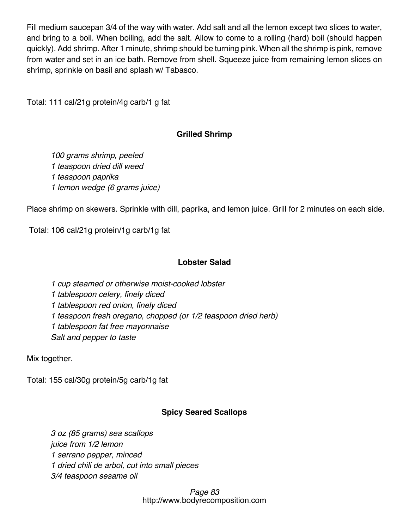Fill medium saucepan 3/4 of the way with water. Add salt and all the lemon except two slices to water, and bring to a boil. When boiling, add the salt. Allow to come to a rolling (hard) boil (should happen quickly). Add shrimp. After 1 minute, shrimp should be turning pink. When all the shrimp is pink, remove from water and set in an ice bath. Remove from shell. Squeeze juice from remaining lemon slices on shrimp, sprinkle on basil and splash w/ Tabasco.

Total: 111 cal/21g protein/4g carb/1 g fat

# **Grilled Shrimp**

100 grams shrimp, peeled 1 teaspoon dried dill weed 1 teaspoon paprika 1 lemon wedge (6 grams juice)

Place shrimp on skewers. Sprinkle with dill, paprika, and lemon juice. Grill for 2 minutes on each side.

Total: 106 cal/21g protein/1g carb/1g fat

# **Lobster Salad**

1 cup steamed or otherwise moist-cooked lobster 1 tablespoon celery, finely diced 1 tablespoon red onion, finely diced 1 teaspoon fresh oregano, chopped (or 1/2 teaspoon dried herb) 1 tablespoon fat free mayonnaise Salt and pepper to taste

Mix together.

Total: 155 cal/30g protein/5g carb/1g fat

# **Spicy Seared Scallops**

3 oz (85 grams) sea scallops juice from 1/2 lemon 1 serrano pepper, minced 1 dried chili de arbol, cut into small pieces 3/4 teaspoon sesame oil

> Page 83 http://www.bodyrecomposition.com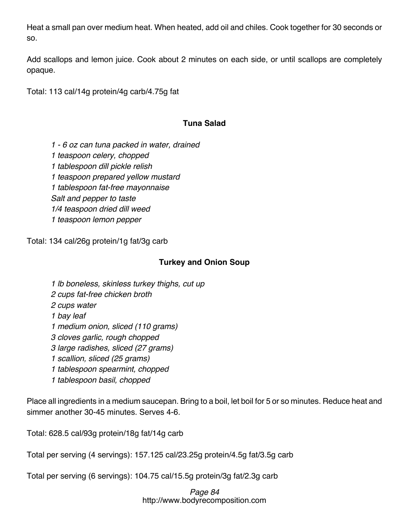Heat a small pan over medium heat. When heated, add oil and chiles. Cook together for 30 seconds or so.

Add scallops and lemon juice. Cook about 2 minutes on each side, or until scallops are completely opaque.

Total: 113 cal/14g protein/4g carb/4.75g fat

# **Tuna Salad**

1 - 6 oz can tuna packed in water, drained 1 teaspoon celery, chopped 1 tablespoon dill pickle relish 1 teaspoon prepared yellow mustard 1 tablespoon fat-free mayonnaise Salt and pepper to taste 1/4 teaspoon dried dill weed 1 teaspoon lemon pepper

Total: 134 cal/26g protein/1g fat/3g carb

#### **Turkey and Onion Soup**

1 lb boneless, skinless turkey thighs, cut up 2 cups fat-free chicken broth 2 cups water 1 bay leaf 1 medium onion, sliced (110 grams) 3 cloves garlic, rough chopped 3 large radishes, sliced (27 grams) 1 scallion, sliced (25 grams) 1 tablespoon spearmint, chopped 1 tablespoon basil, chopped

Place all ingredients in a medium saucepan. Bring to a boil, let boil for 5 or so minutes. Reduce heat and simmer another 30-45 minutes. Serves 4-6.

Total: 628.5 cal/93g protein/18g fat/14g carb

Total per serving (4 servings): 157.125 cal/23.25g protein/4.5g fat/3.5g carb

Total per serving (6 servings): 104.75 cal/15.5g protein/3g fat/2.3g carb

Page 84 http://www.bodyrecomposition.com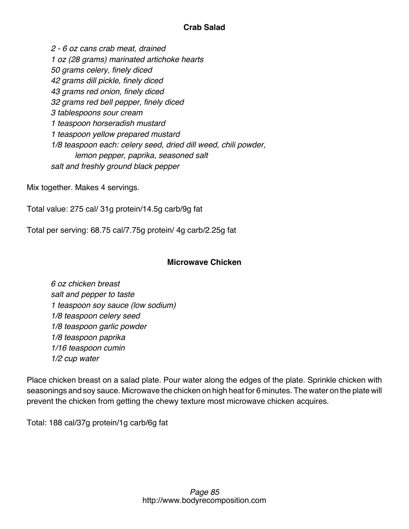# **Crab Salad**

2 - 6 oz cans crab meat, drained 1 oz (28 grams) marinated artichoke hearts 50 grams celery, finely diced 42 grams dill pickle, finely diced 43 grams red onion, finely diced 32 grams red bell pepper, finely diced 3 tablespoons sour cream 1 teaspoon horseradish mustard 1 teaspoon yellow prepared mustard 1/8 teaspoon each: celery seed, dried dill weed, chili powder, lemon pepper, paprika, seasoned salt salt and freshly ground black pepper

Mix together. Makes 4 servings.

Total value: 275 cal/ 31g protein/14.5g carb/9g fat

Total per serving: 68.75 cal/7.75g protein/ 4g carb/2.25g fat

#### **Microwave Chicken**

6 oz chicken breast salt and pepper to taste 1 teaspoon soy sauce (low sodium) 1/8 teaspoon celery seed 1/8 teaspoon garlic powder 1/8 teaspoon paprika 1/16 teaspoon cumin 1/2 cup water

Place chicken breast on a salad plate. Pour water along the edges of the plate. Sprinkle chicken with seasonings and soy sauce. Microwave the chicken on high heat for 6 minutes. The water on the plate will prevent the chicken from getting the chewy texture most microwave chicken acquires.

Total: 188 cal/37g protein/1g carb/6g fat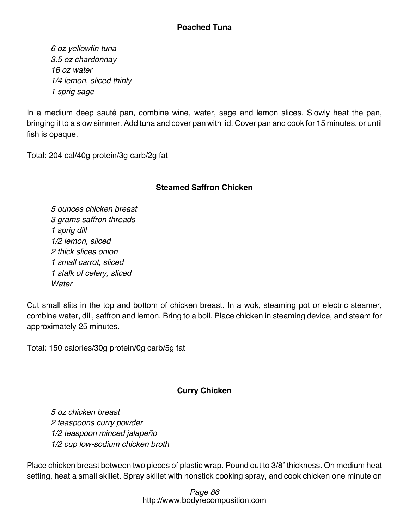6 oz yellowfin tuna 3.5 oz chardonnay 16 oz water 1/4 lemon, sliced thinly 1 sprig sage

In a medium deep sauté pan, combine wine, water, sage and lemon slices. Slowly heat the pan, bringing it to a slow simmer. Add tuna and cover pan with lid. Cover pan and cook for 15 minutes, or until fish is opaque.

Total: 204 cal/40g protein/3g carb/2g fat

## **Steamed Saffron Chicken**

5 ounces chicken breast 3 grams saffron threads 1 sprig dill 1/2 lemon, sliced 2 thick slices onion 1 small carrot, sliced 1 stalk of celery, sliced **Water** 

Cut small slits in the top and bottom of chicken breast. In a wok, steaming pot or electric steamer, combine water, dill, saffron and lemon. Bring to a boil. Place chicken in steaming device, and steam for approximately 25 minutes.

Total: 150 calories/30g protein/0g carb/5g fat

## **Curry Chicken**

5 oz chicken breast 2 teaspoons curry powder 1/2 teaspoon minced jalapeño 1/2 cup low-sodium chicken broth

Place chicken breast between two pieces of plastic wrap. Pound out to 3/8" thickness. On medium heat setting, heat a small skillet. Spray skillet with nonstick cooking spray, and cook chicken one minute on

> Page 86 http://www.bodyrecomposition.com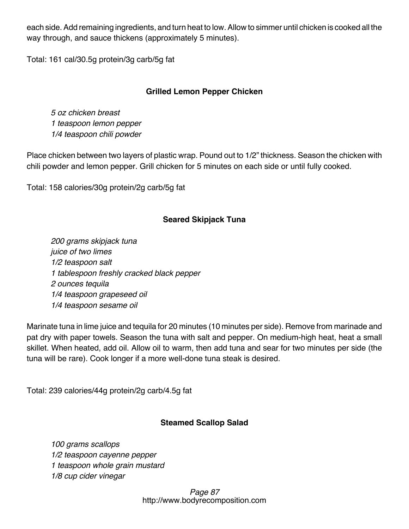each side. Add remaining ingredients, and turn heat to low. Allow to simmer until chicken is cooked all the way through, and sauce thickens (approximately 5 minutes).

Total: 161 cal/30.5g protein/3g carb/5g fat

# **Grilled Lemon Pepper Chicken**

5 oz chicken breast 1 teaspoon lemon pepper 1/4 teaspoon chili powder

Place chicken between two layers of plastic wrap. Pound out to 1/2" thickness. Season the chicken with chili powder and lemon pepper. Grill chicken for 5 minutes on each side or until fully cooked.

Total: 158 calories/30g protein/2g carb/5g fat

## **Seared Skipjack Tuna**

200 grams skipjack tuna juice of two limes 1/2 teaspoon salt 1 tablespoon freshly cracked black pepper 2 ounces tequila 1/4 teaspoon grapeseed oil 1/4 teaspoon sesame oil

Marinate tuna in lime juice and tequila for 20 minutes (10 minutes per side). Remove from marinade and pat dry with paper towels. Season the tuna with salt and pepper. On medium-high heat, heat a small skillet. When heated, add oil. Allow oil to warm, then add tuna and sear for two minutes per side (the tuna will be rare). Cook longer if a more well-done tuna steak is desired.

Total: 239 calories/44g protein/2g carb/4.5g fat

## **Steamed Scallop Salad**

100 grams scallops 1/2 teaspoon cayenne pepper 1 teaspoon whole grain mustard 1/8 cup cider vinegar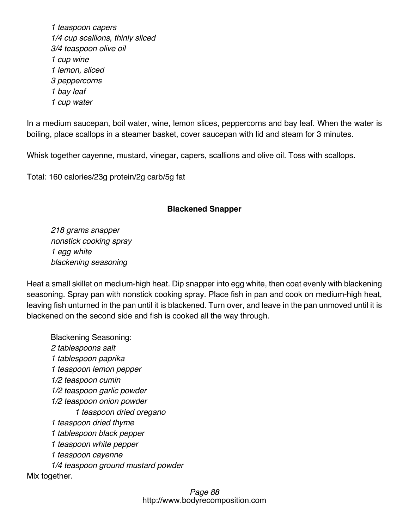1 teaspoon capers 1/4 cup scallions, thinly sliced 3/4 teaspoon olive oil 1 cup wine 1 lemon, sliced 3 peppercorns 1 bay leaf 1 cup water

In a medium saucepan, boil water, wine, lemon slices, peppercorns and bay leaf. When the water is boiling, place scallops in a steamer basket, cover saucepan with lid and steam for 3 minutes.

Whisk together cayenne, mustard, vinegar, capers, scallions and olive oil. Toss with scallops.

Total: 160 calories/23g protein/2g carb/5g fat

# **Blackened Snapper**

218 grams snapper nonstick cooking spray 1 egg white blackening seasoning

Heat a small skillet on medium-high heat. Dip snapper into egg white, then coat evenly with blackening seasoning. Spray pan with nonstick cooking spray. Place fish in pan and cook on medium-high heat, leaving fish unturned in the pan until it is blackened. Turn over, and leave in the pan unmoved until it is blackened on the second side and fish is cooked all the way through.

Blackening Seasoning: 2 tablespoons salt 1 tablespoon paprika 1 teaspoon lemon pepper 1/2 teaspoon cumin 1/2 teaspoon garlic powder 1/2 teaspoon onion powder 1 teaspoon dried oregano 1 teaspoon dried thyme 1 tablespoon black pepper 1 teaspoon white pepper 1 teaspoon cayenne 1/4 teaspoon ground mustard powder Mix together.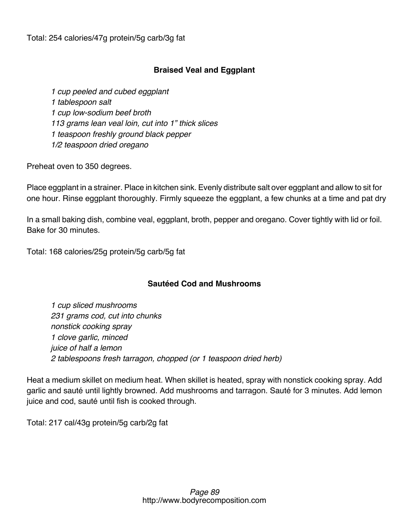# **Braised Veal and Eggplant**

1 cup peeled and cubed eggplant 1 tablespoon salt 1 cup low-sodium beef broth 113 grams lean veal loin, cut into 1" thick slices 1 teaspoon freshly ground black pepper 1/2 teaspoon dried oregano

Preheat oven to 350 degrees.

Place eggplant in a strainer. Place in kitchen sink. Evenly distribute salt over eggplant and allow to sit for one hour. Rinse eggplant thoroughly. Firmly squeeze the eggplant, a few chunks at a time and pat dry.

In a small baking dish, combine veal, eggplant, broth, pepper and oregano. Cover tightly with lid or foil. Bake for 30 minutes.

Total: 168 calories/25g protein/5g carb/5g fat

# **Sautéed Cod and Mushrooms**

1 cup sliced mushrooms 231 grams cod, cut into chunks nonstick cooking spray 1 clove garlic, minced juice of half a lemon 2 tablespoons fresh tarragon, chopped (or 1 teaspoon dried herb)

Heat a medium skillet on medium heat. When skillet is heated, spray with nonstick cooking spray. Add garlic and sauté until lightly browned. Add mushrooms and tarragon. Sauté for 3 minutes. Add lemon juice and cod, sauté until fish is cooked through.

Total: 217 cal/43g protein/5g carb/2g fat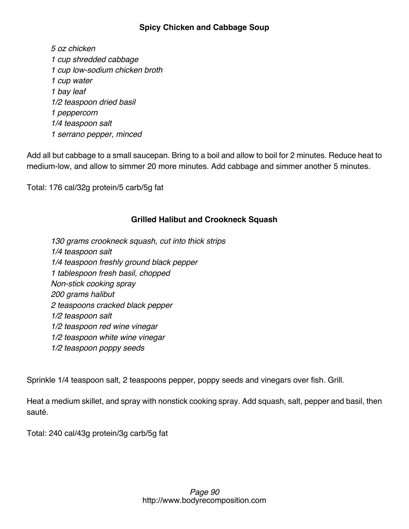## **Spicy Chicken and Cabbage Soup**

5 oz chicken 1 cup shredded cabbage 1 cup low-sodium chicken broth 1 cup water 1 bay leaf 1/2 teaspoon dried basil 1 peppercorn 1/4 teaspoon salt 1 serrano pepper, minced

Add all but cabbage to a small saucepan. Bring to a boil and allow to boil for 2 minutes. Reduce heat to medium-low, and allow to simmer 20 more minutes. Add cabbage and simmer another 5 minutes.

Total: 176 cal/32g protein/5 carb/5g fat

#### **Grilled Halibut and Crookneck Squash**

130 grams crookneck squash, cut into thick strips 1/4 teaspoon salt 1/4 teaspoon freshly ground black pepper 1 tablespoon fresh basil, chopped Non-stick cooking spray 200 grams halibut 2 teaspoons cracked black pepper 1/2 teaspoon salt 1/2 teaspoon red wine vinegar 1/2 teaspoon white wine vinegar 1/2 teaspoon poppy seeds

Sprinkle 1/4 teaspoon salt, 2 teaspoons pepper, poppy seeds and vinegars over fish. Grill.

Heat a medium skillet, and spray with nonstick cooking spray. Add squash, salt, pepper and basil, then sauté.

Total: 240 cal/43g protein/3g carb/5g fat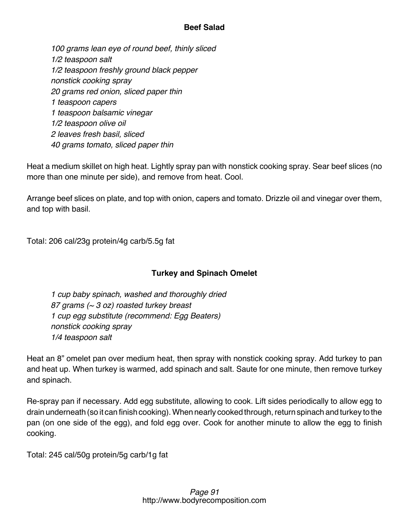# **Beef Salad**

100 grams lean eye of round beef, thinly sliced 1/2 teaspoon salt 1/2 teaspoon freshly ground black pepper nonstick cooking spray 20 grams red onion, sliced paper thin 1 teaspoon capers 1 teaspoon balsamic vinegar 1/2 teaspoon olive oil 2 leaves fresh basil, sliced 40 grams tomato, sliced paper thin

Heat a medium skillet on high heat. Lightly spray pan with nonstick cooking spray. Sear beef slices (no more than one minute per side), and remove from heat. Cool.

Arrange beef slices on plate, and top with onion, capers and tomato. Drizzle oil and vinegar over them, and top with basil.

Total: 206 cal/23g protein/4g carb/5.5g fat

# **Turkey and Spinach Omelet**

1 cup baby spinach, washed and thoroughly dried 87 grams  $({\sim}3$  oz) roasted turkey breast 1 cup egg substitute (recommend: Egg Beaters) nonstick cooking spray 1/4 teaspoon salt

Heat an 8" omelet pan over medium heat, then spray with nonstick cooking spray. Add turkey to pan and heat up. When turkey is warmed, add spinach and salt. Saute for one minute, then remove turkey and spinach.

Re-spray pan if necessary. Add egg substitute, allowing to cook. Lift sides periodically to allow egg to drain underneath (so it can finish cooking). When nearly cooked through, return spinach and turkey to the pan (on one side of the egg), and fold egg over. Cook for another minute to allow the egg to finish cooking.

Total: 245 cal/50g protein/5g carb/1g fat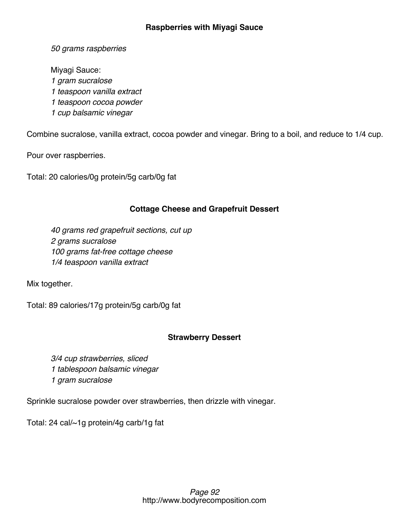50 grams raspberries

Miyagi Sauce: 1 gram sucralose 1 teaspoon vanilla extract 1 teaspoon cocoa powder 1 cup balsamic vinegar

Combine sucralose, vanilla extract, cocoa powder and vinegar. Bring to a boil, and reduce to 1/4 cup.

Pour over raspberries.

Total: 20 calories/0g protein/5g carb/0g fat

## **Cottage Cheese and Grapefruit Dessert**

40 grams red grapefruit sections, cut up 2 grams sucralose 100 grams fat-free cottage cheese 1/4 teaspoon vanilla extract

Mix together.

Total: 89 calories/17g protein/5g carb/0g fat

## **Strawberry Dessert**

3/4 cup strawberries, sliced 1 tablespoon balsamic vinegar 1 gram sucralose

Sprinkle sucralose powder over strawberries, then drizzle with vinegar.

Total: 24 cal/~1g protein/4g carb/1g fat